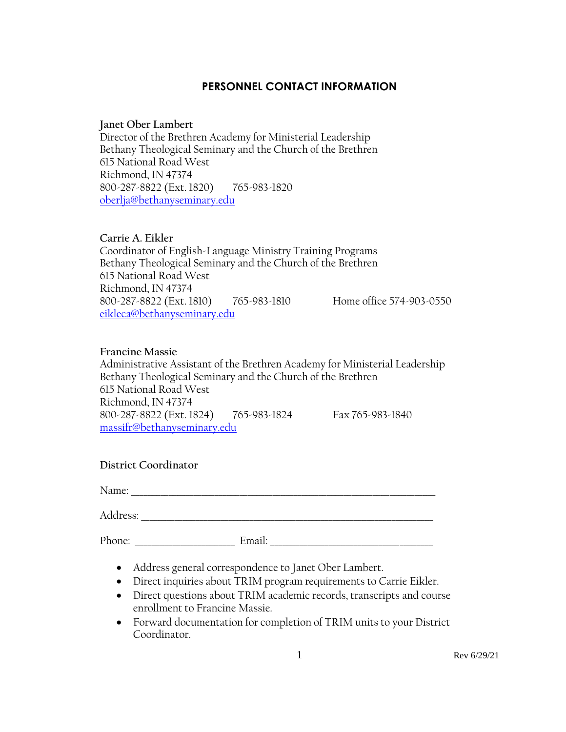#### **PERSONNEL CONTACT INFORMATION**

#### **Janet Ober Lambert**

Director of the Brethren Academy for Ministerial Leadership Bethany Theological Seminary and the Church of the Brethren 615 National Road West Richmond, IN 47374 800-287-8822 (Ext. 1820) 765-983-1820 [oberlja@bethanyseminary.edu](mailto:oberlja@bethanyseminary.edu)

#### **Carrie A. Eikler**

Coordinator of English-Language Ministry Training Programs Bethany Theological Seminary and the Church of the Brethren 615 National Road West Richmond, IN 47374 800-287-8822 (Ext. 1810) 765-983-1810 Home office 574-903-0550 [eikleca@bethanyseminary.edu](mailto:eikleca@bethanyseminary.edu)

#### **Francine Massie**

Administrative Assistant of the Brethren Academy for Ministerial Leadership Bethany Theological Seminary and the Church of the Brethren 615 National Road West Richmond, IN 47374 800-287-8822 (Ext. 1824) 765-983-1824 Fax 765-983-1840 massifr@bethanyseminary.edu

#### **District Coordinator**

Name: \_\_\_\_\_\_\_\_\_\_\_\_\_\_\_\_\_\_\_\_\_\_\_\_\_\_\_\_\_\_\_\_\_\_\_\_\_\_\_\_\_\_\_\_\_\_\_\_\_\_\_\_\_\_\_\_\_\_\_\_\_\_\_\_\_\_\_\_\_\_\_\_\_

Address: \_\_\_\_\_\_\_\_\_\_\_\_\_\_\_\_\_\_\_\_\_\_\_\_\_\_\_\_\_\_\_\_\_\_\_\_\_\_\_\_\_\_\_\_\_\_\_\_\_\_\_\_\_\_\_\_\_\_\_\_\_\_\_\_\_\_\_\_\_\_

Phone: \_\_\_\_\_\_\_\_\_\_\_\_\_\_\_\_\_\_\_\_\_\_\_\_ Email: \_\_\_\_\_\_\_\_\_\_\_\_\_\_\_\_\_\_\_\_\_\_\_\_\_\_\_\_\_\_\_\_\_\_\_\_\_\_\_

- Address general correspondence to Janet Ober Lambert.
- Direct inquiries about TRIM program requirements to Carrie Eikler.
- Direct questions about TRIM academic records, transcripts and course enrollment to Francine Massie.
- Forward documentation for completion of TRIM units to your District Coordinator.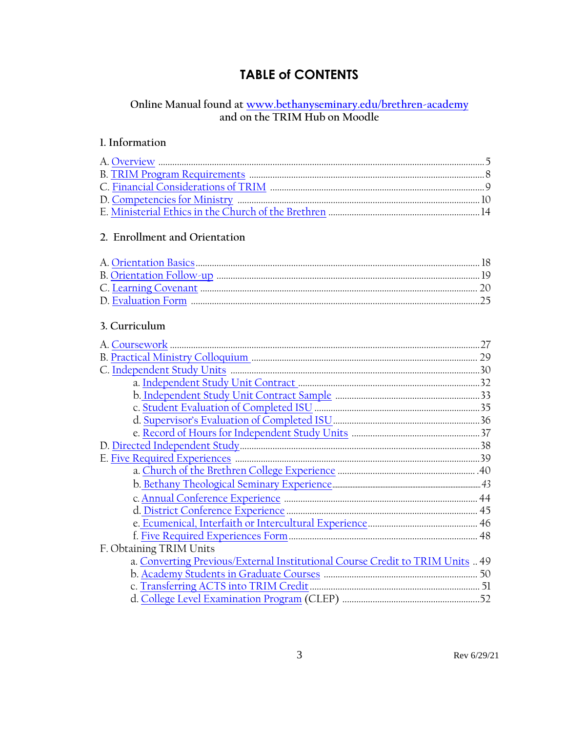# **TABLE of CONTENTS**

# <span id="page-2-0"></span>Online Manual found at www.bethanyseminary.edu/brethren-academy<br>and on the TRIM Hub on Moodle

# l. Information

#### 2. Enrollment and Orientation

# <span id="page-2-1"></span>3. Curriculum

|                                                                               | .27 |
|-------------------------------------------------------------------------------|-----|
|                                                                               |     |
|                                                                               |     |
|                                                                               |     |
|                                                                               |     |
|                                                                               |     |
|                                                                               |     |
|                                                                               |     |
|                                                                               |     |
|                                                                               |     |
|                                                                               |     |
|                                                                               |     |
|                                                                               |     |
|                                                                               |     |
|                                                                               |     |
|                                                                               |     |
| F. Obtaining TRIM Units                                                       |     |
| a. Converting Previous/External Institutional Course Credit to TRIM Units  49 |     |
|                                                                               |     |
|                                                                               |     |
|                                                                               |     |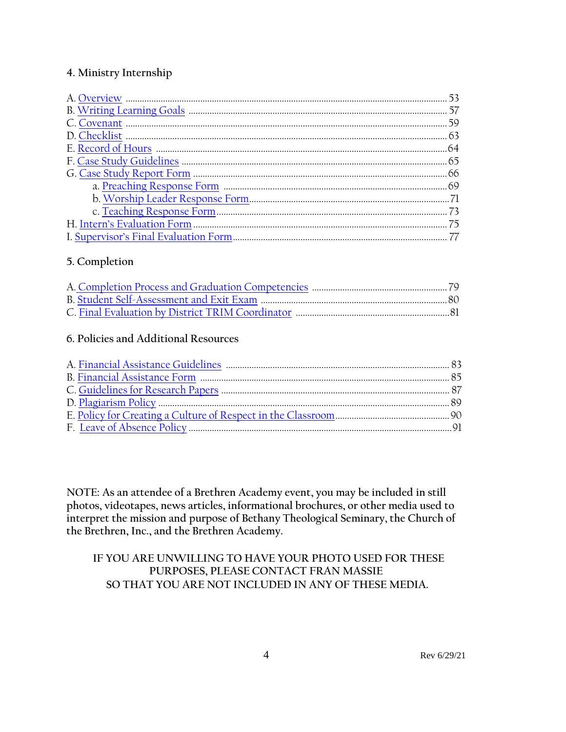#### **4. Ministry Internship**

### **5. Completion**

#### **6. Policies and Additional Resources**

**NOTE: As an attendee of a Brethren Academy event, you may be included in still photos, videotapes, news articles, informational brochures, or other media used to interpret the mission and purpose of Bethany Theological Seminary, the Church of the Brethren, Inc., and the Brethren Academy.**

#### **IF YOU ARE UNWILLING TO HAVE YOUR PHOTO USED FOR THESE PURPOSES, PLEASE CONTACT FRAN MASSIE SO THAT YOU ARE NOT INCLUDED IN ANY OF THESE MEDIA.**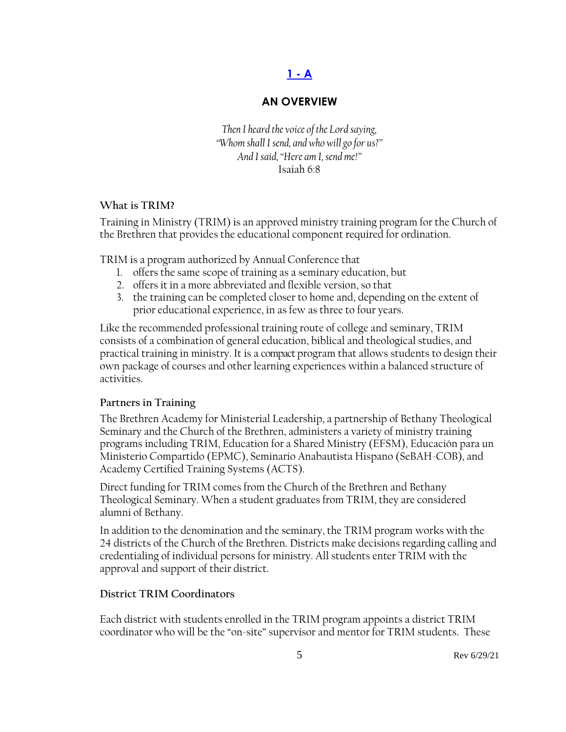# **[1 -](#page-2-0) A**

### **AN OVERVIEW**

<span id="page-4-0"></span>*Then I heard the voice of the Lord saying, "Whom shall I send, and who will go for us?" And I said, "Here am I, send me!"* Isaiah 6:8

#### **What is TRIM?**

Training in Ministry (TRIM) is an approved ministry training program for the Church of the Brethren that provides the educational component required for ordination.

TRIM is a program authorized by Annual Conference that

- 1. offers the same scope of training as a seminary education, but
- 2. offers it in a more abbreviated and flexible version, so that
- 3. the training can be completed closer to home and, depending on the extent of prior educational experience, in as few as three to four years.

Like the recommended professional training route of college and seminary, TRIM consists of a combination of general education, biblical and theological studies, and practical training in ministry. It is a compact program that allows students to design their own package of courses and other learning experiences within a balanced structure of activities.

#### **Partners in Training**

The Brethren Academy for Ministerial Leadership, a partnership of Bethany Theological Seminary and the Church of the Brethren, administers a variety of ministry training programs including TRIM, Education for a Shared Ministry (EFSM), Educación para un Ministerio Compartido (EPMC), Seminario Anabautista Hispano (SeBAH-COB), and Academy Certified Training Systems (ACTS).

Direct funding for TRIM comes from the Church of the Brethren and Bethany Theological Seminary. When a student graduates from TRIM, they are considered alumni of Bethany.

In addition to the denomination and the seminary, the TRIM program works with the 24 districts of the Church of the Brethren. Districts make decisions regarding calling and credentialing of individual persons for ministry. All students enter TRIM with the approval and support of their district.

#### **District TRIM Coordinators**

Each district with students enrolled in the TRIM program appoints a district TRIM coordinator who will be the "on-site" supervisor and mentor for TRIM students. These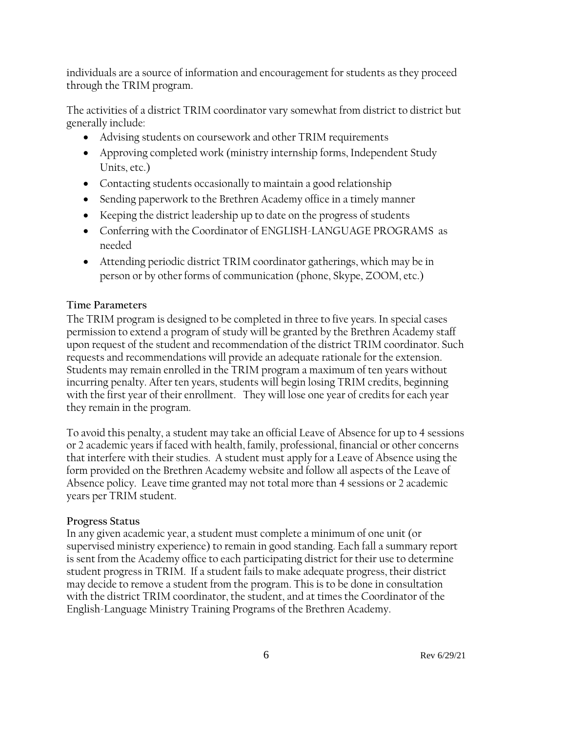individuals are a source of information and encouragement for students as they proceed through the TRIM program.

The activities of a district TRIM coordinator vary somewhat from district to district but generally include:

- Advising students on coursework and other TRIM requirements
- Approving completed work (ministry internship forms, Independent Study Units, etc.)
- Contacting students occasionally to maintain a good relationship
- Sending paperwork to the Brethren Academy office in a timely manner
- Keeping the district leadership up to date on the progress of students
- Conferring with the Coordinator of ENGLISH-LANGUAGE PROGRAMS as needed
- Attending periodic district TRIM coordinator gatherings, which may be in person or by other forms of communication (phone, Skype, ZOOM, etc.)

### **Time Parameters**

The TRIM program is designed to be completed in three to five years. In special cases permission to extend a program of study will be granted by the Brethren Academy staff upon request of the student and recommendation of the district TRIM coordinator. Such requests and recommendations will provide an adequate rationale for the extension. Students may remain enrolled in the TRIM program a maximum of ten years without incurring penalty. After ten years, students will begin losing TRIM credits, beginning with the first year of their enrollment. They will lose one year of credits for each year they remain in the program.

To avoid this penalty, a student may take an official Leave of Absence for up to 4 sessions or 2 academic years if faced with health, family, professional, financial or other concerns that interfere with their studies. A student must apply for a Leave of Absence using the form provided on the Brethren Academy website and follow all aspects of the Leave of Absence policy. Leave time granted may not total more than 4 sessions or 2 academic years per TRIM student.

#### **Progress Status**

In any given academic year, a student must complete a minimum of one unit (or supervised ministry experience) to remain in good standing. Each fall a summary report is sent from the Academy office to each participating district for their use to determine student progress in TRIM. If a student fails to make adequate progress, their district may decide to remove a student from the program. This is to be done in consultation with the district TRIM coordinator, the student, and at times the Coordinator of the English-Language Ministry Training Programs of the Brethren Academy.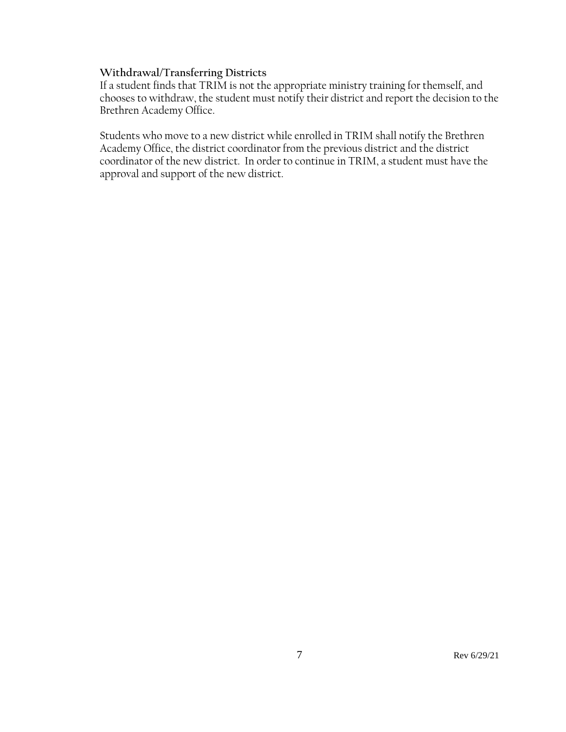#### **Withdrawal/Transferring Districts**

If a student finds that TRIM is not the appropriate ministry training for themself, and chooses to withdraw, the student must notify their district and report the decision to the Brethren Academy Office.

Students who move to a new district while enrolled in TRIM shall notify the Brethren Academy Office, the district coordinator from the previous district and the district coordinator of the new district. In order to continue in TRIM, a student must have the approval and support of the new district.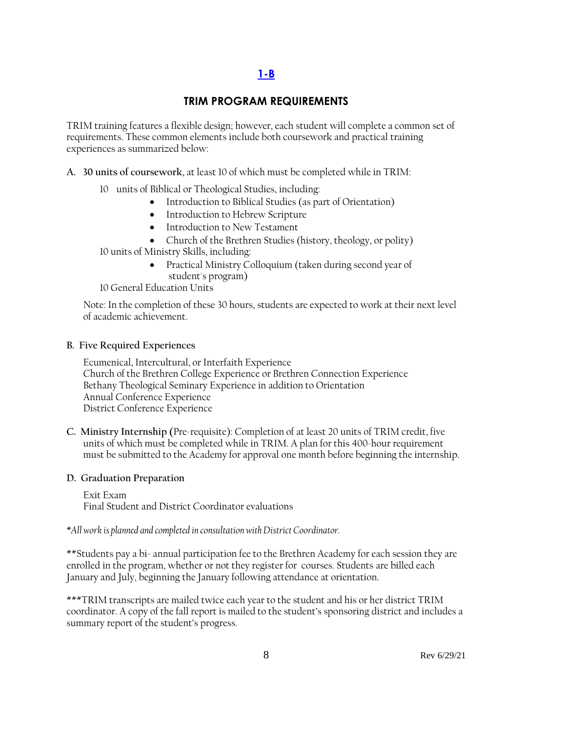# **[1-B](#page-2-0)**

#### **TRIM PROGRAM REQUIREMENTS**

<span id="page-7-0"></span>TRIM training features a flexible design; however, each student will complete a common set of requirements. These common elements include both coursework and practical training experiences as summarized below:

**A. 30 units of coursework**, at least 10 of which must be completed while in TRIM:

- 10 units of Biblical or Theological Studies, including:
	- Introduction to Biblical Studies (as part of Orientation)
	- Introduction to Hebrew Scripture
	- Introduction to New Testament
	- Church of the Brethren Studies (history, theology, or polity)
- 10 units of Ministry Skills, including:
	- Practical Ministry Colloquium (taken during second year of student's program)
- 10 General Education Units

Note: In the completion of these 30 hours, students are expected to work at their next level of academic achievement.

#### **B. Five Required Experiences**

Ecumenical, Intercultural, or Interfaith Experience Church of the Brethren College Experience or Brethren Connection Experience Bethany Theological Seminary Experience in addition to Orientation Annual Conference Experience District Conference Experience

**C. Ministry Internship (**Pre-requisite): Completion of at least 20 units of TRIM credit, five units of which must be completed while in TRIM. A plan for this 400-hour requirement must be submitted to the Academy for approval one month before beginning the internship.

#### **D. Graduation Preparation**

Exit Exam Final Student and District Coordinator evaluations

*\*All work is planned and completed in consultation with District Coordinator.*

\*\*Students pay a bi- annual participation fee to the Brethren Academy for each session they are enrolled in the program, whether or not they register for courses. Students are billed each January and July, beginning the January following attendance at orientation.

\*\*\*TRIM transcripts are mailed twice each year to the student and his or her district TRIM coordinator. A copy of the fall report is mailed to the student's sponsoring district and includes a summary report of the student's progress.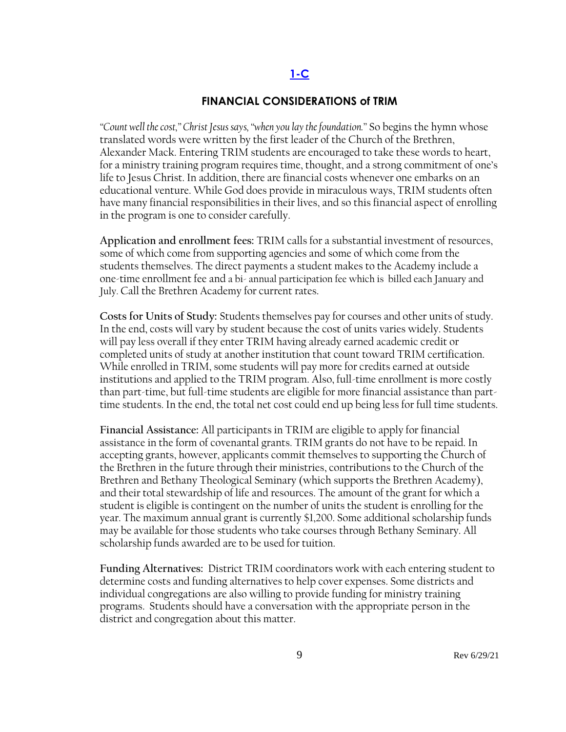#### **[1-C](#page-2-0)**

#### **FINANCIAL CONSIDERATIONS of TRIM**

<span id="page-8-0"></span>*"Count well the cost," Christ Jesus says, "when you lay the foundation."* So begins the hymn whose translated words were written by the first leader of the Church of the Brethren, Alexander Mack. Entering TRIM students are encouraged to take these words to heart, for a ministry training program requires time, thought, and a strong commitment of one's life to Jesus Christ. In addition, there are financial costs whenever one embarks on an educational venture. While God does provide in miraculous ways, TRIM students often have many financial responsibilities in their lives, and so this financial aspect of enrolling in the program is one to consider carefully.

**Application and enrollment fees:** TRIM calls for a substantial investment of resources, some of which come from supporting agencies and some of which come from the students themselves. The direct payments a student makes to the Academy include a one-time enrollment fee and a bi- annual participation fee which is billed each January and July. Call the Brethren Academy for current rates.

**Costs for Units of Study:** Students themselves pay for courses and other units of study. In the end, costs will vary by student because the cost of units varies widely. Students will pay less overall if they enter TRIM having already earned academic credit or completed units of study at another institution that count toward TRIM certification. While enrolled in TRIM, some students will pay more for credits earned at outside institutions and applied to the TRIM program. Also, full-time enrollment is more costly than part-time, but full-time students are eligible for more financial assistance than parttime students. In the end, the total net cost could end up being less for full time students.

**Financial Assistance:** All participants in TRIM are eligible to apply for financial assistance in the form of covenantal grants. TRIM grants do not have to be repaid. In accepting grants, however, applicants commit themselves to supporting the Church of the Brethren in the future through their ministries, contributions to the Church of the Brethren and Bethany Theological Seminary (which supports the Brethren Academy), and their total stewardship of life and resources. The amount of the grant for which a student is eligible is contingent on the number of units the student is enrolling for the year. The maximum annual grant is currently \$1,200. Some additional scholarship funds may be available for those students who take courses through Bethany Seminary. All scholarship funds awarded are to be used for tuition.

**Funding Alternatives:** District TRIM coordinators work with each entering student to determine costs and funding alternatives to help cover expenses. Some districts and individual congregations are also willing to provide funding for ministry training programs. Students should have a conversation with the appropriate person in the district and congregation about this matter.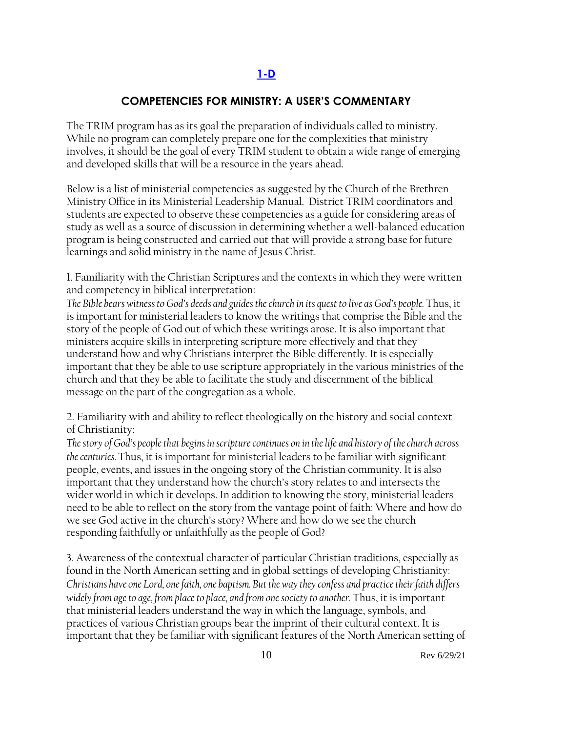# **[1-D](#page-2-0)**

# **COMPETENCIES FOR MINISTRY: A USER'S COMMENTARY**

<span id="page-9-0"></span>The TRIM program has as its goal the preparation of individuals called to ministry. While no program can completely prepare one for the complexities that ministry involves, it should be the goal of every TRIM student to obtain a wide range of emerging and developed skills that will be a resource in the years ahead.

Below is a list of ministerial competencies as suggested by the Church of the Brethren Ministry Office in its Ministerial Leadership Manual. District TRIM coordinators and students are expected to observe these competencies as a guide for considering areas of study as well as a source of discussion in determining whether a well-balanced education program is being constructed and carried out that will provide a strong base for future learnings and solid ministry in the name of Jesus Christ.

1. Familiarity with the Christian Scriptures and the contexts in which they were written and competency in biblical interpretation:

*The Bible bears witness to God's deeds and guides the church in its quest to live as God's people.* Thus, it is important for ministerial leaders to know the writings that comprise the Bible and the story of the people of God out of which these writings arose. It is also important that ministers acquire skills in interpreting scripture more effectively and that they understand how and why Christians interpret the Bible differently. It is especially important that they be able to use scripture appropriately in the various ministries of the church and that they be able to facilitate the study and discernment of the biblical message on the part of the congregation as a whole.

2. Familiarity with and ability to reflect theologically on the history and social context of Christianity:

*The story of God's people that begins in scripture continues on in the life and history of the church across the centuries.* Thus, it is important for ministerial leaders to be familiar with significant people, events, and issues in the ongoing story of the Christian community. It is also important that they understand how the church's story relates to and intersects the wider world in which it develops. In addition to knowing the story, ministerial leaders need to be able to reflect on the story from the vantage point of faith: Where and how do we see God active in the church's story? Where and how do we see the church responding faithfully or unfaithfully as the people of God?

3. Awareness of the contextual character of particular Christian traditions, especially as found in the North American setting and in global settings of developing Christianity: *Christians have one Lord, one faith, one baptism. But the way they confess and practice their faith differs widely from age to age, from place to place, and from one society to another.* Thus, it is important that ministerial leaders understand the way in which the language, symbols, and practices of various Christian groups bear the imprint of their cultural context. It is important that they be familiar with significant features of the North American setting of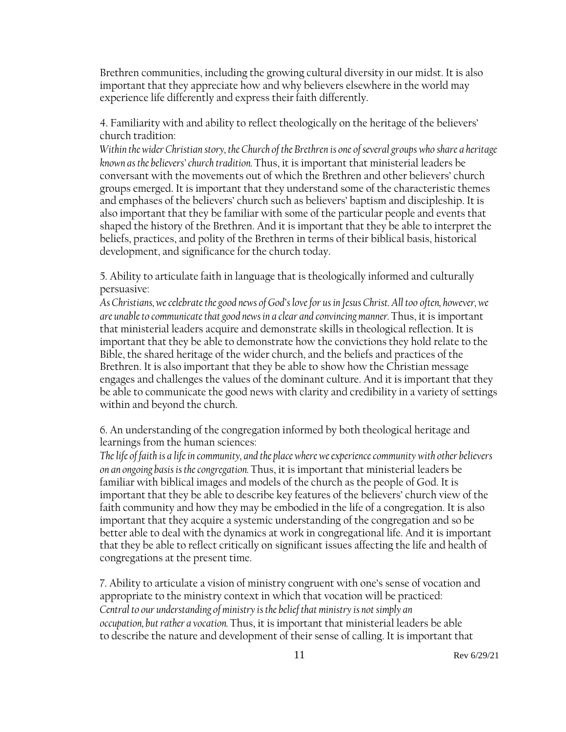Brethren communities, including the growing cultural diversity in our midst. It is also important that they appreciate how and why believers elsewhere in the world may experience life differently and express their faith differently.

4. Familiarity with and ability to reflect theologically on the heritage of the believers' church tradition:

*Within the wider Christian story, the Church of the Brethren is one of several groups who share a heritage known as the believers' church tradition.* Thus, it is important that ministerial leaders be conversant with the movements out of which the Brethren and other believers' church groups emerged. It is important that they understand some of the characteristic themes and emphases of the believers' church such as believers' baptism and discipleship. It is also important that they be familiar with some of the particular people and events that shaped the history of the Brethren. And it is important that they be able to interpret the beliefs, practices, and polity of the Brethren in terms of their biblical basis, historical development, and significance for the church today.

5. Ability to articulate faith in language that is theologically informed and culturally persuasive:

*As Christians, we celebrate the good news of God's love for us in Jesus Christ. All too often, however, we are unable to communicate that good news in a clear and convincing manner.* Thus, it is important that ministerial leaders acquire and demonstrate skills in theological reflection. It is important that they be able to demonstrate how the convictions they hold relate to the Bible, the shared heritage of the wider church, and the beliefs and practices of the Brethren. It is also important that they be able to show how the Christian message engages and challenges the values of the dominant culture. And it is important that they be able to communicate the good news with clarity and credibility in a variety of settings within and beyond the church.

6. An understanding of the congregation informed by both theological heritage and learnings from the human sciences:

*The life of faith is a life in community, and the place where we experience community with other believers on an ongoing basis is the congregation.* Thus, it is important that ministerial leaders be familiar with biblical images and models of the church as the people of God. It is important that they be able to describe key features of the believers' church view of the faith community and how they may be embodied in the life of a congregation. It is also important that they acquire a systemic understanding of the congregation and so be better able to deal with the dynamics at work in congregational life. And it is important that they be able to reflect critically on significant issues affecting the life and health of congregations at the present time.

7. Ability to articulate a vision of ministry congruent with one's sense of vocation and appropriate to the ministry context in which that vocation will be practiced: *Central to our understanding of ministry is the belief that ministry is not simply an occupation, but rather a vocation.* Thus, it is important that ministerial leaders be able to describe the nature and development of their sense of calling. It is important that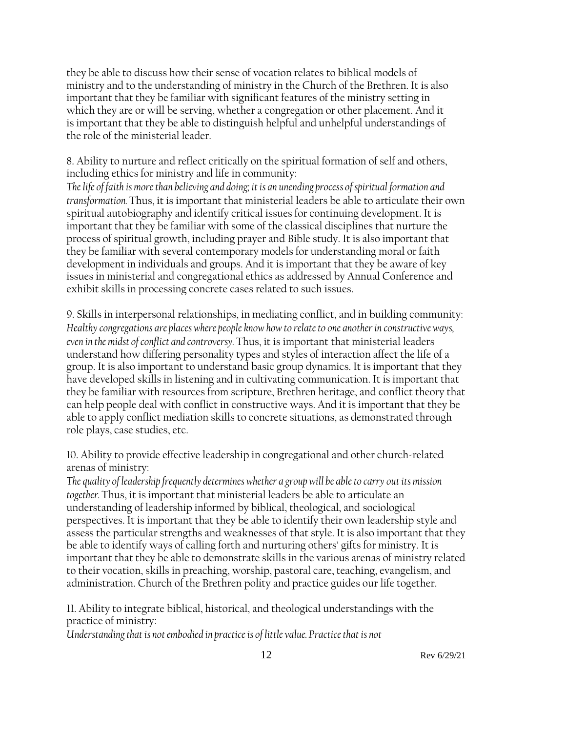they be able to discuss how their sense of vocation relates to biblical models of ministry and to the understanding of ministry in the Church of the Brethren. It is also important that they be familiar with significant features of the ministry setting in which they are or will be serving, whether a congregation or other placement. And it is important that they be able to distinguish helpful and unhelpful understandings of the role of the ministerial leader.

8. Ability to nurture and reflect critically on the spiritual formation of self and others, including ethics for ministry and life in community:

*The life of faith is more than believing and doing; it is an unending process of spiritual formation and transformation.* Thus, it is important that ministerial leaders be able to articulate their own spiritual autobiography and identify critical issues for continuing development. It is important that they be familiar with some of the classical disciplines that nurture the process of spiritual growth, including prayer and Bible study. It is also important that they be familiar with several contemporary models for understanding moral or faith development in individuals and groups. And it is important that they be aware of key issues in ministerial and congregational ethics as addressed by Annual Conference and exhibit skills in processing concrete cases related to such issues.

9. Skills in interpersonal relationships, in mediating conflict, and in building community: *Healthy congregations are places where people know how to relate to one another in constructive ways, even in the midst of conflict and controversy.* Thus, it is important that ministerial leaders understand how differing personality types and styles of interaction affect the life of a group. It is also important to understand basic group dynamics. It is important that they have developed skills in listening and in cultivating communication. It is important that they be familiar with resources from scripture, Brethren heritage, and conflict theory that can help people deal with conflict in constructive ways. And it is important that they be able to apply conflict mediation skills to concrete situations, as demonstrated through role plays, case studies, etc.

10. Ability to provide effective leadership in congregational and other church-related arenas of ministry:

*The quality of leadership frequently determines whether a group will be able to carry out its mission together.* Thus, it is important that ministerial leaders be able to articulate an understanding of leadership informed by biblical, theological, and sociological perspectives. It is important that they be able to identify their own leadership style and assess the particular strengths and weaknesses of that style. It is also important that they be able to identify ways of calling forth and nurturing others' gifts for ministry. It is important that they be able to demonstrate skills in the various arenas of ministry related to their vocation, skills in preaching, worship, pastoral care, teaching, evangelism, and administration. Church of the Brethren polity and practice guides our life together.

11. Ability to integrate biblical, historical, and theological understandings with the practice of ministry:

*Understanding that is not embodied in practice is of little value. Practice that is not*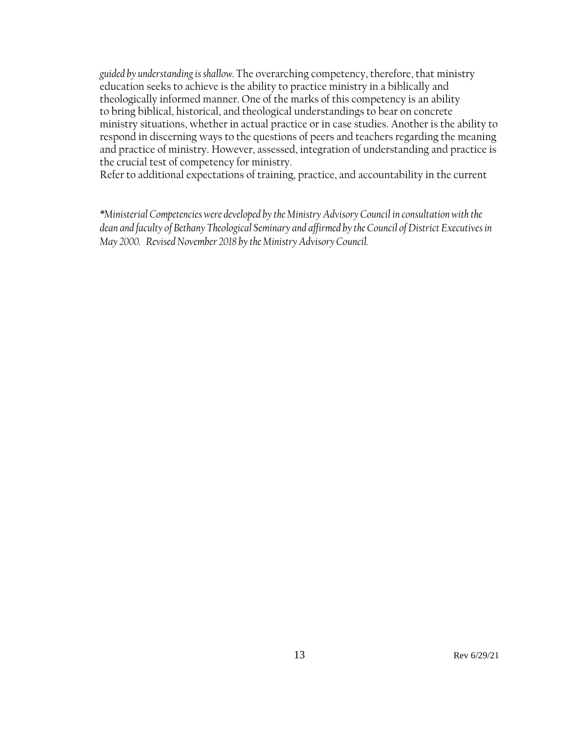*guided by understanding is shallow.* The overarching competency, therefore, that ministry education seeks to achieve is the ability to practice ministry in a biblically and theologically informed manner. One of the marks of this competency is an ability to bring biblical, historical, and theological understandings to bear on concrete ministry situations, whether in actual practice or in case studies. Another is the ability to respond in discerning ways to the questions of peers and teachers regarding the meaning and practice of ministry. However, assessed, integration of understanding and practice is the crucial test of competency for ministry.

Refer to additional expectations of training, practice, and accountability in the current

*\*Ministerial Competencies were developed by the Ministry Advisory Council in consultation with the dean and faculty of Bethany Theological Seminary and affirmed by the Council of District Executives in May 2000. Revised November 2018 by the Ministry Advisory Council.*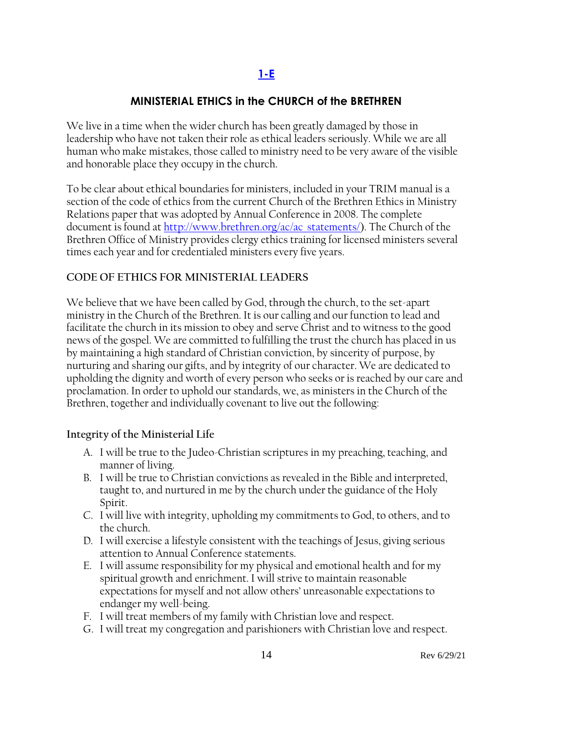# **[1-E](#page-2-0)**

### **MINISTERIAL ETHICS in the CHURCH of the BRETHREN**

<span id="page-13-0"></span>We live in a time when the wider church has been greatly damaged by those in leadership who have not taken their role as ethical leaders seriously. While we are all human who make mistakes, those called to ministry need to be very aware of the visible and honorable place they occupy in the church.

To be clear about ethical boundaries for ministers, included in your TRIM manual is a section of the code of ethics from the current Church of the Brethren Ethics in Ministry Relations paper that was adopted by Annual Conference in 2008. The complete document is found at [http://www.brethren.org/ac/ac\\_statements/\)](http://www.brethren.org/ac/ac_statements/). The Church of the Brethren Office of Ministry provides clergy ethics training for licensed ministers several times each year and for credentialed ministers every five years.

#### **CODE OF ETHICS FOR MINISTERIAL LEADERS**

We believe that we have been called by God, through the church, to the set-apart ministry in the Church of the Brethren. It is our calling and our function to lead and facilitate the church in its mission to obey and serve Christ and to witness to the good news of the gospel. We are committed to fulfilling the trust the church has placed in us by maintaining a high standard of Christian conviction, by sincerity of purpose, by nurturing and sharing our gifts, and by integrity of our character. We are dedicated to upholding the dignity and worth of every person who seeks or is reached by our care and proclamation. In order to uphold our standards, we, as ministers in the Church of the Brethren, together and individually covenant to live out the following:

#### **Integrity of the Ministerial Life**

- A. I will be true to the Judeo-Christian scriptures in my preaching, teaching, and manner of living.
- B. I will be true to Christian convictions as revealed in the Bible and interpreted, taught to, and nurtured in me by the church under the guidance of the Holy Spirit.
- C. I will live with integrity, upholding my commitments to God, to others, and to the church.
- D. I will exercise a lifestyle consistent with the teachings of Jesus, giving serious attention to Annual Conference statements.
- E. I will assume responsibility for my physical and emotional health and for my spiritual growth and enrichment. I will strive to maintain reasonable expectations for myself and not allow others' unreasonable expectations to endanger my well-being.
- F. I will treat members of my family with Christian love and respect.
- G. I will treat my congregation and parishioners with Christian love and respect.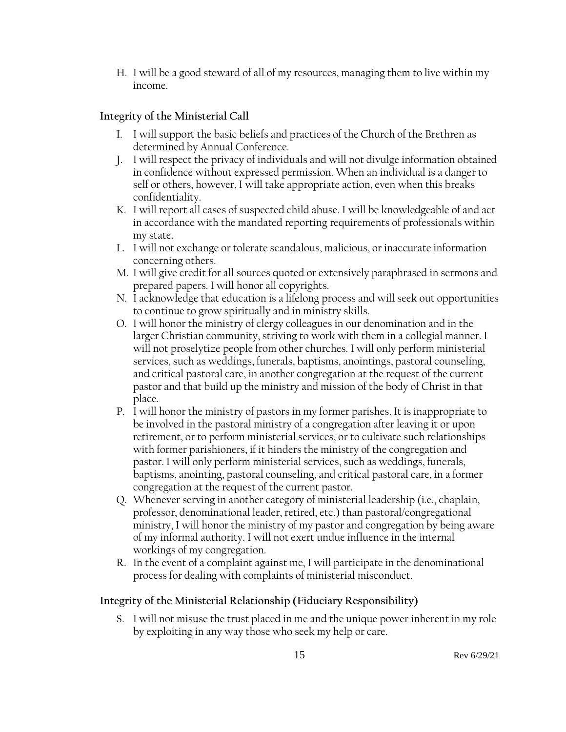H. I will be a good steward of all of my resources, managing them to live within my income.

# **Integrity of the Ministerial Call**

- I. I will support the basic beliefs and practices of the Church of the Brethren as determined by Annual Conference.
- J. I will respect the privacy of individuals and will not divulge information obtained in confidence without expressed permission. When an individual is a danger to self or others, however, I will take appropriate action, even when this breaks confidentiality.
- K. I will report all cases of suspected child abuse. I will be knowledgeable of and act in accordance with the mandated reporting requirements of professionals within my state.
- L. I will not exchange or tolerate scandalous, malicious, or inaccurate information concerning others.
- M. I will give credit for all sources quoted or extensively paraphrased in sermons and prepared papers. I will honor all copyrights.
- N. I acknowledge that education is a lifelong process and will seek out opportunities to continue to grow spiritually and in ministry skills.
- O. I will honor the ministry of clergy colleagues in our denomination and in the larger Christian community, striving to work with them in a collegial manner. I will not proselytize people from other churches. I will only perform ministerial services, such as weddings, funerals, baptisms, anointings, pastoral counseling, and critical pastoral care, in another congregation at the request of the current pastor and that build up the ministry and mission of the body of Christ in that place.
- P. I will honor the ministry of pastors in my former parishes. It is inappropriate to be involved in the pastoral ministry of a congregation after leaving it or upon retirement, or to perform ministerial services, or to cultivate such relationships with former parishioners, if it hinders the ministry of the congregation and pastor. I will only perform ministerial services, such as weddings, funerals, baptisms, anointing, pastoral counseling, and critical pastoral care, in a former congregation at the request of the current pastor.
- Q. Whenever serving in another category of ministerial leadership (i.e., chaplain, professor, denominational leader, retired, etc.) than pastoral/congregational ministry, I will honor the ministry of my pastor and congregation by being aware of my informal authority. I will not exert undue influence in the internal workings of my congregation.
- R. In the event of a complaint against me, I will participate in the denominational process for dealing with complaints of ministerial misconduct.

### **Integrity of the Ministerial Relationship (Fiduciary Responsibility)**

S. I will not misuse the trust placed in me and the unique power inherent in my role by exploiting in any way those who seek my help or care.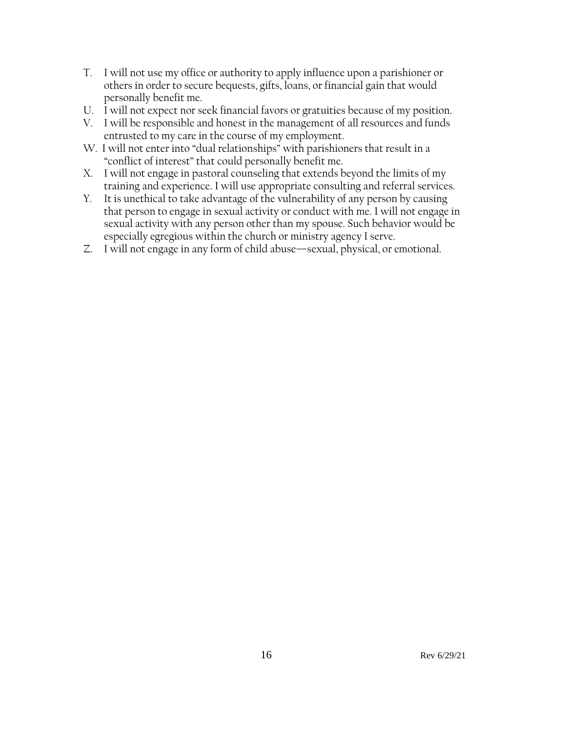- T. I will not use my office or authority to apply influence upon a parishioner or others in order to secure bequests, gifts, loans, or financial gain that would personally benefit me.
- U. I will not expect nor seek financial favors or gratuities because of my position.
- V. I will be responsible and honest in the management of all resources and funds entrusted to my care in the course of my employment.
- W. I will not enter into "dual relationships" with parishioners that result in a "conflict of interest" that could personally benefit me.
- X. I will not engage in pastoral counseling that extends beyond the limits of my training and experience. I will use appropriate consulting and referral services.
- Y. It is unethical to take advantage of the vulnerability of any person by causing that person to engage in sexual activity or conduct with me. I will not engage in sexual activity with any person other than my spouse. Such behavior would be especially egregious within the church or ministry agency I serve.
- Z. I will not engage in any form of child abuse—sexual, physical, or emotional.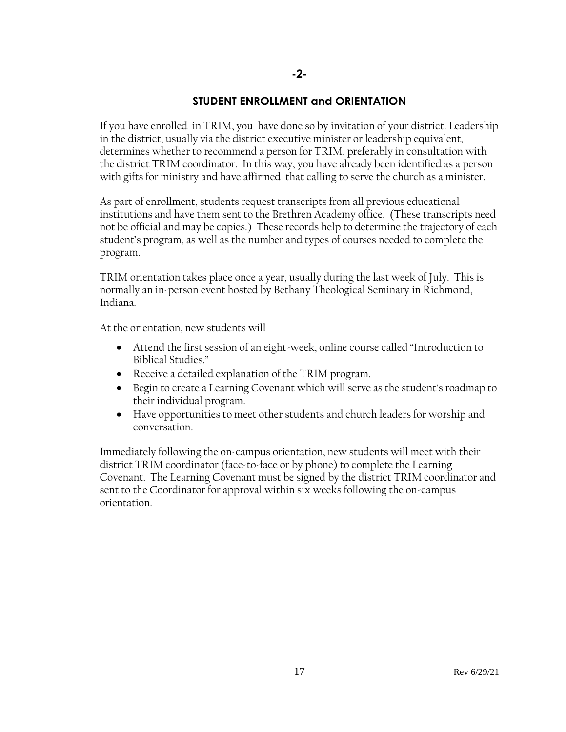# **STUDENT ENROLLMENT and ORIENTATION**

**-2-**

If you have enrolled in TRIM, you have done so by invitation of your district. Leadership in the district, usually via the district executive minister or leadership equivalent, determines whether to recommend a person for TRIM, preferably in consultation with the district TRIM coordinator. In this way, you have already been identified as a person with gifts for ministry and have affirmed that calling to serve the church as a minister.

As part of enrollment, students request transcripts from all previous educational institutions and have them sent to the Brethren Academy office. (These transcripts need not be official and may be copies.) These records help to determine the trajectory of each student's program, as well as the number and types of courses needed to complete the program.

TRIM orientation takes place once a year, usually during the last week of July. This is normally an in-person event hosted by Bethany Theological Seminary in Richmond, Indiana.

At the orientation, new students will

- Attend the first session of an eight-week, online course called "Introduction to Biblical Studies."
- Receive a detailed explanation of the TRIM program.
- Begin to create a Learning Covenant which will serve as the student's roadmap to their individual program.
- Have opportunities to meet other students and church leaders for worship and conversation.

Immediately following the on-campus orientation, new students will meet with their district TRIM coordinator (face-to-face or by phone) to complete the Learning Covenant. The Learning Covenant must be signed by the district TRIM coordinator and sent to the Coordinator for approval within six weeks following the on-campus orientation.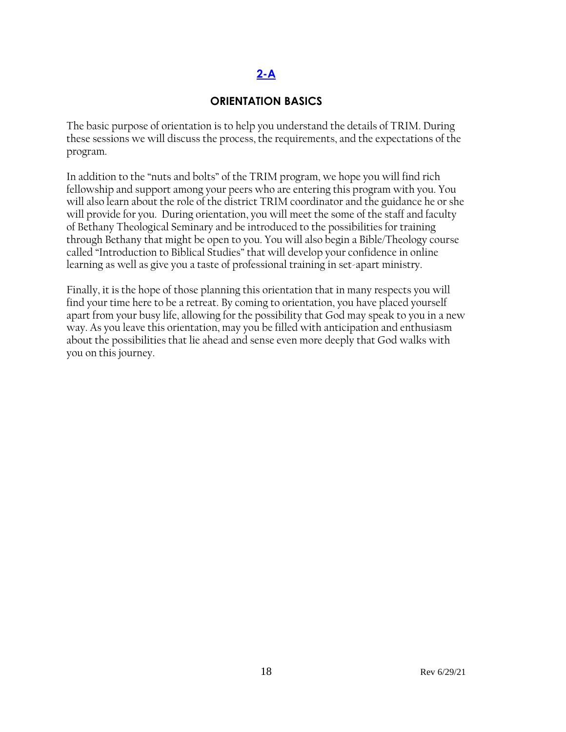# **[2-A](#page-2-0)**

#### **ORIENTATION BASICS**

<span id="page-17-0"></span>The basic purpose of orientation is to help you understand the details of TRIM. During these sessions we will discuss the process, the requirements, and the expectations of the program.

In addition to the "nuts and bolts" of the TRIM program, we hope you will find rich fellowship and support among your peers who are entering this program with you. You will also learn about the role of the district TRIM coordinator and the guidance he or she will provide for you. During orientation, you will meet the some of the staff and faculty of Bethany Theological Seminary and be introduced to the possibilities for training through Bethany that might be open to you. You will also begin a Bible/Theology course called "Introduction to Biblical Studies" that will develop your confidence in online learning as well as give you a taste of professional training in set-apart ministry.

Finally, it is the hope of those planning this orientation that in many respects you will find your time here to be a retreat. By coming to orientation, you have placed yourself apart from your busy life, allowing for the possibility that God may speak to you in a new way. As you leave this orientation, may you be filled with anticipation and enthusiasm about the possibilities that lie ahead and sense even more deeply that God walks with you on this journey.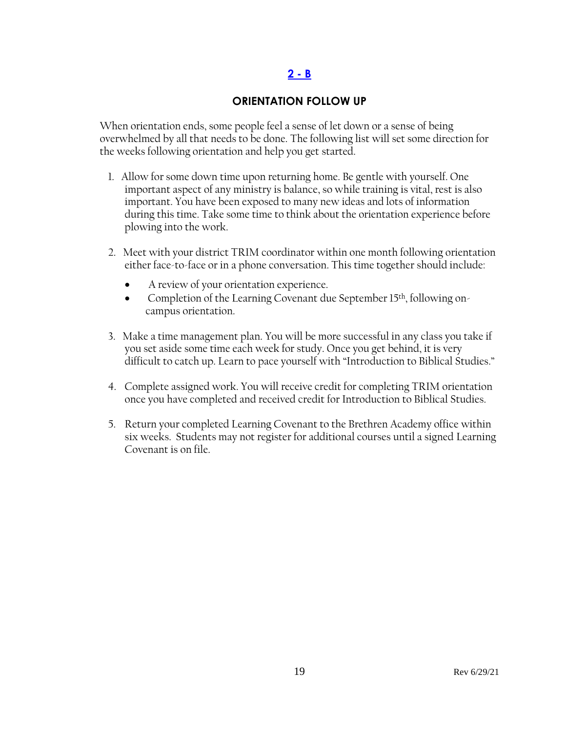#### **2 - B**

#### **ORIENTATION FOLLOW UP**

<span id="page-18-0"></span>When orientation ends, some people feel a sense of let down or a sense of being overwhelmed by all that needs to be done. The following list will set some direction for the weeks following orientation and help you get started.

- 1. Allow for some down time upon returning home. Be gentle with yourself. One important aspect of any ministry is balance, so while training is vital, rest is also important. You have been exposed to many new ideas and lots of information during this time. Take some time to think about the orientation experience before plowing into the work.
- 2. Meet with your district TRIM coordinator within one month following orientation either face-to-face or in a phone conversation. This time together should include:
	- A review of your orientation experience.
	- Completion of the Learning Covenant due September 15<sup>th</sup>, following oncampus orientation.
- 3. Make a time management plan. You will be more successful in any class you take if you set aside some time each week for study. Once you get behind, it is very difficult to catch up. Learn to pace yourself with "Introduction to Biblical Studies."
- 4. Complete assigned work. You will receive credit for completing TRIM orientation once you have completed and received credit for Introduction to Biblical Studies.
- 5. Return your completed Learning Covenant to the Brethren Academy office within six weeks. Students may not register for additional courses until a signed Learning Covenant is on file.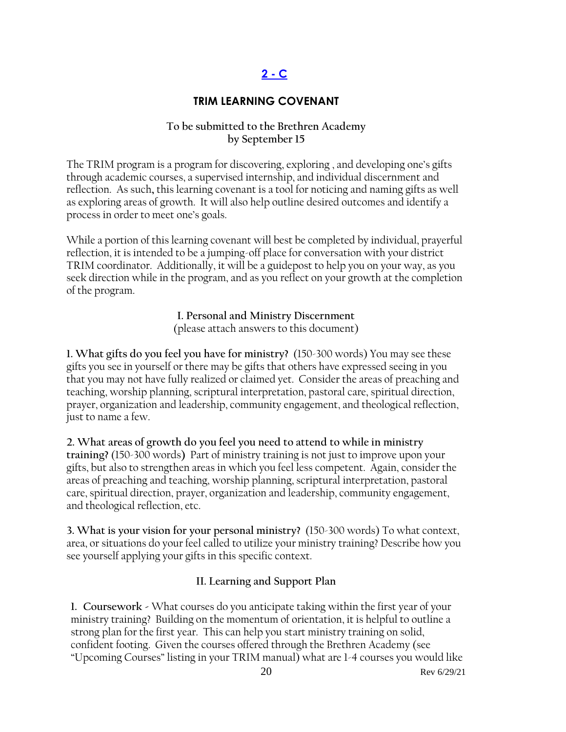# **2 - C**

#### **TRIM LEARNING COVENANT**

#### **To be submitted to the Brethren Academy by September 15**

<span id="page-19-0"></span>The TRIM program is a program for discovering, exploring , and developing one's gifts through academic courses, a supervised internship, and individual discernment and reflection. As such**,** this learning covenant is a tool for noticing and naming gifts as well as exploring areas of growth. It will also help outline desired outcomes and identify a process in order to meet one's goals.

While a portion of this learning covenant will best be completed by individual, prayerful reflection, it is intended to be a jumping-off place for conversation with your district TRIM coordinator. Additionally, it will be a guidepost to help you on your way, as you seek direction while in the program, and as you reflect on your growth at the completion of the program.

**I. Personal and Ministry Discernment**

(please attach answers to this document)

**1. What gifts do you feel you have for ministry?** (150-300 words) You may see these gifts you see in yourself or there may be gifts that others have expressed seeing in you that you may not have fully realized or claimed yet. Consider the areas of preaching and teaching, worship planning, scriptural interpretation, pastoral care, spiritual direction, prayer, organization and leadership, community engagement, and theological reflection, just to name a few.

**2. What areas of growth do you feel you need to attend to while in ministry training?** (150-300 words**)** Part of ministry training is not just to improve upon your gifts, but also to strengthen areas in which you feel less competent. Again, consider the areas of preaching and teaching, worship planning, scriptural interpretation, pastoral care, spiritual direction, prayer, organization and leadership, community engagement, and theological reflection, etc.

**3. What is your vision for your personal ministry?** (150-300 words) To what context, area, or situations do your feel called to utilize your ministry training? Describe how you see yourself applying your gifts in this specific context.

#### **II. Learning and Support Plan**

**1. Coursework -** What courses do you anticipate taking within the first year of your ministry training? Building on the momentum of orientation, it is helpful to outline a strong plan for the first year. This can help you start ministry training on solid, confident footing. Given the courses offered through the Brethren Academy (see "Upcoming Courses" listing in your TRIM manual) what are 1-4 courses you would like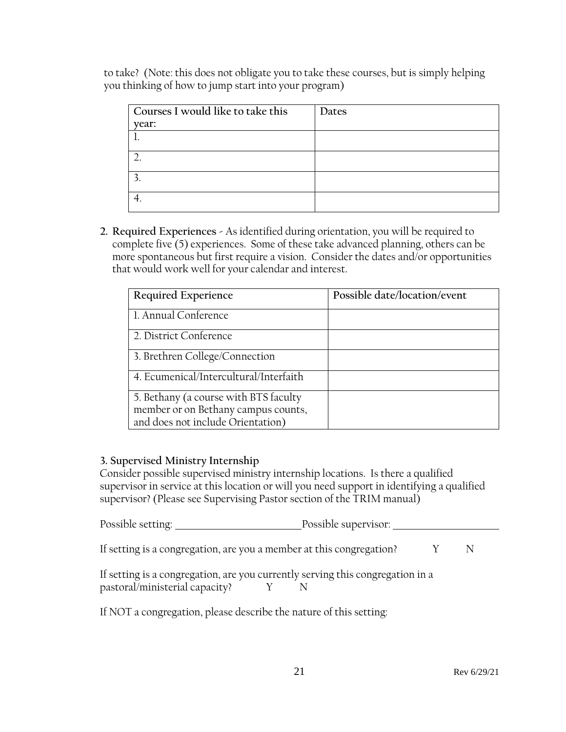to take? (Note: this does not obligate you to take these courses, but is simply helping you thinking of how to jump start into your program)

| Courses I would like to take this | Dates |
|-----------------------------------|-------|
| year:                             |       |
|                                   |       |
|                                   |       |
|                                   |       |
|                                   |       |

**2. Required Experiences -** As identified during orientation, you will be required to complete five (5) experiences. Some of these take advanced planning, others can be more spontaneous but first require a vision. Consider the dates and/or opportunities that would work well for your calendar and interest.

| Required Experience                    | Possible date/location/event |
|----------------------------------------|------------------------------|
| 1. Annual Conference                   |                              |
| 2. District Conference                 |                              |
| 3. Brethren College/Connection         |                              |
| 4. Ecumenical/Intercultural/Interfaith |                              |
| 5. Bethany (a course with BTS faculty  |                              |
| member or on Bethany campus counts,    |                              |
| and does not include Orientation)      |                              |

#### **3. Supervised Ministry Internship**

Consider possible supervised ministry internship locations. Is there a qualified supervisor in service at this location or will you need support in identifying a qualified supervisor? (Please see Supervising Pastor section of the TRIM manual)

| Possible setting: | Possible supervisor: |
|-------------------|----------------------|
|                   |                      |

If setting is a congregation, are you a member at this congregation?  $Y \tN$ 

| If setting is a congregation, are you currently serving this congregation in a |  |  |
|--------------------------------------------------------------------------------|--|--|
| pastoral/ministerial capacity?                                                 |  |  |

If NOT a congregation, please describe the nature of this setting: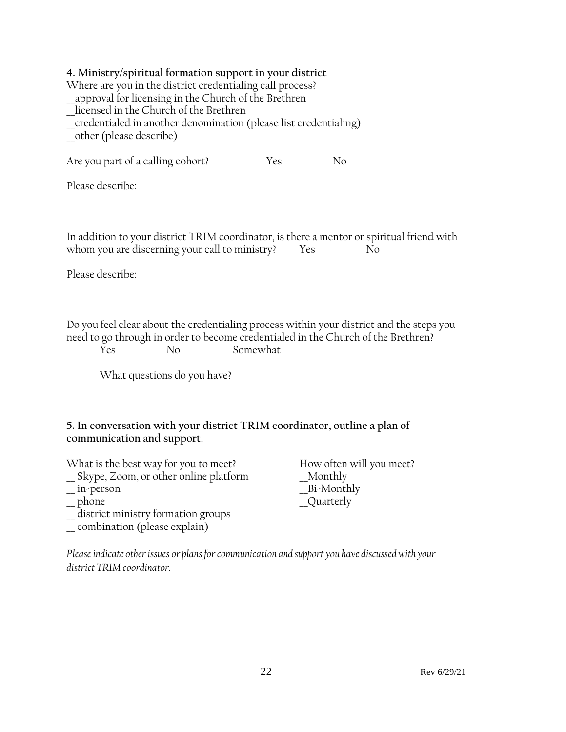#### **4. Ministry/spiritual formation support in your district**

Where are you in the district credentialing call process? \_\_approval for licensing in the Church of the Brethren \_\_licensed in the Church of the Brethren \_\_credentialed in another denomination (please list credentialing) \_\_other (please describe)

Are you part of a calling cohort? Yes No

Please describe:

In addition to your district TRIM coordinator, is there a mentor or spiritual friend with whom you are discerning your call to ministry? Yes No

Please describe:

Do you feel clear about the credentialing process within your district and the steps you need to go through in order to become credentialed in the Church of the Brethren?

Yes No Somewhat

What questions do you have?

### **5. In conversation with your district TRIM coordinator, outline a plan of communication and support.**

What is the best way for you to meet? How often will you meet? \_\_ Skype, Zoom, or other online platform \_\_Monthly \_\_ in-person \_\_Bi-Monthly \_\_ district ministry formation groups \_\_ combination (please explain)

Quarterly

*Please indicate other issues or plans for communication and support you have discussed with your district TRIM coordinator.*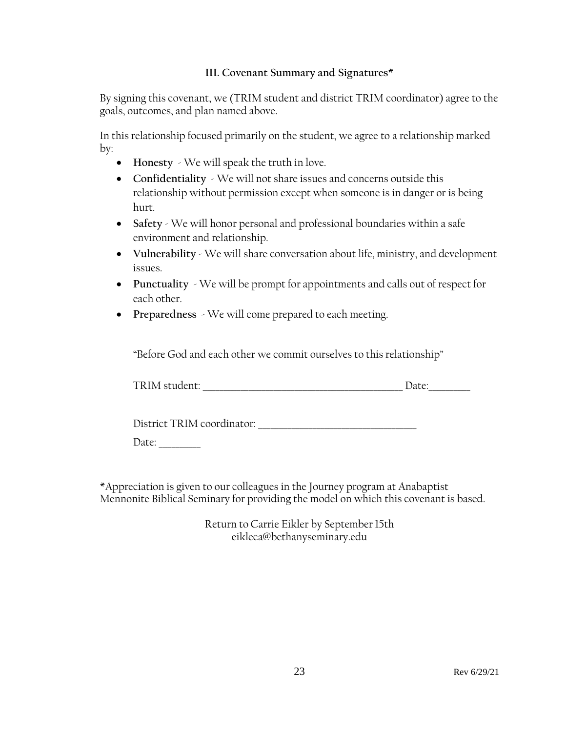#### **III. Covenant Summary and Signatures\***

By signing this covenant, we (TRIM student and district TRIM coordinator) agree to the goals, outcomes, and plan named above.

In this relationship focused primarily on the student, we agree to a relationship marked by:

- **Honesty** We will speak the truth in love.
- **Confidentiality** We will not share issues and concerns outside this relationship without permission except when someone is in danger or is being hurt.
- **Safety** We will honor personal and professional boundaries within a safe environment and relationship.
- **Vulnerability** We will share conversation about life, ministry, and development issues.
- **Punctuality** We will be prompt for appointments and calls out of respect for each other.
- **Preparedness** We will come prepared to each meeting.

"Before God and each other we commit ourselves to this relationship"

| TRIM student: | ale. |
|---------------|------|
|               |      |

District TRIM coordinator:

Date:

\*Appreciation is given to our colleagues in the Journey program at Anabaptist Mennonite Biblical Seminary for providing the model on which this covenant is based.

> Return to Carrie Eikler by September 15th eikleca@bethanyseminary.edu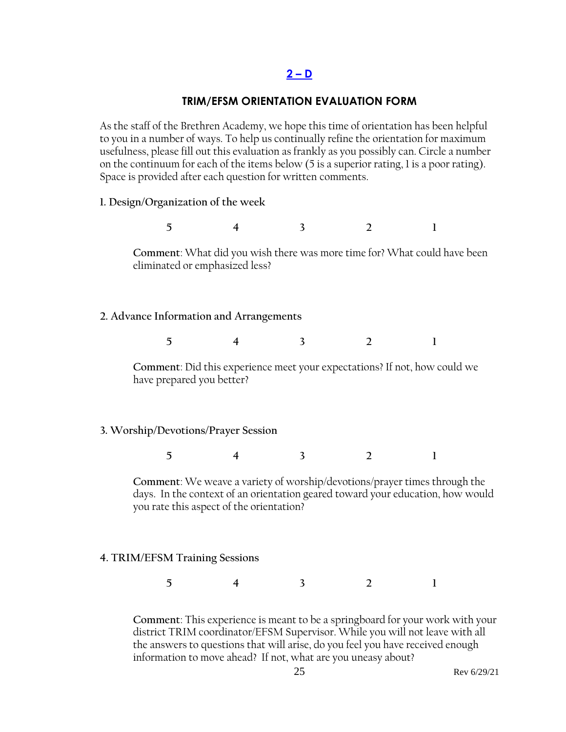#### **2 – D**

#### **TRIM/EFSM ORIENTATION EVALUATION FORM**

As the staff of the Brethren Academy, we hope this time of orientation has been helpful to you in a number of ways. To help us continually refine the orientation for maximum usefulness, please fill out this evaluation as frankly as you possibly can. Circle a number on the continuum for each of the items below (5 is a superior rating, 1 is a poor rating). Space is provided after each question for written comments.

#### **1. Design/Organization of the week**

**5 4 3 2 1**

**Comment**: What did you wish there was more time for? What could have been eliminated or emphasized less?

#### **2. Advance Information and Arrangements**

**5 4 3 2 1**

**Comment**: Did this experience meet your expectations? If not, how could we have prepared you better?

#### **3. Worship/Devotions/Prayer Session**

**5 4 3 2 1**

**Comment**: We weave a variety of worship/devotions/prayer times through the days. In the context of an orientation geared toward your education, how would you rate this aspect of the orientation?

#### **4. TRIM/EFSM Training Sessions**

**5 4 3 2 1**

**Comment**: This experience is meant to be a springboard for your work with your district TRIM coordinator/EFSM Supervisor. While you will not leave with all the answers to questions that will arise, do you feel you have received enough information to move ahead? If not, what are you uneasy about?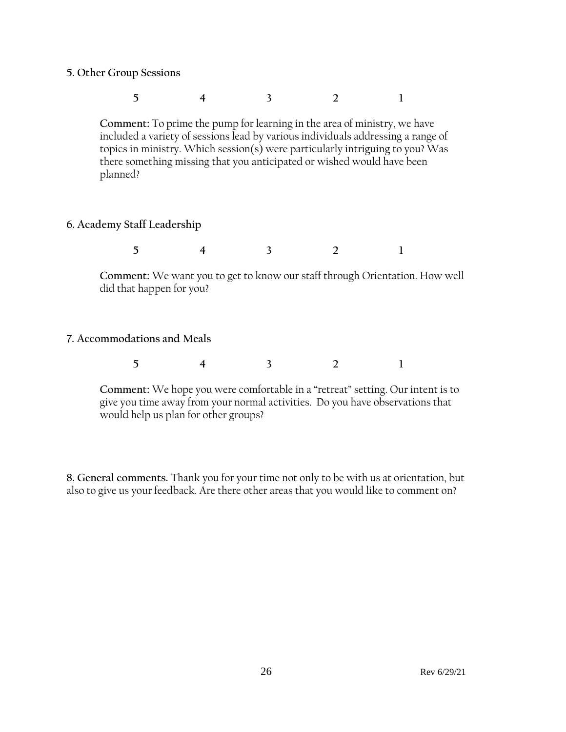- **5. Other Group Sessions**
	- **5 4 3 2 1**

**Comment:** To prime the pump for learning in the area of ministry, we have included a variety of sessions lead by various individuals addressing a range of topics in ministry. Which session(s) were particularly intriguing to you? Was there something missing that you anticipated or wished would have been planned?

**6. Academy Staff Leadership**

**5 4 3 2 1**

**Comment:** We want you to get to know our staff through Orientation. How well did that happen for you?

**7. Accommodations and Meals** 

|  |  |  |  |  | $\sim$<br>- |
|--|--|--|--|--|-------------|
|--|--|--|--|--|-------------|

**Comment:** We hope you were comfortable in a "retreat" setting. Our intent is to give you time away from your normal activities. Do you have observations that would help us plan for other groups?

**8. General comments.** Thank you for your time not only to be with us at orientation, but also to give us your feedback. Are there other areas that you would like to comment on?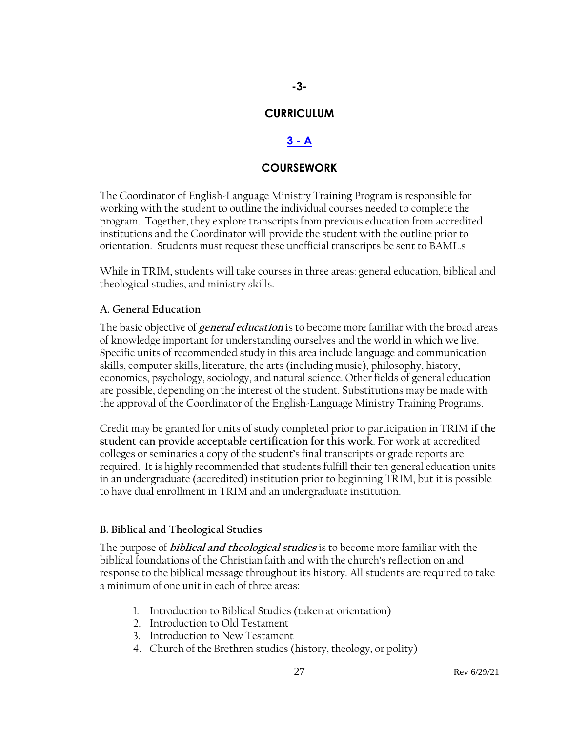#### **CURRICULUM**

#### **[3 -](#page-2-1) A**

#### **COURSEWORK**

<span id="page-26-0"></span>The Coordinator of English-Language Ministry Training Program is responsible for working with the student to outline the individual courses needed to complete the program. Together, they explore transcripts from previous education from accredited institutions and the Coordinator will provide the student with the outline prior to orientation. Students must request these unofficial transcripts be sent to BAML.s

While in TRIM, students will take courses in three areas: general education, biblical and theological studies, and ministry skills.

#### **A. General Education**

The basic objective of **general education** is to become more familiar with the broad areas of knowledge important for understanding ourselves and the world in which we live. Specific units of recommended study in this area include language and communication skills, computer skills, literature, the arts (including music), philosophy, history, economics, psychology, sociology, and natural science. Other fields of general education are possible, depending on the interest of the student. Substitutions may be made with the approval of the Coordinator of the English-Language Ministry Training Programs.

Credit may be granted for units of study completed prior to participation in TRIM **if the student can provide acceptable certification for this work**. For work at accredited colleges or seminaries a copy of the student's final transcripts or grade reports are required. It is highly recommended that students fulfill their ten general education units in an undergraduate (accredited) institution prior to beginning TRIM, but it is possible to have dual enrollment in TRIM and an undergraduate institution.

#### **B. Biblical and Theological Studies**

The purpose of **biblical and theological studies** is to become more familiar with the biblical foundations of the Christian faith and with the church's reflection on and response to the biblical message throughout its history. All students are required to take a minimum of one unit in each of three areas:

- 1. Introduction to Biblical Studies (taken at orientation)
- 2. Introduction to Old Testament
- 3. Introduction to New Testament
- 4. Church of the Brethren studies (history, theology, or polity)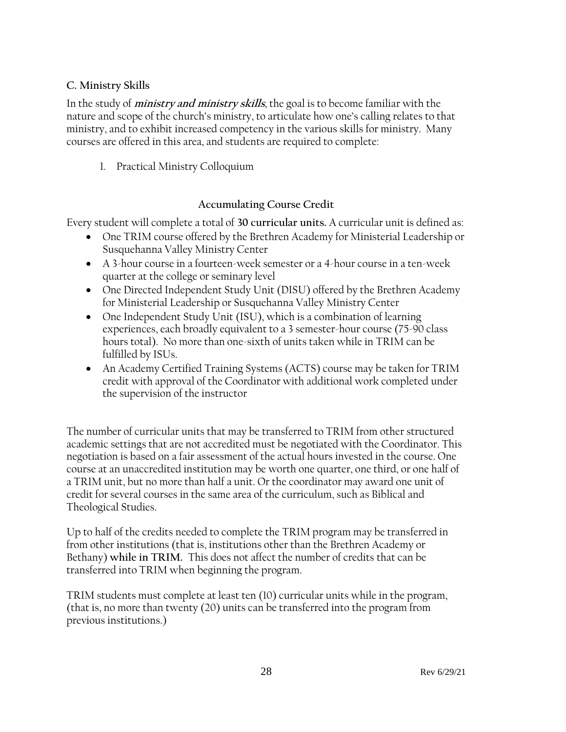#### **C. Ministry Skills**

In the study of **ministry and ministry skills**, the goal is to become familiar with the nature and scope of the church's ministry, to articulate how one's calling relates to that ministry, and to exhibit increased competency in the various skills for ministry. Many courses are offered in this area, and students are required to complete:

1. Practical Ministry Colloquium

#### **Accumulating Course Credit**

Every student will complete a total of **30 curricular units.** A curricular unit is defined as:

- One TRIM course offered by the Brethren Academy for Ministerial Leadership or Susquehanna Valley Ministry Center
- A 3-hour course in a fourteen-week semester or a 4-hour course in a ten-week quarter at the college or seminary level
- One Directed Independent Study Unit (DISU) offered by the Brethren Academy for Ministerial Leadership or Susquehanna Valley Ministry Center
- One Independent Study Unit (ISU), which is a combination of learning experiences, each broadly equivalent to a 3 semester-hour course (75-90 class hours total). No more than one-sixth of units taken while in TRIM can be fulfilled by ISUs.
- An Academy Certified Training Systems (ACTS) course may be taken for TRIM credit with approval of the Coordinator with additional work completed under the supervision of the instructor

The number of curricular units that may be transferred to TRIM from other structured academic settings that are not accredited must be negotiated with the Coordinator. This negotiation is based on a fair assessment of the actual hours invested in the course. One course at an unaccredited institution may be worth one quarter, one third, or one half of a TRIM unit, but no more than half a unit. Or the coordinator may award one unit of credit for several courses in the same area of the curriculum, such as Biblical and Theological Studies.

Up to half of the credits needed to complete the TRIM program may be transferred in from other institutions (that is, institutions other than the Brethren Academy or Bethany) **while in TRIM.** This does not affect the number of credits that can be transferred into TRIM when beginning the program.

TRIM students must complete at least ten (10) curricular units while in the program, (that is, no more than twenty (20) units can be transferred into the program from previous institutions.)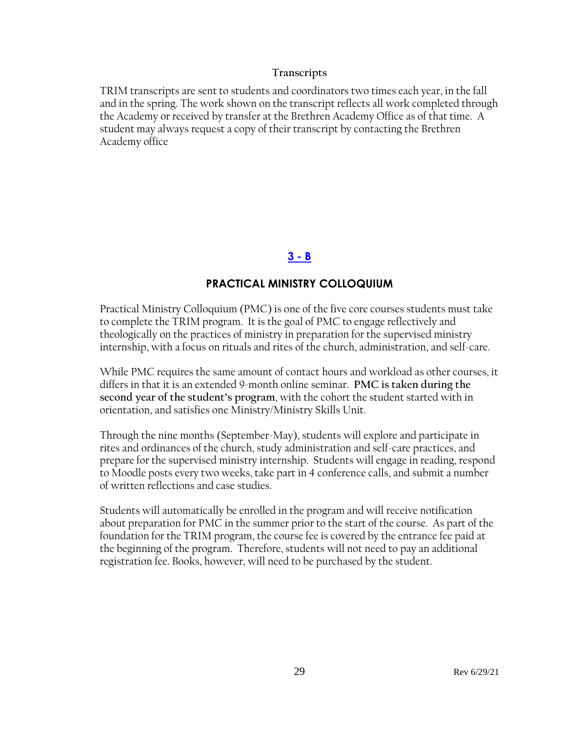#### **Transcripts**

TRIM transcripts are sent to students and coordinators two times each year, in the fall and in the spring. The work shown on the transcript reflects all work completed through the Academy or received by transfer at the Brethren Academy Office as of that time. A student may always request a copy of their transcript by contacting the Brethren Academy office

#### **[3 -](#page-2-1) B**

#### **PRACTICAL MINISTRY COLLOQUIUM**

<span id="page-28-0"></span>Practical Ministry Colloquium (PMC) is one of the five core courses students must take to complete the TRIM program. It is the goal of PMC to engage reflectively and theologically on the practices of ministry in preparation for the supervised ministry internship, with a focus on rituals and rites of the church, administration, and self-care.

While PMC requires the same amount of contact hours and workload as other courses, it differs in that it is an extended 9-month online seminar. **PMC is taken during the second year of the student's program**, with the cohort the student started with in orientation, and satisfies one Ministry/Ministry Skills Unit.

Through the nine months (September-May), students will explore and participate in rites and ordinances of the church, study administration and self-care practices, and prepare for the supervised ministry internship. Students will engage in reading, respond to Moodle posts every two weeks, take part in 4 conference calls, and submit a number of written reflections and case studies.

Students will automatically be enrolled in the program and will receive notification about preparation for PMC in the summer prior to the start of the course. As part of the foundation for the TRIM program, the course fee is covered by the entrance fee paid at the beginning of the program. Therefore, students will not need to pay an additional registration fee. Books, however, will need to be purchased by the student.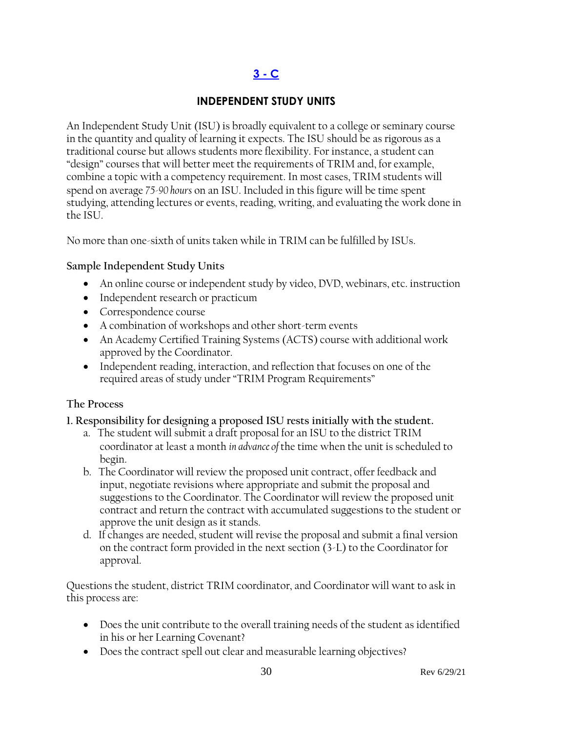# **[3 -](#page-2-1) C**

# **INDEPENDENT STUDY UNITS**

<span id="page-29-0"></span>An Independent Study Unit (ISU) is broadly equivalent to a college or seminary course in the quantity and quality of learning it expects. The ISU should be as rigorous as a traditional course but allows students more flexibility. For instance, a student can "design" courses that will better meet the requirements of TRIM and, for example, combine a topic with a competency requirement. In most cases, TRIM students will spend on average *75-90 hours* on an ISU. Included in this figure will be time spent studying, attending lectures or events, reading, writing, and evaluating the work done in the ISU.

No more than one-sixth of units taken while in TRIM can be fulfilled by ISUs.

#### **Sample Independent Study Units**

- An online course or independent study by video, DVD, webinars, etc. instruction
- Independent research or practicum
- Correspondence course
- A combination of workshops and other short-term events
- An Academy Certified Training Systems (ACTS) course with additional work approved by the Coordinator.
- Independent reading, interaction, and reflection that focuses on one of the required areas of study under "TRIM Program Requirements"

### **The Process**

#### **1. Responsibility for designing a proposed ISU rests initially with the student.**

- a. The student will submit a draft proposal for an ISU to the district TRIM coordinator at least a month *in advance of* the time when the unit is scheduled to begin.
- b. The Coordinator will review the proposed unit contract, offer feedback and input, negotiate revisions where appropriate and submit the proposal and suggestions to the Coordinator. The Coordinator will review the proposed unit contract and return the contract with accumulated suggestions to the student or approve the unit design as it stands.
- d. If changes are needed, student will revise the proposal and submit a final version on the contract form provided in the next section (3-L) to the Coordinator for approval.

Questions the student, district TRIM coordinator, and Coordinator will want to ask in this process are:

- Does the unit contribute to the overall training needs of the student as identified in his or her Learning Covenant?
- Does the contract spell out clear and measurable learning objectives?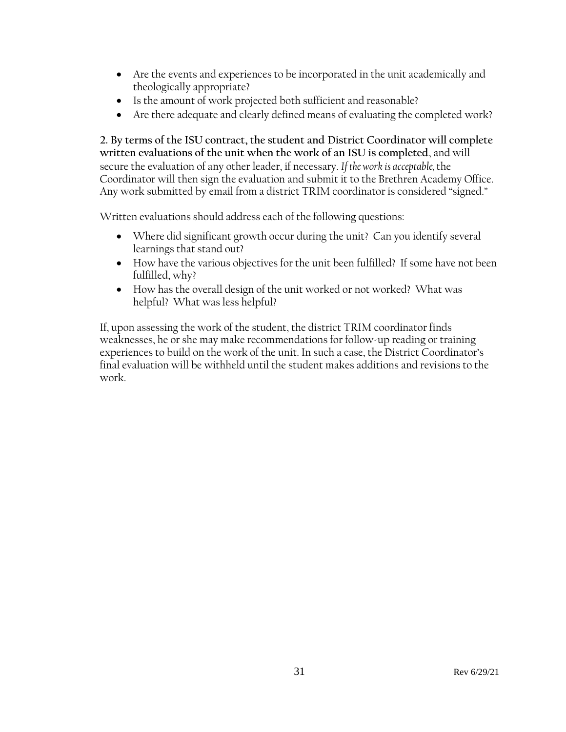- Are the events and experiences to be incorporated in the unit academically and theologically appropriate?
- Is the amount of work projected both sufficient and reasonable?
- Are there adequate and clearly defined means of evaluating the completed work?

**2. By terms of the ISU contract,** t**he student and District Coordinator will complete written evaluations of the unit when the work of an ISU is completed**, and will secure the evaluation of any other leader, if necessary. *If the work is acceptable,* the Coordinator will then sign the evaluation and submit it to the Brethren Academy Office. Any work submitted by email from a district TRIM coordinator is considered "signed."

Written evaluations should address each of the following questions:

- Where did significant growth occur during the unit? Can you identify several learnings that stand out?
- How have the various objectives for the unit been fulfilled? If some have not been fulfilled, why?
- How has the overall design of the unit worked or not worked? What was helpful? What was less helpful?

If, upon assessing the work of the student, the district TRIM coordinator finds weaknesses, he or she may make recommendations for follow-up reading or training experiences to build on the work of the unit. In such a case, the District Coordinator's final evaluation will be withheld until the student makes additions and revisions to the work.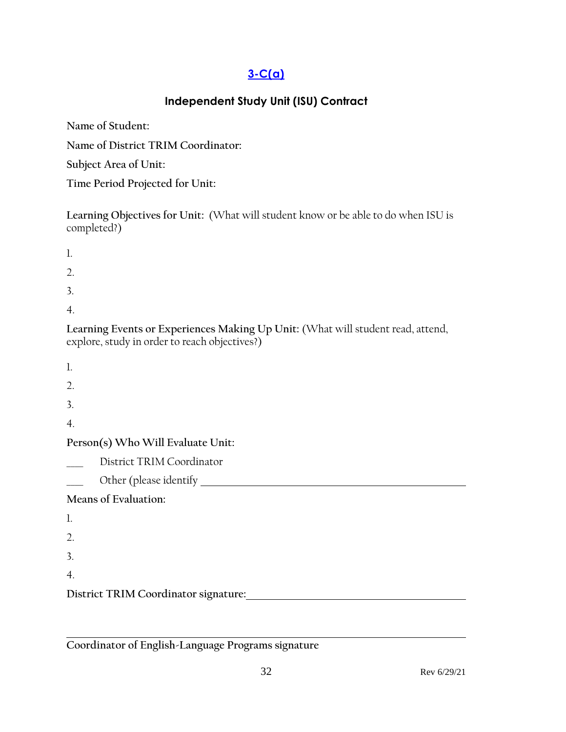# **[3-C\(a\)](#page-2-0)**

# **Independent Study Unit (ISU) Contract**

<span id="page-31-0"></span>**Name of Student:**

**Name of District TRIM Coordinator:**

**Subject Area of Unit:**

**Time Period Projected for Unit:**

**Learning Objectives for Unit:** (What will student know or be able to do when ISU is completed?)

| 1.                                                                                                                               |
|----------------------------------------------------------------------------------------------------------------------------------|
| 2.                                                                                                                               |
| 3.                                                                                                                               |
| 4.                                                                                                                               |
| Learning Events or Experiences Making Up Unit: (What will student read, attend,<br>explore, study in order to reach objectives?) |
| $\mathbf{1}$                                                                                                                     |
| 2.                                                                                                                               |
| 3.                                                                                                                               |
| $\overline{4}$ .                                                                                                                 |
| Person(s) Who Will Evaluate Unit:                                                                                                |
| District TRIM Coordinator                                                                                                        |
|                                                                                                                                  |
| Means of Evaluation:                                                                                                             |
| 1.                                                                                                                               |
| 2.                                                                                                                               |
| 3.                                                                                                                               |
| $\overline{4}$ .                                                                                                                 |
| District TRIM Coordinator signature:                                                                                             |
|                                                                                                                                  |

**Coordinator of English-Language Programs signature**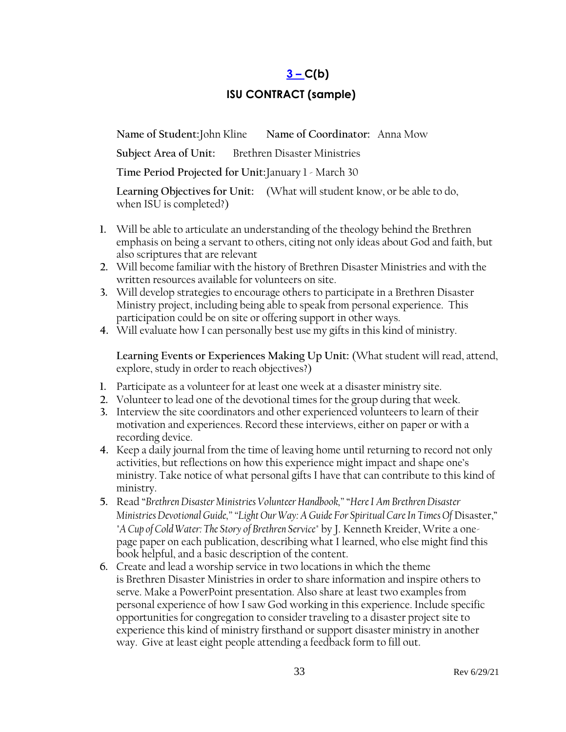# **[3](#page-2-1) – C(b)**

# **ISU CONTRACT (sample)**

<span id="page-32-0"></span>**Name of Student:**John Kline **Name of Coordinator:** Anna Mow

**Subject Area of Unit:** Brethren Disaster Ministries

**Time Period Projected for Unit:**January 1 - March 30

**Learning Objectives for Unit:** (What will student know, or be able to do, when ISU is completed?)

- **1.** Will be able to articulate an understanding of the theology behind the Brethren emphasis on being a servant to others, citing not only ideas about God and faith, but also scriptures that are relevant
- **2.** Will become familiar with the history of Brethren Disaster Ministries and with the written resources available for volunteers on site.
- **3.** Will develop strategies to encourage others to participate in a Brethren Disaster Ministry project, including being able to speak from personal experience. This participation could be on site or offering support in other ways.
- **4.** Will evaluate how I can personally best use my gifts in this kind of ministry.

**Learning Events or Experiences Making Up Unit:** (What student will read, attend, explore, study in order to reach objectives?)

- **1.** Participate as a volunteer for at least one week at a disaster ministry site.
- **2.** Volunteer to lead one of the devotional times for the group during that week.
- **3.** Interview the site coordinators and other experienced volunteers to learn of their motivation and experiences. Record these interviews, either on paper or with a recording device.
- **4.** Keep a daily journal from the time of leaving home until returning to record not only activities, but reflections on how this experience might impact and shape one's ministry. Take notice of what personal gifts I have that can contribute to this kind of ministry.
- **5.** Read "*Brethren Disaster Ministries Volunteer Handbook,"* "*Here I Am Brethren Disaster Ministries Devotional Guide," "Light Our Way: A Guide For Spiritual Care In Times Of* Disaster," *"A Cup of Cold Water: The Story of Brethren Service"* by J. Kenneth Kreider, Write a onepage paper on each publication, describing what I learned, who else might find this book helpful, and a basic description of the content.
- **6.** Create and lead a worship service in two locations in which the theme is Brethren Disaster Ministries in order to share information and inspire others to serve. Make a PowerPoint presentation. Also share at least two examples from personal experience of how I saw God working in this experience. Include specific opportunities for congregation to consider traveling to a disaster project site to experience this kind of ministry firsthand or support disaster ministry in another way. Give at least eight people attending a feedback form to fill out.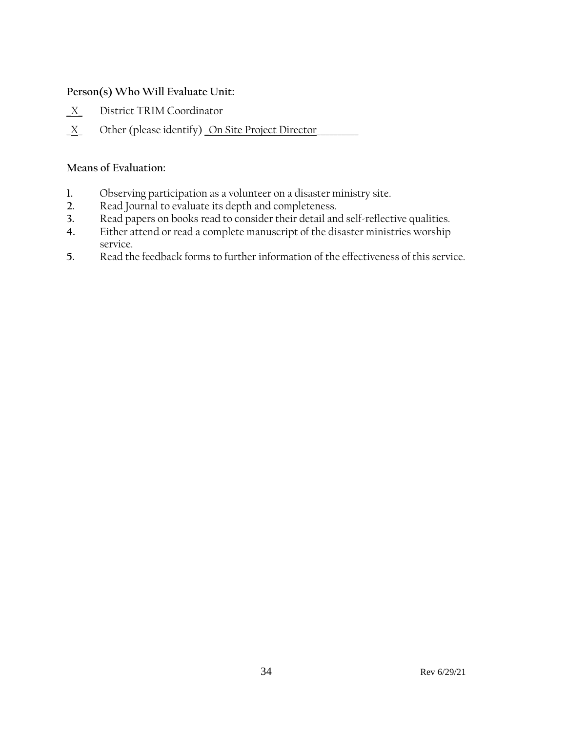#### **Person(s) Who Will Evaluate Unit:**

- **\_**X\_ District TRIM Coordinator
- \_X\_ Other (please identify) \_On Site Project Director\_\_\_\_\_\_\_\_\_\_

#### **Means of Evaluation:**

- **1.** Observing participation as a volunteer on a disaster ministry site.
- **2.** Read Journal to evaluate its depth and completeness.
- **3.** Read papers on books read to consider their detail and self-reflective qualities.
- Either attend or read a complete manuscript of the disaster ministries worship service.
- **5.** Read the feedback forms to further information of the effectiveness of this service.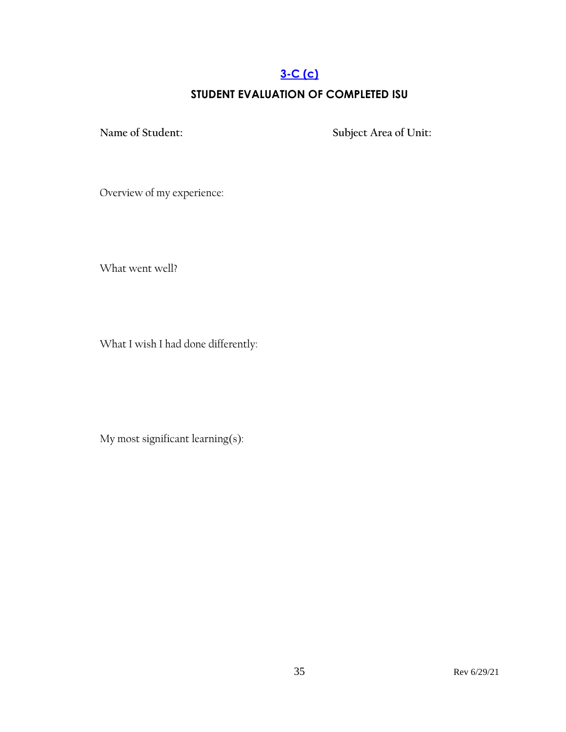# **[3-C](#page-2-0) (c)**

# **STUDENT EVALUATION OF COMPLETED ISU**

<span id="page-34-0"></span>**Name of Student: Subject Area of Unit:**

Overview of my experience:

What went well?

What I wish I had done differently:

My most significant learning(s):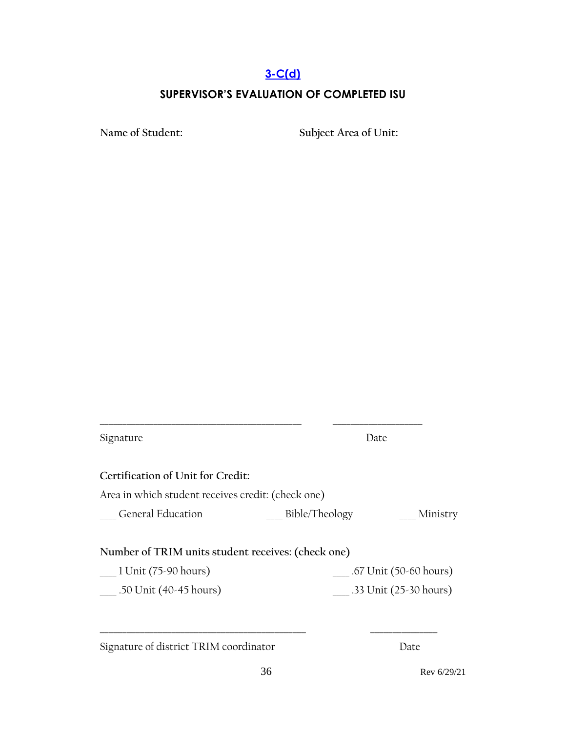#### **[3-C\(d\)](#page-2-0)**

#### **SUPERVISOR'S EVALUATION OF COMPLETED ISU**

<span id="page-35-0"></span>**Name of Student: Subject Area of Unit:**

Signature Date **Certification of Unit for Credit:** Area in which student receives credit: (check one) \_\_\_\_ General Education \_\_\_\_ Bible/Theology \_\_\_\_ Ministry **Number of TRIM units student receives: (check one)** \_\_\_\_ 1 Unit (75-90 hours) \_\_\_\_ .67 Unit (50-60 hours) \_\_\_\_ .50 Unit (40-45 hours) \_\_\_\_ .33 Unit (25-30 hours) **\_\_\_\_\_\_\_\_\_\_\_\_\_\_\_\_\_\_\_\_\_\_\_\_\_\_\_\_\_\_\_\_\_\_\_\_\_\_\_\_\_\_\_\_\_\_ \_\_\_\_\_\_\_\_\_\_\_\_\_\_\_** Signature of district TRIM coordinator Date

**\_\_\_\_\_\_\_\_\_\_\_\_\_\_\_\_\_\_\_\_\_\_\_\_\_\_\_\_\_\_\_\_\_\_\_\_\_\_\_\_\_\_\_\_\_ \_\_\_\_\_\_\_\_\_\_\_\_\_\_\_\_\_\_\_\_**

36 Rev 6/29/21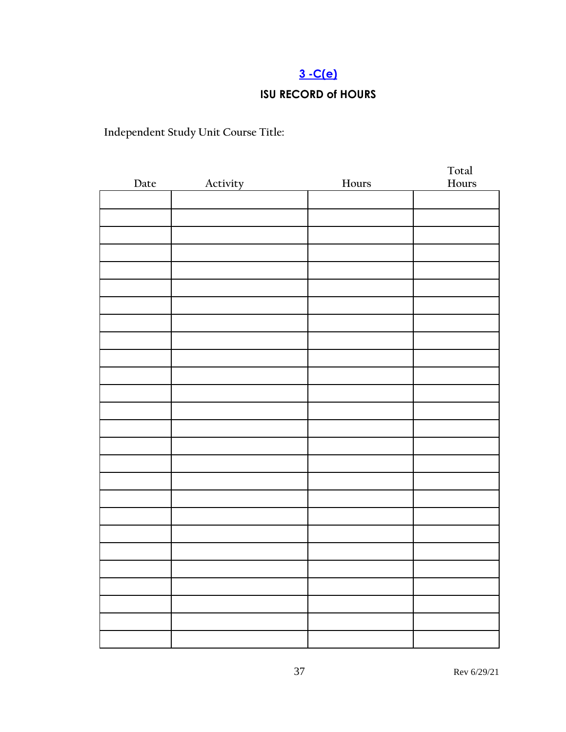# **[3 -C\(e\)](#page-2-0)**

# **ISU RECORD of HOURS**

**Independent Study Unit Course Title:**

| Date | Activity<br>$\mathcal{L} = \mathcal{L}$ | ${\hbox{Hours}}$ | Total<br>Hours |
|------|-----------------------------------------|------------------|----------------|
|      |                                         |                  |                |
|      |                                         |                  |                |
|      |                                         |                  |                |
|      |                                         |                  |                |
|      |                                         |                  |                |
|      |                                         |                  |                |
|      |                                         |                  |                |
|      |                                         |                  |                |
|      |                                         |                  |                |
|      |                                         |                  |                |
|      |                                         |                  |                |
|      |                                         |                  |                |
|      |                                         |                  |                |
|      |                                         |                  |                |
|      |                                         |                  |                |
|      |                                         |                  |                |
|      |                                         |                  |                |
|      |                                         |                  |                |
|      |                                         |                  |                |
|      |                                         |                  |                |
|      |                                         |                  |                |
|      |                                         |                  |                |
|      |                                         |                  |                |
|      |                                         |                  |                |
|      |                                         |                  |                |
|      |                                         |                  |                |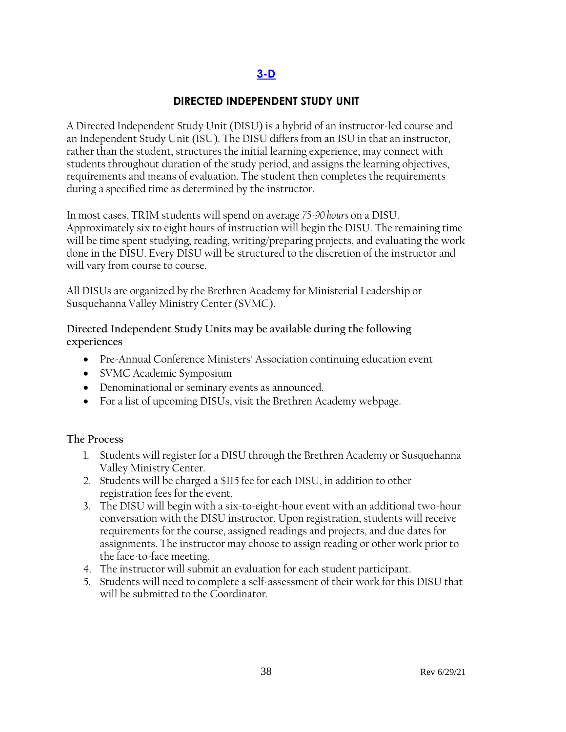# **[3-D](#page-2-1)**

### **DIRECTED INDEPENDENT STUDY UNIT**

A Directed Independent Study Unit (DISU) is a hybrid of an instructor-led course and an Independent Study Unit (ISU). The DISU differs from an ISU in that an instructor, rather than the student, structures the initial learning experience, may connect with students throughout duration of the study period, and assigns the learning objectives, requirements and means of evaluation. The student then completes the requirements during a specified time as determined by the instructor.

In most cases, TRIM students will spend on average *75-90 hours* on a DISU. Approximately six to eight hours of instruction will begin the DISU. The remaining time will be time spent studying, reading, writing/preparing projects, and evaluating the work done in the DISU. Every DISU will be structured to the discretion of the instructor and will vary from course to course.

All DISUs are organized by the Brethren Academy for Ministerial Leadership or Susquehanna Valley Ministry Center (SVMC).

#### **Directed Independent Study Units may be available during the following experiences**

- Pre-Annual Conference Ministers' Association continuing education event
- SVMC Academic Symposium
- Denominational or seminary events as announced.
- For a list of upcoming DISUs, visit the Brethren Academy webpage.

#### **The Process**

- 1. Students will register for a DISU through the Brethren Academy or Susquehanna Valley Ministry Center.
- 2. Students will be charged a \$115 fee for each DISU, in addition to other registration fees for the event.
- 3. The DISU will begin with a six-to-eight-hour event with an additional two-hour conversation with the DISU instructor. Upon registration, students will receive requirements for the course, assigned readings and projects, and due dates for assignments. The instructor may choose to assign reading or other work prior to the face-to-face meeting.
- 4. The instructor will submit an evaluation for each student participant.
- 5. Students will need to complete a self-assessment of their work for this DISU that will be submitted to the Coordinator.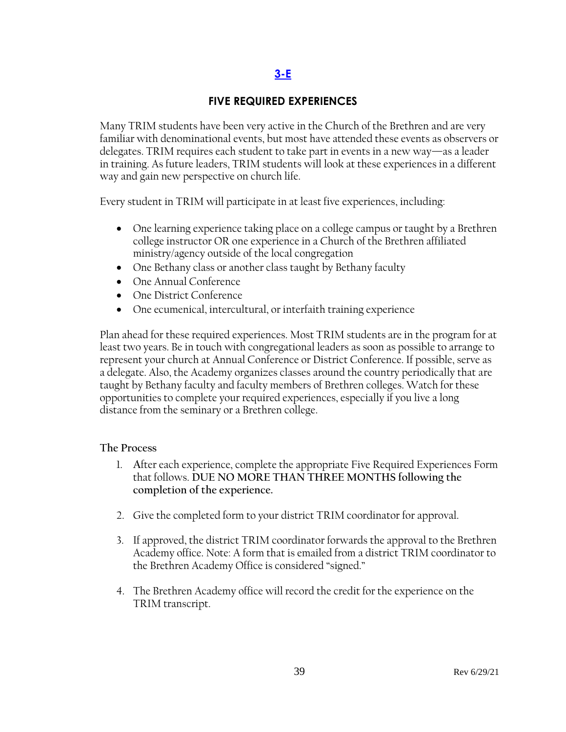# **[3-E](#page-2-1)**

## **FIVE REQUIRED EXPERIENCES**

Many TRIM students have been very active in the Church of the Brethren and are very familiar with denominational events, but most have attended these events as observers or delegates. TRIM requires each student to take part in events in a new way—as a leader in training. As future leaders, TRIM students will look at these experiences in a different way and gain new perspective on church life.

Every student in TRIM will participate in at least five experiences, including:

- One learning experience taking place on a college campus or taught by a Brethren college instructor OR one experience in a Church of the Brethren affiliated ministry/agency outside of the local congregation
- One Bethany class or another class taught by Bethany faculty
- One Annual Conference
- One District Conference
- One ecumenical, intercultural, or interfaith training experience

Plan ahead for these required experiences. Most TRIM students are in the program for at least two years. Be in touch with congregational leaders as soon as possible to arrange to represent your church at Annual Conference or District Conference. If possible, serve as a delegate. Also, the Academy organizes classes around the country periodically that are taught by Bethany faculty and faculty members of Brethren colleges. Watch for these opportunities to complete your required experiences, especially if you live a long distance from the seminary or a Brethren college.

### **The Process**

- 1. **A**fter each experience, complete the appropriate Five Required Experiences Form that follows. **DUE NO MORE THAN THREE MONTHS following the completion of the experience.**
- 2. Give the completed form to your district TRIM coordinator for approval.
- 3. If approved, the district TRIM coordinator forwards the approval to the Brethren Academy office. Note: A form that is emailed from a district TRIM coordinator to the Brethren Academy Office is considered "signed."
- 4. The Brethren Academy office will record the credit for the experience on the TRIM transcript.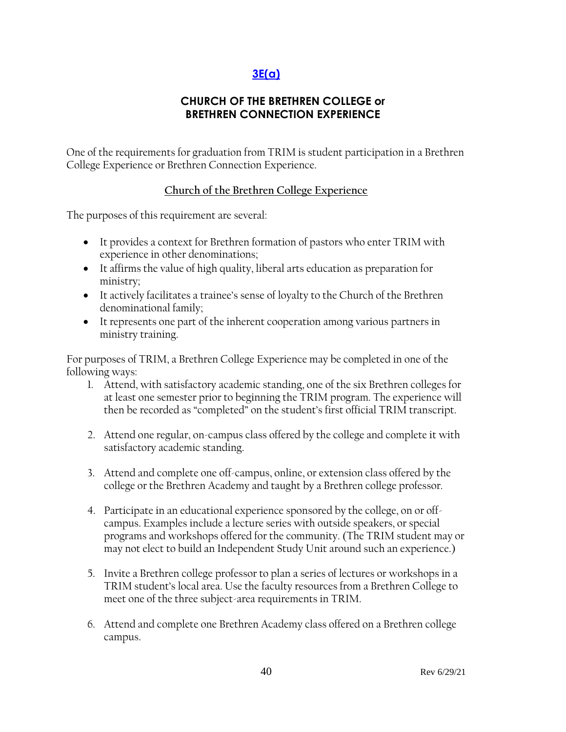# **[3E\(a\)](#page-2-1)**

## **CHURCH OF THE BRETHREN COLLEGE or BRETHREN CONNECTION EXPERIENCE**

One of the requirements for graduation from TRIM is student participation in a Brethren College Experience or Brethren Connection Experience.

### **Church of the Brethren College Experience**

The purposes of this requirement are several:

- It provides a context for Brethren formation of pastors who enter TRIM with experience in other denominations;
- It affirms the value of high quality, liberal arts education as preparation for ministry;
- It actively facilitates a trainee's sense of loyalty to the Church of the Brethren denominational family;
- It represents one part of the inherent cooperation among various partners in ministry training.

For purposes of TRIM, a Brethren College Experience may be completed in one of the following ways:

- 1. Attend, with satisfactory academic standing, one of the six Brethren colleges for at least one semester prior to beginning the TRIM program. The experience will then be recorded as "completed" on the student's first official TRIM transcript.
- 2. Attend one regular, on-campus class offered by the college and complete it with satisfactory academic standing.
- 3. Attend and complete one off-campus, online, or extension class offered by the college or the Brethren Academy and taught by a Brethren college professor.
- 4. Participate in an educational experience sponsored by the college, on or offcampus. Examples include a lecture series with outside speakers, or special programs and workshops offered for the community. (The TRIM student may or may not elect to build an Independent Study Unit around such an experience.)
- 5. Invite a Brethren college professor to plan a series of lectures or workshops in a TRIM student's local area. Use the faculty resources from a Brethren College to meet one of the three subject-area requirements in TRIM.
- 6. Attend and complete one Brethren Academy class offered on a Brethren college campus.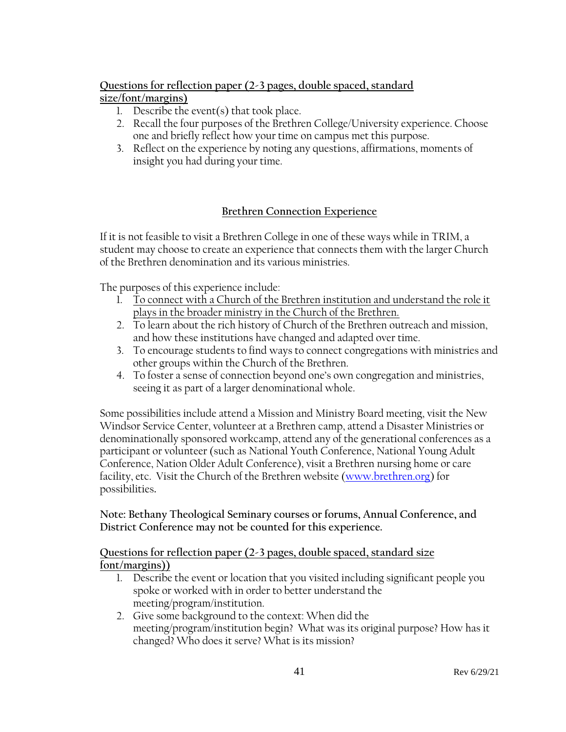## **Questions for reflection paper (2-3 pages, double spaced, standard**

### **size/font/margins)**

- 1. Describe the event(s) that took place.
- 2. Recall the four purposes of the Brethren College/University experience. Choose one and briefly reflect how your time on campus met this purpose.
- 3. Reflect on the experience by noting any questions, affirmations, moments of insight you had during your time.

## **Brethren Connection Experience**

If it is not feasible to visit a Brethren College in one of these ways while in TRIM, a student may choose to create an experience that connects them with the larger Church of the Brethren denomination and its various ministries.

The purposes of this experience include:

- 1. To connect with a Church of the Brethren institution and understand the role it plays in the broader ministry in the Church of the Brethren.
- 2. To learn about the rich history of Church of the Brethren outreach and mission, and how these institutions have changed and adapted over time.
- 3. To encourage students to find ways to connect congregations with ministries and other groups within the Church of the Brethren.
- 4. To foster a sense of connection beyond one's own congregation and ministries, seeing it as part of a larger denominational whole.

Some possibilities include attend a Mission and Ministry Board meeting, visit the New Windsor Service Center, volunteer at a Brethren camp, attend a Disaster Ministries or denominationally sponsored workcamp, attend any of the generational conferences as a participant or volunteer (such as National Youth Conference, National Young Adult Conference, Nation Older Adult Conference), visit a Brethren nursing home or care facility, etc. Visit the Church of the Brethren website [\(www.brethren.org\)](http://www.brethren.org/) for possibilities**.** 

### **Note: Bethany Theological Seminary courses or forums, Annual Conference, and District Conference may not be counted for this experience.**

### **Questions for reflection paper (2-3 pages, double spaced, standard size font/margins))**

- 1. Describe the event or location that you visited including significant people you spoke or worked with in order to better understand the meeting/program/institution.
- 2. Give some background to the context: When did the meeting/program/institution begin? What was its original purpose? How has it changed? Who does it serve? What is its mission?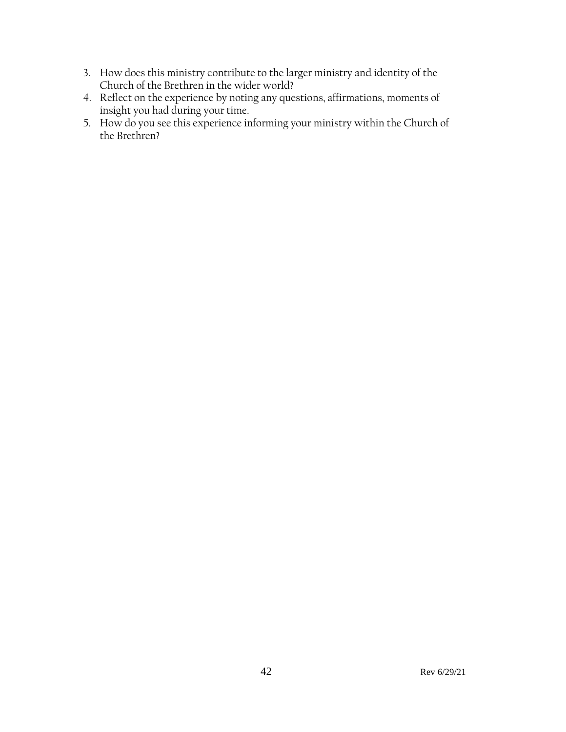- 3. How does this ministry contribute to the larger ministry and identity of the Church of the Brethren in the wider world?
- 4. Reflect on the experience by noting any questions, affirmations, moments of insight you had during your time.
- 5. How do you see this experience informing your ministry within the Church of the Brethren?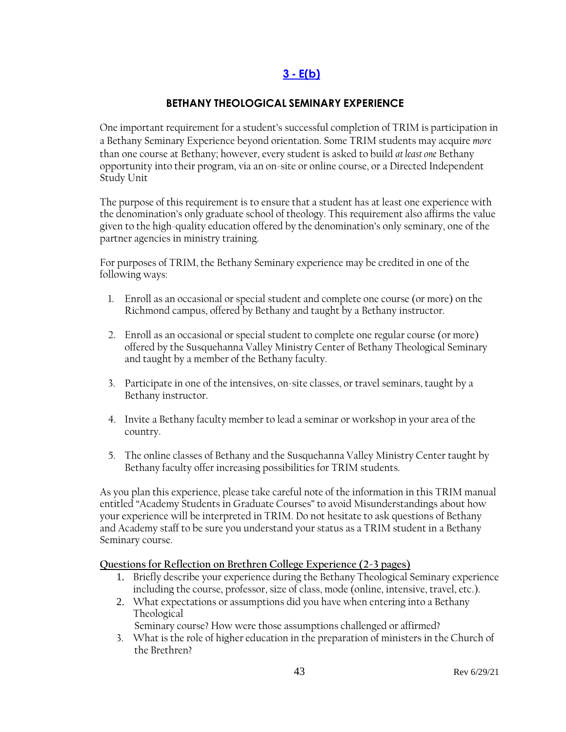## **3 - [E\(b\)](#page-2-1)**

### **BETHANY THEOLOGICAL SEMINARY EXPERIENCE**

One important requirement for a student's successful completion of TRIM is participation in a Bethany Seminary Experience beyond orientation. Some TRIM students may acquire *more* than one course at Bethany; however, every student is asked to build *at least one* Bethany opportunity into their program, via an on-site or online course, or a Directed Independent Study Unit

The purpose of this requirement is to ensure that a student has at least one experience with the denomination's only graduate school of theology. This requirement also affirms the value given to the high-quality education offered by the denomination's only seminary, one of the partner agencies in ministry training.

For purposes of TRIM, the Bethany Seminary experience may be credited in one of the following ways:

- 1. Enroll as an occasional or special student and complete one course (or more) on the Richmond campus, offered by Bethany and taught by a Bethany instructor.
- 2. Enroll as an occasional or special student to complete one regular course (or more) offered by the Susquehanna Valley Ministry Center of Bethany Theological Seminary and taught by a member of the Bethany faculty.
- 3. Participate in one of the intensives, on-site classes, or travel seminars, taught by a Bethany instructor.
- 4. Invite a Bethany faculty member to lead a seminar or workshop in your area of the country.
- 5. The online classes of Bethany and the Susquehanna Valley Ministry Center taught by Bethany faculty offer increasing possibilities for TRIM students.

As you plan this experience, please take careful note of the information in this TRIM manual entitled "Academy Students in Graduate Courses" to avoid Misunderstandings about how your experience will be interpreted in TRIM. Do not hesitate to ask questions of Bethany and Academy staff to be sure you understand your status as a TRIM student in a Bethany Seminary course.

**Questions for Reflection on Brethren College Experience (2-3 pages)**

- 1. Briefly describe your experience during the Bethany Theological Seminary experience including the course, professor, size of class, mode (online, intensive, travel, etc.).
- 2. What expectations or assumptions did you have when entering into a Bethany Theological

Seminary course? How were those assumptions challenged or affirmed?

3. What is the role of higher education in the preparation of ministers in the Church of the Brethren?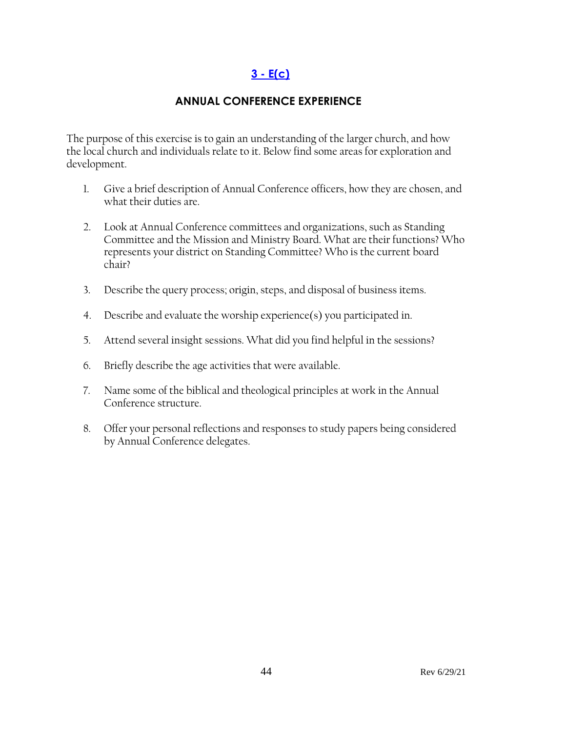# **3 - [E\(c\)](#page-2-1)**

## **ANNUAL CONFERENCE EXPERIENCE**

The purpose of this exercise is to gain an understanding of the larger church, and how the local church and individuals relate to it. Below find some areas for exploration and development.

- 1. Give a brief description of Annual Conference officers, how they are chosen, and what their duties are.
- 2. Look at Annual Conference committees and organizations, such as Standing Committee and the Mission and Ministry Board. What are their functions? Who represents your district on Standing Committee? Who is the current board chair?
- 3. Describe the query process; origin, steps, and disposal of business items.
- 4. Describe and evaluate the worship experience(s) you participated in.
- 5. Attend several insight sessions. What did you find helpful in the sessions?
- 6. Briefly describe the age activities that were available.
- 7. Name some of the biblical and theological principles at work in the Annual Conference structure.
- 8. Offer your personal reflections and responses to study papers being considered by Annual Conference delegates.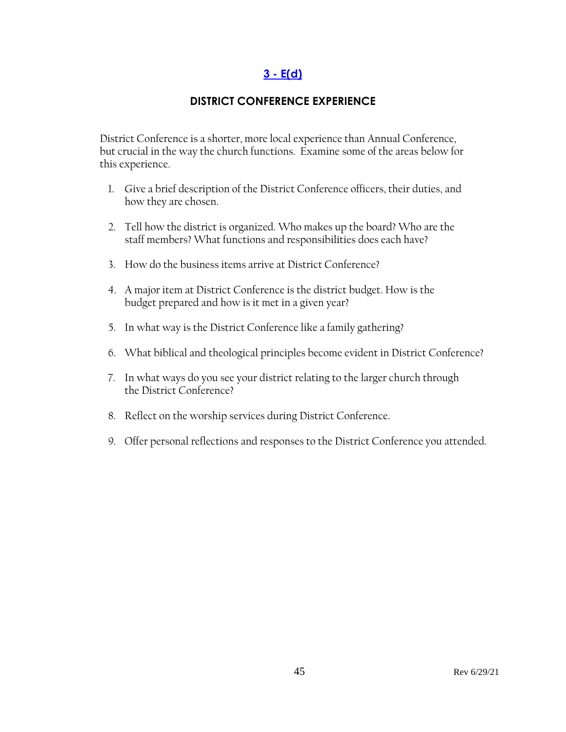# **3 - [E\(d\)](#page-2-1)**

## **DISTRICT CONFERENCE EXPERIENCE**

District Conference is a shorter, more local experience than Annual Conference, but crucial in the way the church functions. Examine some of the areas below for this experience.

- 1. Give a brief description of the District Conference officers, their duties, and how they are chosen.
- 2. Tell how the district is organized. Who makes up the board? Who are the staff members? What functions and responsibilities does each have?
- 3. How do the business items arrive at District Conference?
- 4. A major item at District Conference is the district budget. How is the budget prepared and how is it met in a given year?
- 5. In what way is the District Conference like a family gathering?
- 6. What biblical and theological principles become evident in District Conference?
- 7. In what ways do you see your district relating to the larger church through the District Conference?
- 8. Reflect on the worship services during District Conference.
- 9. Offer personal reflections and responses to the District Conference you attended.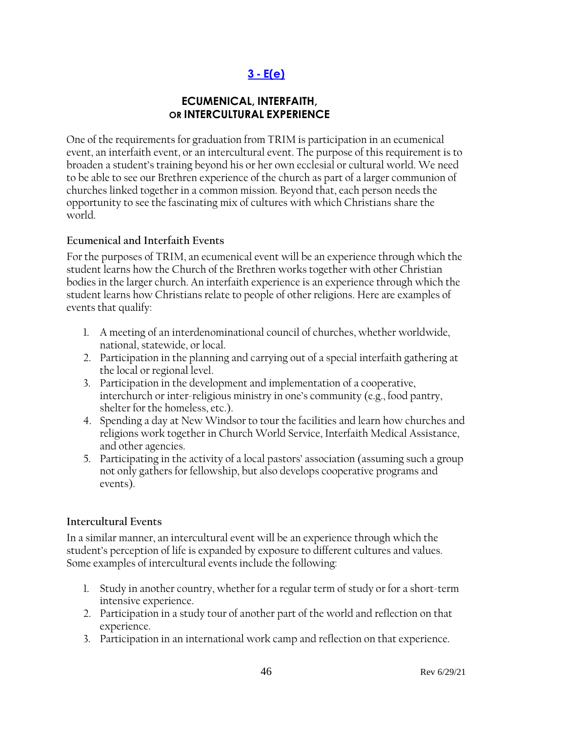# **3 - [E\(e\)](#page-2-1)**

## **ECUMENICAL, INTERFAITH, OR INTERCULTURAL EXPERIENCE**

One of the requirements for graduation from TRIM is participation in an ecumenical event, an interfaith event, or an intercultural event. The purpose of this requirement is to broaden a student's training beyond his or her own ecclesial or cultural world. We need to be able to see our Brethren experience of the church as part of a larger communion of churches linked together in a common mission. Beyond that, each person needs the opportunity to see the fascinating mix of cultures with which Christians share the world.

### **Ecumenical and Interfaith Events**

For the purposes of TRIM, an ecumenical event will be an experience through which the student learns how the Church of the Brethren works together with other Christian bodies in the larger church. An interfaith experience is an experience through which the student learns how Christians relate to people of other religions. Here are examples of events that qualify:

- 1. A meeting of an interdenominational council of churches, whether worldwide, national, statewide, or local.
- 2. Participation in the planning and carrying out of a special interfaith gathering at the local or regional level.
- 3. Participation in the development and implementation of a cooperative, interchurch or inter-religious ministry in one's community (e.g., food pantry, shelter for the homeless, etc.).
- 4. Spending a day at New Windsor to tour the facilities and learn how churches and religions work together in Church World Service, Interfaith Medical Assistance, and other agencies.
- 5. Participating in the activity of a local pastors' association (assuming such a group not only gathers for fellowship, but also develops cooperative programs and events).

## **Intercultural Events**

In a similar manner, an intercultural event will be an experience through which the student's perception of life is expanded by exposure to different cultures and values. Some examples of intercultural events include the following:

- 1. Study in another country, whether for a regular term of study or for a short-term intensive experience.
- 2. Participation in a study tour of another part of the world and reflection on that experience.
- 3. Participation in an international work camp and reflection on that experience.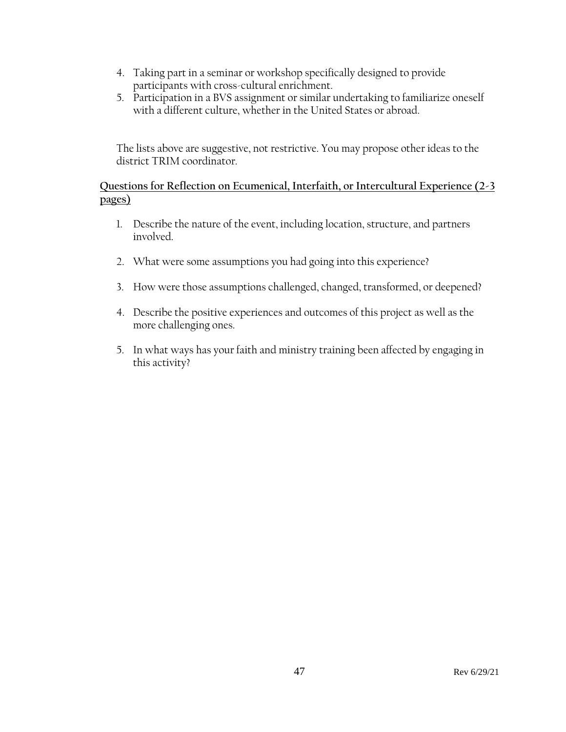- 4. Taking part in a seminar or workshop specifically designed to provide participants with cross-cultural enrichment.
- 5. Participation in a BVS assignment or similar undertaking to familiarize oneself with a different culture, whether in the United States or abroad.

The lists above are suggestive, not restrictive. You may propose other ideas to the district TRIM coordinator.

### **Questions for Reflection on Ecumenical, Interfaith, or Intercultural Experience (2-3 pages)**

- 1. Describe the nature of the event, including location, structure, and partners involved.
- 2. What were some assumptions you had going into this experience?
- 3. How were those assumptions challenged, changed, transformed, or deepened?
- 4. Describe the positive experiences and outcomes of this project as well as the more challenging ones.
- 5. In what ways has your faith and ministry training been affected by engaging in this activity?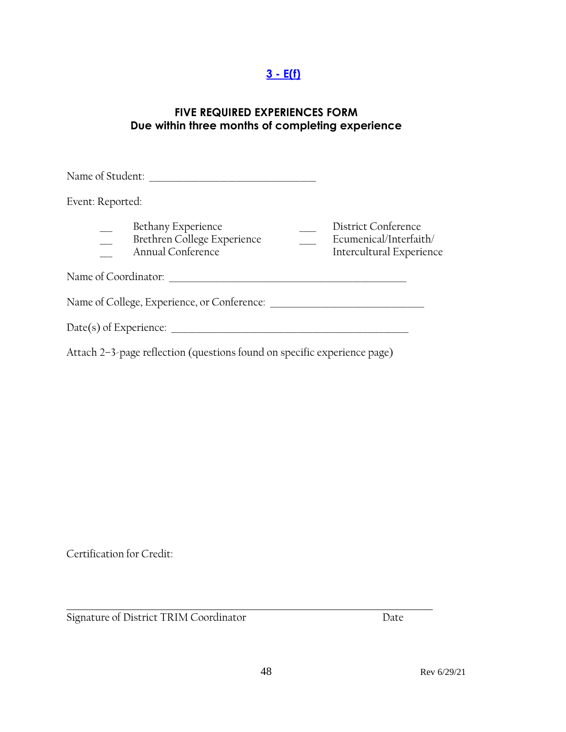# **3 - [E\(f\)](#page-2-1)**

## **FIVE REQUIRED EXPERIENCES FORM Due within three months of completing experience**

| Name of Student:     |                                                                          |                                                                           |
|----------------------|--------------------------------------------------------------------------|---------------------------------------------------------------------------|
| Event: Reported:     |                                                                          |                                                                           |
|                      | Bethany Experience<br>Brethren College Experience<br>Annual Conference   | District Conference<br>Ecumenical/Interfaith/<br>Intercultural Experience |
| Name of Coordinator: |                                                                          |                                                                           |
|                      | Name of College, Experience, or Conference:                              |                                                                           |
|                      | $Date(s)$ of Experience:                                                 |                                                                           |
|                      | Attach 2-3-page reflection (questions found on specific experience page) |                                                                           |

Certification for Credit:

Signature of District TRIM Coordinator Date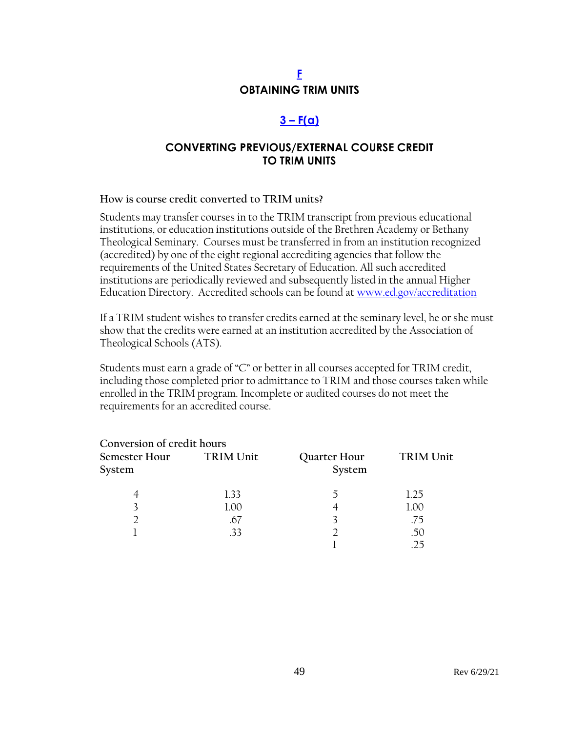# **[F](#page-2-0) OBTAINING TRIM UNITS**

# **3 – [F\(a\)](#page-2-1)**

## **CONVERTING PREVIOUS/EXTERNAL COURSE CREDIT TO TRIM UNITS**

#### **How is course credit converted to TRIM units?**

Students may transfer courses in to the TRIM transcript from previous educational institutions, or education institutions outside of the Brethren Academy or Bethany Theological Seminary. Courses must be transferred in from an institution recognized (accredited) by one of the eight regional accrediting agencies that follow the requirements of the United States Secretary of Education. All such accredited institutions are periodically reviewed and subsequently listed in the annual Higher Education Directory. Accredited schools can be found at [www.ed.gov/accreditation](http://www.ed.gov/accreditation)

If a TRIM student wishes to transfer credits earned at the seminary level, he or she must show that the credits were earned at an institution accredited by the Association of Theological Schools (ATS).

Students must earn a grade of "C" or better in all courses accepted for TRIM credit, including those completed prior to admittance to TRIM and those courses taken while enrolled in the TRIM program. Incomplete or audited courses do not meet the requirements for an accredited course.

| Conversion of credit hours |           |                        |           |
|----------------------------|-----------|------------------------|-----------|
| Semester Hour<br>System    | TRIM Unit | Quarter Hour<br>System | TRIM Unit |
|                            | 1.33      |                        | 1.25      |
| 3                          | 1.00      | 4                      | 1.00      |
|                            | .67       |                        | .75       |
|                            | .33       |                        | .50       |
|                            |           |                        | 25        |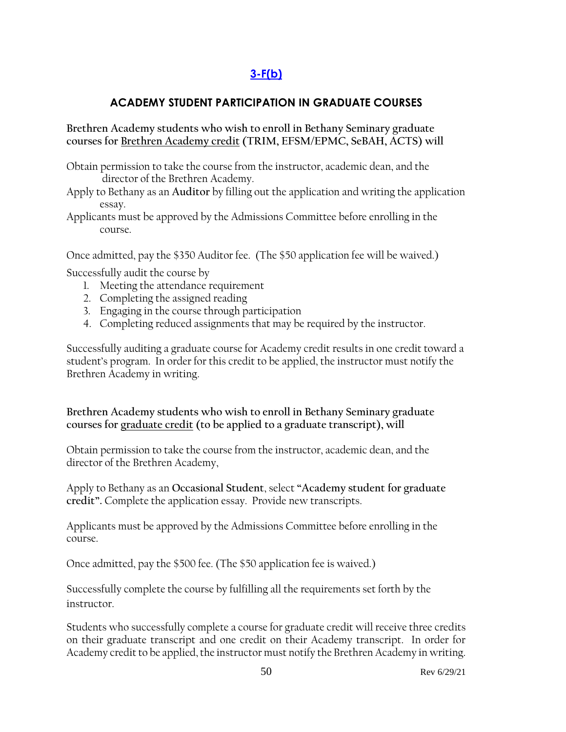# **[3-F\(b\)](#page-2-1)**

## **ACADEMY STUDENT PARTICIPATION IN GRADUATE COURSES**

### **Brethren Academy students who wish to enroll in Bethany Seminary graduate courses for Brethren Academy credit (TRIM, EFSM/EPMC, SeBAH, ACTS) will**

Obtain permission to take the course from the instructor, academic dean, and the director of the Brethren Academy.

- Apply to Bethany as an **Auditor** by filling out the application and writing the application essay.
- Applicants must be approved by the Admissions Committee before enrolling in the course.

Once admitted, pay the \$350 Auditor fee. (The \$50 application fee will be waived.)

Successfully audit the course by

- 1. Meeting the attendance requirement
- 2. Completing the assigned reading
- 3. Engaging in the course through participation
- 4. Completing reduced assignments that may be required by the instructor.

Successfully auditing a graduate course for Academy credit results in one credit toward a student's program. In order for this credit to be applied, the instructor must notify the Brethren Academy in writing.

**Brethren Academy students who wish to enroll in Bethany Seminary graduate courses for graduate credit (to be applied to a graduate transcript), will**

Obtain permission to take the course from the instructor, academic dean, and the director of the Brethren Academy,

Apply to Bethany as an **Occasional Student**, select **"Academy student for graduate credit".** Complete the application essay. Provide new transcripts.

Applicants must be approved by the Admissions Committee before enrolling in the course.

Once admitted, pay the \$500 fee. (The \$50 application fee is waived.)

Successfully complete the course by fulfilling all the requirements set forth by the instructor.

Students who successfully complete a course for graduate credit will receive three credits on their graduate transcript and one credit on their Academy transcript. In order for Academy credit to be applied, the instructor must notify the Brethren Academy in writing.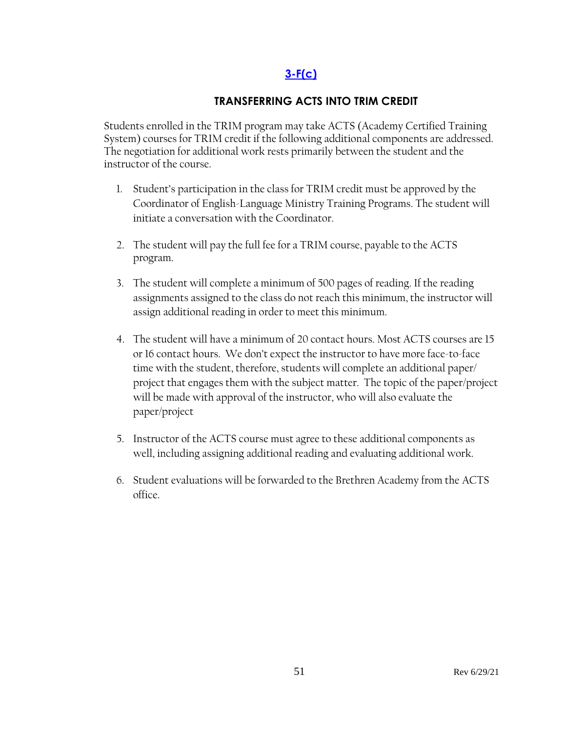# **[3-F\(c\)](#page-2-1)**

## **TRANSFERRING ACTS INTO TRIM CREDIT**

Students enrolled in the TRIM program may take ACTS (Academy Certified Training System) courses for TRIM credit if the following additional components are addressed. The negotiation for additional work rests primarily between the student and the instructor of the course.

- 1. Student's participation in the class for TRIM credit must be approved by the Coordinator of English-Language Ministry Training Programs. The student will initiate a conversation with the Coordinator.
- 2. The student will pay the full fee for a TRIM course, payable to the ACTS program.
- 3. The student will complete a minimum of 500 pages of reading. If the reading assignments assigned to the class do not reach this minimum, the instructor will assign additional reading in order to meet this minimum.
- 4. The student will have a minimum of 20 contact hours. Most ACTS courses are 15 or 16 contact hours. We don't expect the instructor to have more face-to-face time with the student, therefore, students will complete an additional paper/ project that engages them with the subject matter. The topic of the paper/project will be made with approval of the instructor, who will also evaluate the paper/project
- 5. Instructor of the ACTS course must agree to these additional components as well, including assigning additional reading and evaluating additional work.
- 6. Student evaluations will be forwarded to the Brethren Academy from the ACTS office.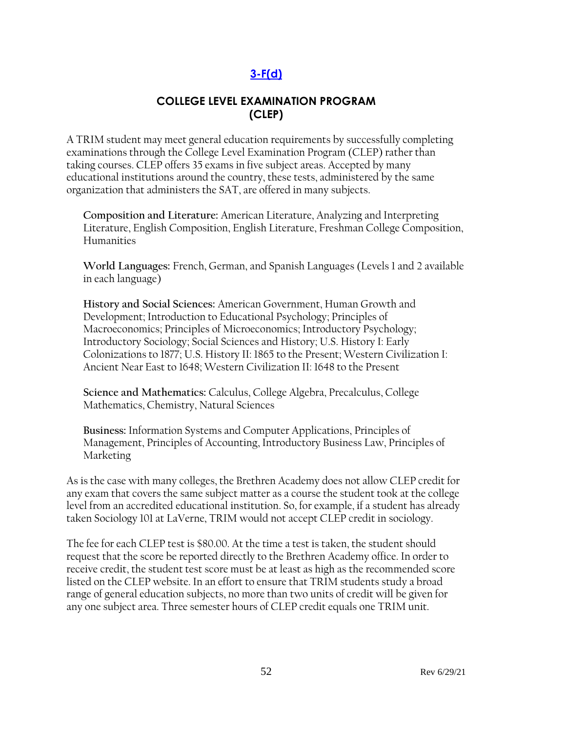# **[3-F\(d\)](#page-2-1)**

## **COLLEGE LEVEL EXAMINATION PROGRAM (CLEP)**

A TRIM student may meet general education requirements by successfully completing examinations through the College Level Examination Program (CLEP) rather than taking courses. CLEP offers 35 exams in five subject areas. Accepted by many educational institutions around the country, these tests, administered by the same organization that administers the SAT, are offered in many subjects.

**Composition and Literature:** [American Literature,](http://www.collegeboard.com/student/testing/clep/ex_al.html) [Analyzing and Interpreting](http://www.collegeboard.com/student/testing/clep/ex_ail.html)  [Literature,](http://www.collegeboard.com/student/testing/clep/ex_ail.html) [English Composition,](http://www.collegeboard.com/student/testing/clep/ex_ec.html) [English Literature,](http://www.collegeboard.com/student/testing/clep/ex_el.html) [Freshman College Composition,](http://www.collegeboard.com/student/testing/clep/ex_fcc.html) [Humanities](http://www.collegeboard.com/student/testing/clep/ex_hum.html)

**World Languages:** [French, German, and Spanish Languages \(Levels 1 and 2 available](http://www.collegeboard.com/student/testing/clep/ex_clf.html)  [in each language\)](http://www.collegeboard.com/student/testing/clep/ex_clf.html)

**History and Social Sciences:** [American Government,](http://www.collegeboard.com/student/testing/clep/ex_ag.html) [Human Growth and](http://www.collegeboard.com/student/testing/clep/ex_hgd.html)  [Development;](http://www.collegeboard.com/student/testing/clep/ex_hgd.html) [Introduction to Educational Psychology;](http://www.collegeboard.com/student/testing/clep/ex_iep.html) [Principles of](http://www.collegeboard.com/student/testing/clep/ex_pmac.html)  [Macroeconomics;](http://www.collegeboard.com/student/testing/clep/ex_pmac.html) [Principles of Microeconomics;](http://www.collegeboard.com/student/testing/clep/ex_pmic.html) [Introductory Psychology;](http://www.collegeboard.com/student/testing/clep/ex_ip.html) [Introductory Sociology;](http://www.collegeboard.com/student/testing/clep/ex_is.html) [Social Sciences and History;](http://www.collegeboard.com/student/testing/clep/ex_ssh.html) [U.S. History I: Early](http://www.collegeboard.com/student/testing/clep/ex_us1.html)  [Colonizations to 1877;](http://www.collegeboard.com/student/testing/clep/ex_us1.html) [U.S. History II: 1865 to the Present;](http://www.collegeboard.com/student/testing/clep/ex_us2.html) [Western Civilization I:](http://www.collegeboard.com/student/testing/clep/ex_wc1.html)  [Ancient Near East to 1648;](http://www.collegeboard.com/student/testing/clep/ex_wc1.html) [Western Civilization II: 1648 to the Present](http://www.collegeboard.com/student/testing/clep/ex_wc2.html)

**Science and Mathematics:** [Calculus,](http://www.collegeboard.com/student/testing/clep/ex_calc.html) [College Algebra,](http://www.collegeboard.com/student/testing/clep/ex_ca.html) [Precalculus,](http://www.collegeboard.com/student/testing/clep/ex_pcal.html) [College](http://www.collegeboard.com/student/testing/clep/ex_cm.html)  [Mathematics,](http://www.collegeboard.com/student/testing/clep/ex_cm.html) [Chemistry,](http://www.collegeboard.com/student/testing/clep/ex_chem.html) [Natural Sciences](http://www.collegeboard.com/student/testing/clep/ex_ns.html)

**Business:** [Information Systems and Computer Applications,](http://www.collegeboard.com/student/testing/clep/ex_isca.html) [Principles of](http://www.collegeboard.com/student/testing/clep/ex_pman.html)  [Management,](http://www.collegeboard.com/student/testing/clep/ex_pman.html) [Principles of Accounting,](http://www.collegeboard.com/student/testing/clep/ex_pa.html) [Introductory Business Law,](http://www.collegeboard.com/student/testing/clep/ex_ibl.html) [Principles of](http://www.collegeboard.com/student/testing/clep/ex_pmark.html)  [Marketing](http://www.collegeboard.com/student/testing/clep/ex_pmark.html) 

As is the case with many colleges, the Brethren Academy does not allow CLEP credit for any exam that covers the same subject matter as a course the student took at the college level from an accredited educational institution. So, for example, if a student has already taken Sociology 101 at LaVerne, TRIM would not accept CLEP credit in sociology.

The fee for each CLEP test is \$80.00. At the time a test is taken, the student should request that the score be reported directly to the Brethren Academy office. In order to receive credit, the student test score must be at least as high as the recommended score listed on the CLEP website. In an effort to ensure that TRIM students study a broad range of general education subjects, no more than two units of credit will be given for any one subject area. Three semester hours of CLEP credit equals one TRIM unit.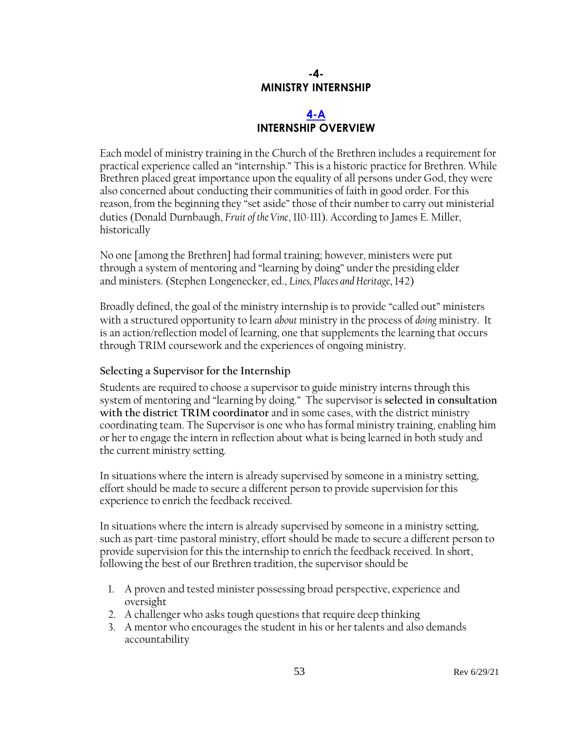# **-4- MINISTRY INTERNSHIP**

## **[4-A](#page-3-0) INTERNSHIP OVERVIEW**

Each model of ministry training in the Church of the Brethren includes a requirement for practical experience called an "internship." This is a historic practice for Brethren. While Brethren placed great importance upon the equality of all persons under God, they were also concerned about conducting their communities of faith in good order. For this reason, from the beginning they "set aside" those of their number to carry out ministerial duties (Donald Durnbaugh, *Fruit of the Vine*, 110-111). According to James E. Miller, historically

No one [among the Brethren] had formal training; however, ministers were put through a system of mentoring and "learning by doing" under the presiding elder and ministers. (Stephen Longenecker, ed., *Lines, Places and Heritage*, 142)

Broadly defined, the goal of the ministry internship is to provide "called out" ministers with a structured opportunity to learn *about* ministry in the process of *doing* ministry. It is an action/reflection model of learning, one that supplements the learning that occurs through TRIM coursework and the experiences of ongoing ministry.

## **Selecting a Supervisor for the Internship**

Students are required to choose a supervisor to guide ministry interns through this system of mentoring and "learning by doing." The supervisor is **selected in consultation with the district TRIM coordinator** and in some cases, with the district ministry coordinating team. The Supervisor is one who has formal ministry training, enabling him or her to engage the intern in reflection about what is being learned in both study and the current ministry setting.

In situations where the intern is already supervised by someone in a ministry setting, effort should be made to secure a different person to provide supervision for this experience to enrich the feedback received.

In situations where the intern is already supervised by someone in a ministry setting, such as part-time pastoral ministry, effort should be made to secure a different person to provide supervision for this the internship to enrich the feedback received. In short, following the best of our Brethren tradition, the supervisor should be

- 1. A proven and tested minister possessing broad perspective, experience and oversight
- 2. A challenger who asks tough questions that require deep thinking
- 3. A mentor who encourages the student in his or her talents and also demands accountability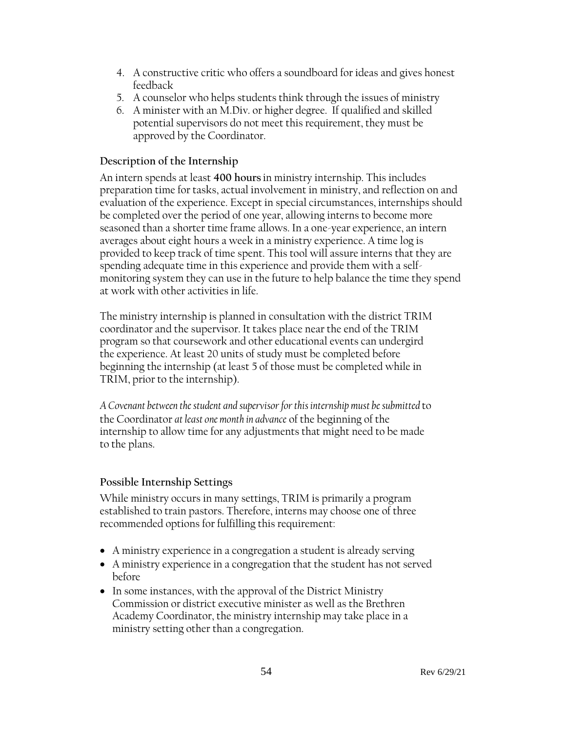- 4. A constructive critic who offers a soundboard for ideas and gives honest feedback
- 5. A counselor who helps students think through the issues of ministry
- 6. A minister with an M.Div. or higher degree. If qualified and skilled potential supervisors do not meet this requirement, they must be approved by the Coordinator.

### **Description of the Internship**

An intern spends at least **400 hours** in ministry internship. This includes preparation time for tasks, actual involvement in ministry, and reflection on and evaluation of the experience. Except in special circumstances, internships should be completed over the period of one year, allowing interns to become more seasoned than a shorter time frame allows. In a one-year experience, an intern averages about eight hours a week in a ministry experience. A time log is provided to keep track of time spent. This tool will assure interns that they are spending adequate time in this experience and provide them with a selfmonitoring system they can use in the future to help balance the time they spend at work with other activities in life.

The ministry internship is planned in consultation with the district TRIM coordinator and the supervisor. It takes place near the end of the TRIM program so that coursework and other educational events can undergird the experience. At least 20 units of study must be completed before beginning the internship (at least 5 of those must be completed while in TRIM, prior to the internship).

*A Covenant between the student and supervisor for this internship must be submitted* to the Coordinator *at least one month in advance* of the beginning of the internship to allow time for any adjustments that might need to be made to the plans.

## **Possible Internship Settings**

While ministry occurs in many settings, TRIM is primarily a program established to train pastors. Therefore, interns may choose one of three recommended options for fulfilling this requirement:

- A ministry experience in a congregation a student is already serving
- A ministry experience in a congregation that the student has not served before
- In some instances, with the approval of the District Ministry Commission or district executive minister as well as the Brethren Academy Coordinator, the ministry internship may take place in a ministry setting other than a congregation.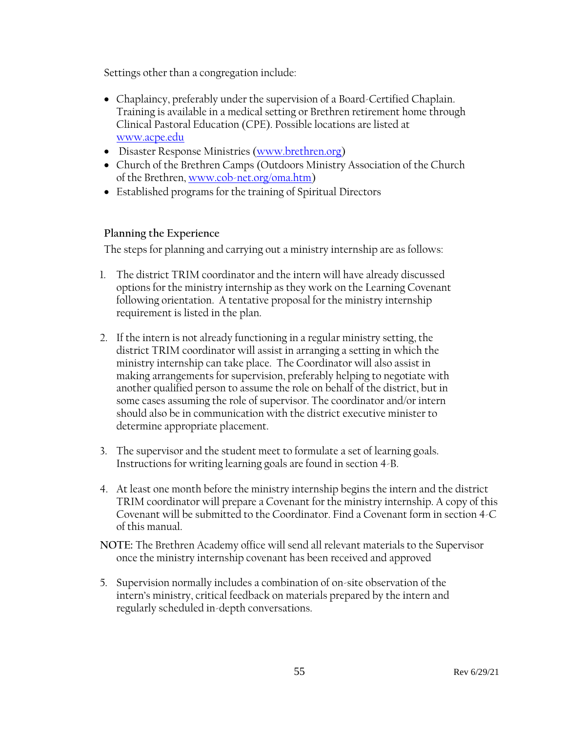Settings other than a congregation include:

- Chaplaincy, preferably under the supervision of a Board-Certified Chaplain. Training is available in a medical setting or Brethren retirement home through Clinical Pastoral Education (CPE). Possible locations are listed at [www.acpe.edu](http://www.acpe.edu/)
- Disaster Response Ministries [\(www.brethren.org\)](http://www.brethren.org/)
- Church of the Brethren Camps (Outdoors Ministry Association of the Church of the Brethren, [www.cob-net.org/oma.htm\)](http://www.cob-net.org/oma.htm)
- Established programs for the training of Spiritual Directors

### **Planning the Experience**

The steps for planning and carrying out a ministry internship are as follows:

- 1. The district TRIM coordinator and the intern will have already discussed options for the ministry internship as they work on the Learning Covenant following orientation. A tentative proposal for the ministry internship requirement is listed in the plan.
- 2. If the intern is not already functioning in a regular ministry setting, the district TRIM coordinator will assist in arranging a setting in which the ministry internship can take place. The Coordinator will also assist in making arrangements for supervision, preferably helping to negotiate with another qualified person to assume the role on behalf of the district, but in some cases assuming the role of supervisor. The coordinator and/or intern should also be in communication with the district executive minister to determine appropriate placement.
- 3. The supervisor and the student meet to formulate a set of learning goals. Instructions for writing learning goals are found in section 4-B.
- 4. At least one month before the ministry internship begins the intern and the district TRIM coordinator will prepare a Covenant for the ministry internship. A copy of this Covenant will be submitted to the Coordinator. Find a Covenant form in section 4-C of this manual.
- **NOTE:** The Brethren Academy office will send all relevant materials to the Supervisor once the ministry internship covenant has been received and approved
- 5. Supervision normally includes a combination of on-site observation of the intern's ministry, critical feedback on materials prepared by the intern and regularly scheduled in-depth conversations.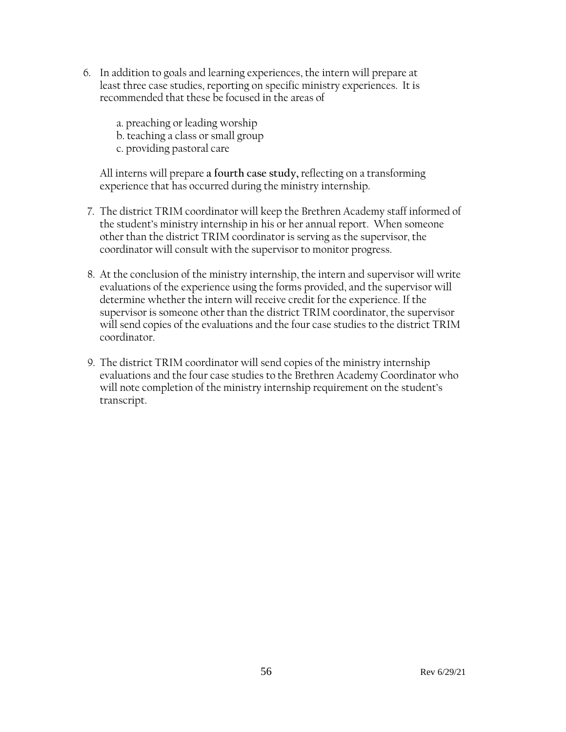- 6. In addition to goals and learning experiences, the intern will prepare at least three case studies, reporting on specific ministry experiences. It is recommended that these be focused in the areas of
	- a. preaching or leading worship
	- b. teaching a class or small group
	- c. providing pastoral care

All interns will prepare **a fourth case study,** reflecting on a transforming experience that has occurred during the ministry internship.

- 7. The district TRIM coordinator will keep the Brethren Academy staff informed of the student's ministry internship in his or her annual report. When someone other than the district TRIM coordinator is serving as the supervisor, the coordinator will consult with the supervisor to monitor progress.
- 8. At the conclusion of the ministry internship, the intern and supervisor will write evaluations of the experience using the forms provided, and the supervisor will determine whether the intern will receive credit for the experience. If the supervisor is someone other than the district TRIM coordinator, the supervisor will send copies of the evaluations and the four case studies to the district TRIM coordinator.
- 9. The district TRIM coordinator will send copies of the ministry internship evaluations and the four case studies to the Brethren Academy Coordinator who will note completion of the ministry internship requirement on the student's transcript.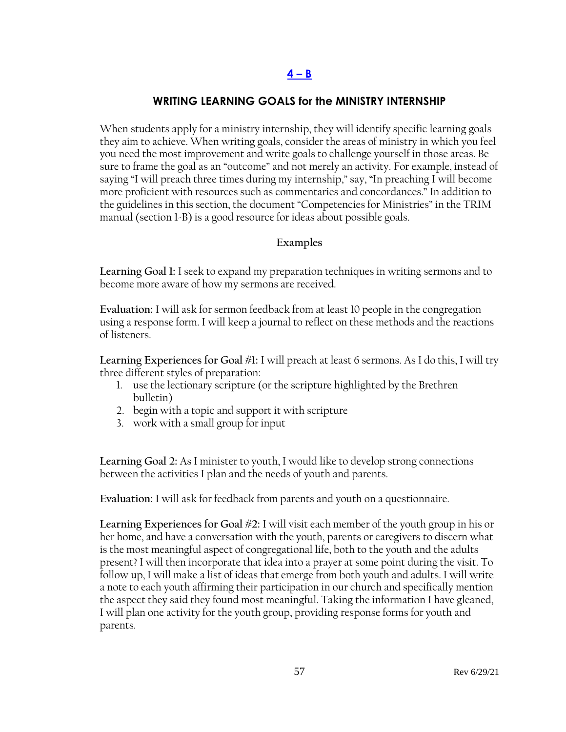### **WRITING LEARNING GOALS for the MINISTRY INTERNSHIP**

When students apply for a ministry internship, they will identify specific learning goals they aim to achieve. When writing goals, consider the areas of ministry in which you feel you need the most improvement and write goals to challenge yourself in those areas. Be sure to frame the goal as an "outcome" and not merely an activity. For example, instead of saying "I will preach three times during my internship," say, "In preaching I will become more proficient with resources such as commentaries and concordances." In addition to the guidelines in this section, the document "Competencies for Ministries" in the TRIM manual (section 1-B) is a good resource for ideas about possible goals.

#### **Examples**

**Learning Goal 1:** I seek to expand my preparation techniques in writing sermons and to become more aware of how my sermons are received.

**Evaluation:** I will ask for sermon feedback from at least 10 people in the congregation using a response form. I will keep a journal to reflect on these methods and the reactions of listeners.

**Learning Experiences for Goal #1:** I will preach at least 6 sermons. As I do this, I will try three different styles of preparation:

- 1. use the lectionary scripture (or the scripture highlighted by the Brethren bulletin)
- 2. begin with a topic and support it with scripture
- 3. work with a small group for input

**Learning Goal 2:** As I minister to youth, I would like to develop strong connections between the activities I plan and the needs of youth and parents.

**Evaluation:** I will ask for feedback from parents and youth on a questionnaire.

**Learning Experiences for Goal #2:** I will visit each member of the youth group in his or her home, and have a conversation with the youth, parents or caregivers to discern what is the most meaningful aspect of congregational life, both to the youth and the adults present? I will then incorporate that idea into a prayer at some point during the visit. To follow up, I will make a list of ideas that emerge from both youth and adults. I will write a note to each youth affirming their participation in our church and specifically mention the aspect they said they found most meaningful. Taking the information I have gleaned, I will plan one activity for the youth group, providing response forms for youth and parents.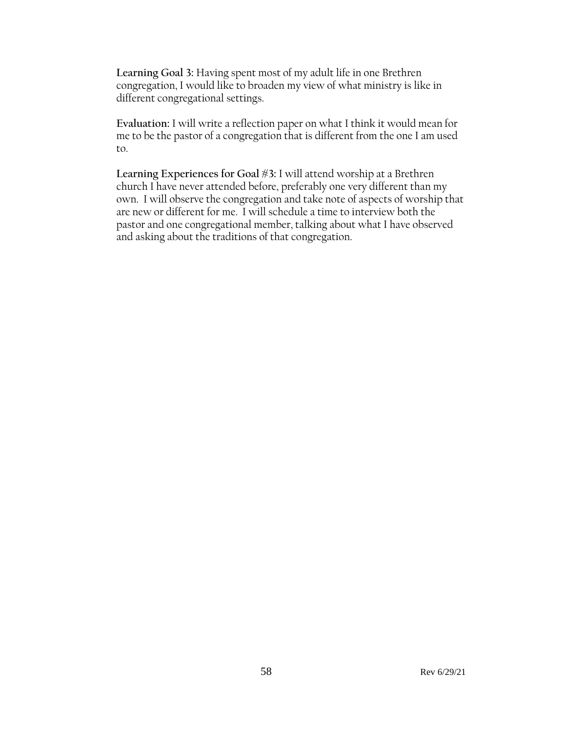**Learning Goal 3:** Having spent most of my adult life in one Brethren congregation, I would like to broaden my view of what ministry is like in different congregational settings.

**Evaluation:** I will write a reflection paper on what I think it would mean for me to be the pastor of a congregation that is different from the one I am used to.

**Learning Experiences for Goal #3:** I will attend worship at a Brethren church I have never attended before, preferably one very different than my own. I will observe the congregation and take note of aspects of worship that are new or different for me. I will schedule a time to interview both the pastor and one congregational member, talking about what I have observed and asking about the traditions of that congregation.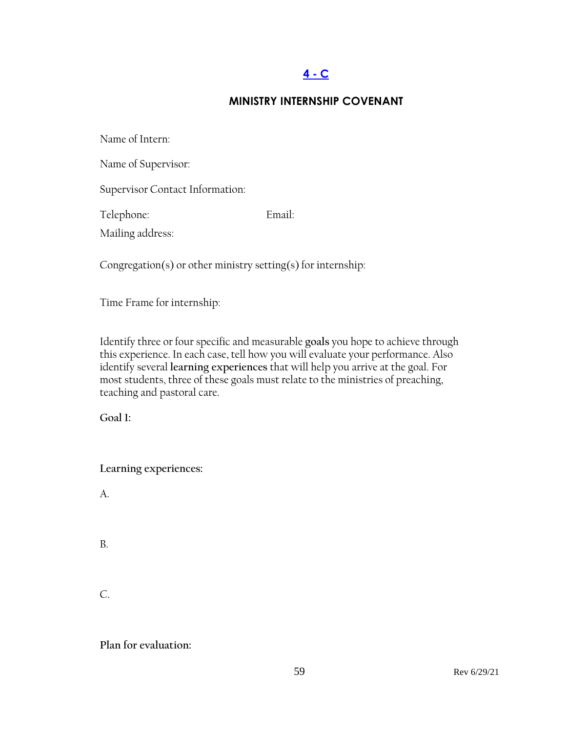# **[4 -](#page-3-0) C**

### **MINISTRY INTERNSHIP COVENANT**

| Name of Intern:                 |        |  |
|---------------------------------|--------|--|
| Name of Supervisor:             |        |  |
| Supervisor Contact Information: |        |  |
| Telephone:                      | Email: |  |
| Mailing address:                |        |  |
|                                 |        |  |

Congregation(s) or other ministry setting(s) for internship:

Time Frame for internship:

Identify three or four specific and measurable **goals** you hope to achieve through this experience. In each case, tell how you will evaluate your performance. Also identify several **learning experiences** that will help you arrive at the goal. For most students, three of these goals must relate to the ministries of preaching, teaching and pastoral care.

**Goal 1:**

**Learning experiences:** 

A.

B.

C.

**Plan for evaluation:**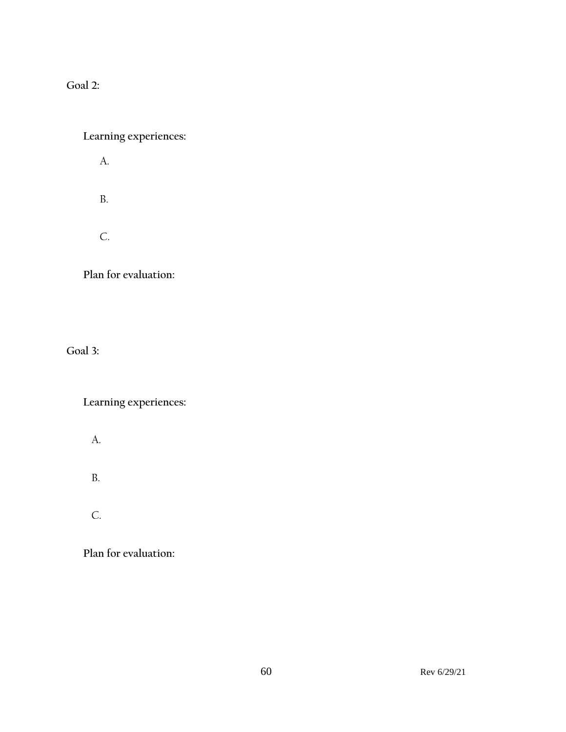**Goal 2:**

# **Learning experiences:**

A.

B.

C.

**Plan for evaluation:**

**Goal 3:**

**Learning experiences:**

- A.
- B.
- C.

**Plan for evaluation:**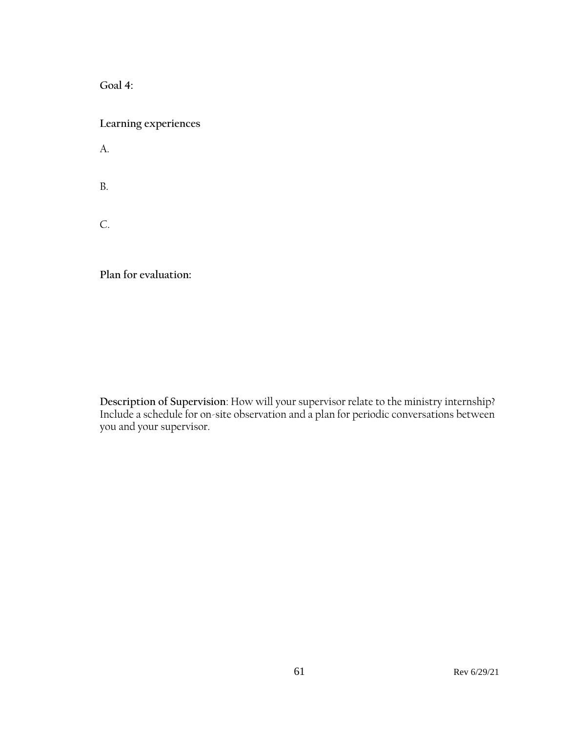**Goal 4:**

**Learning experiences**

A.

B.

C.

**Plan for evaluation:** 

**Description of Supervision**: How will your supervisor relate to the ministry internship? Include a schedule for on-site observation and a plan for periodic conversations between you and your supervisor.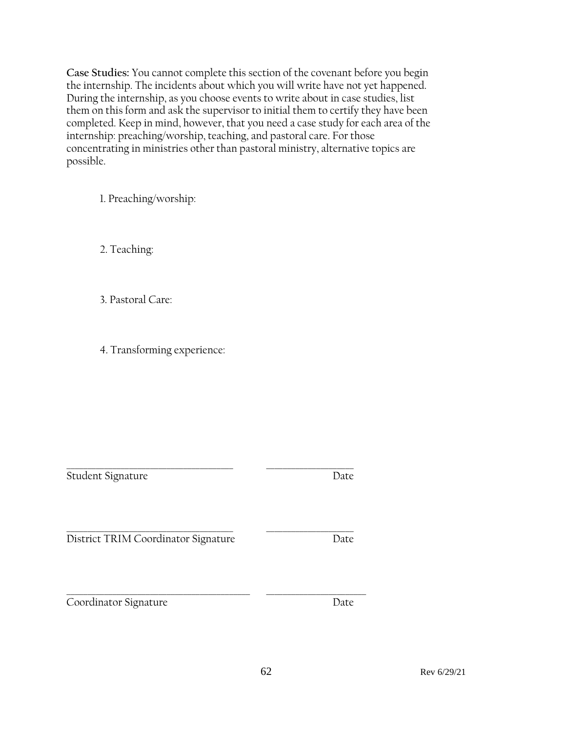**Case Studies:** You cannot complete this section of the covenant before you begin the internship. The incidents about which you will write have not yet happened. During the internship, as you choose events to write about in case studies, list them on this form and ask the supervisor to initial them to certify they have been completed. Keep in mind, however, that you need a case study for each area of the internship: preaching/worship, teaching, and pastoral care. For those concentrating in ministries other than pastoral ministry, alternative topics are possible.

1. Preaching/worship:

2. Teaching:

3. Pastoral Care:

4. Transforming experience:

\_\_\_\_\_\_\_\_\_\_\_\_\_\_\_\_\_\_\_\_\_\_\_\_\_\_\_\_\_\_\_\_\_\_\_\_\_\_\_\_ \_\_\_\_\_\_\_\_\_\_\_\_\_\_\_\_\_\_\_\_\_

Student Signature Date

\_\_\_\_\_\_\_\_\_\_\_\_\_\_\_\_\_\_\_\_\_\_\_\_\_\_\_\_\_\_\_\_\_\_\_\_\_\_\_\_ \_\_\_\_\_\_\_\_\_\_\_\_\_\_\_\_\_\_\_\_\_ District TRIM Coordinator Signature Date

\_\_\_\_\_\_\_\_\_\_\_\_\_\_\_\_\_\_\_\_\_\_\_\_\_\_\_\_\_\_\_\_\_\_\_\_\_\_\_\_\_\_\_\_ \_\_\_\_\_\_\_\_\_\_\_\_\_\_\_\_\_\_\_\_\_\_\_\_ Coordinator Signature Date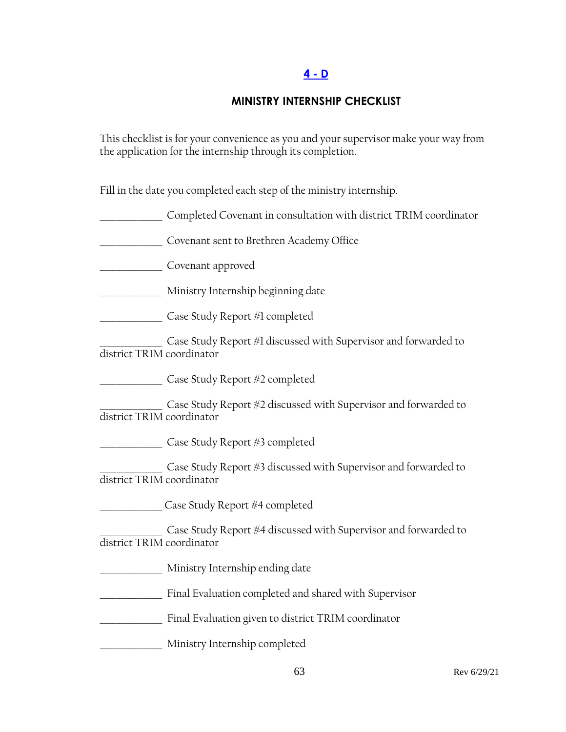## **[4 -](#page-3-0) D**

### **MINISTRY INTERNSHIP CHECKLIST**

This checklist is for your convenience as you and your supervisor make your way from the application for the internship through its completion.

Fill in the date you completed each step of the ministry internship.

\_\_\_\_\_\_\_\_\_\_\_\_\_\_\_ Completed Covenant in consultation with district TRIM coordinator

\_\_\_\_\_\_\_\_\_\_\_\_\_\_\_ Covenant sent to Brethren Academy Office

\_\_\_\_\_\_\_\_\_\_\_\_\_\_\_ Covenant approved

\_\_\_\_\_\_\_\_\_\_\_\_\_\_\_ Ministry Internship beginning date

\_\_\_\_\_\_\_\_\_\_\_\_\_\_\_ Case Study Report #1 completed

 $\_$  Case Study Report #1 discussed with Supervisor and forwarded to district TRIM coordinator

\_\_\_\_\_\_\_\_\_\_\_\_\_\_\_ Case Study Report #2 completed

\_\_\_\_\_\_\_\_\_\_\_\_\_\_\_ Case Study Report #2 discussed with Supervisor and forwarded to district TRIM coordinator

\_\_\_\_\_\_\_\_\_\_\_\_\_\_\_ Case Study Report #3 completed

Case Study Report #3 discussed with Supervisor and forwarded to district TRIM coordinator

\_\_\_\_\_\_\_\_\_\_\_\_\_\_\_ Case Study Report #4 completed

Case Study Report #4 discussed with Supervisor and forwarded to district TRIM coordinator

\_\_\_\_\_\_\_\_\_\_\_\_\_\_\_ Ministry Internship ending date

\_\_\_\_\_\_\_\_\_\_\_\_\_\_\_ Final Evaluation completed and shared with Supervisor

\_\_\_\_\_\_\_\_\_\_\_\_\_\_\_ Final Evaluation given to district TRIM coordinator

\_\_\_\_\_\_\_\_\_\_\_\_\_\_\_ Ministry Internship completed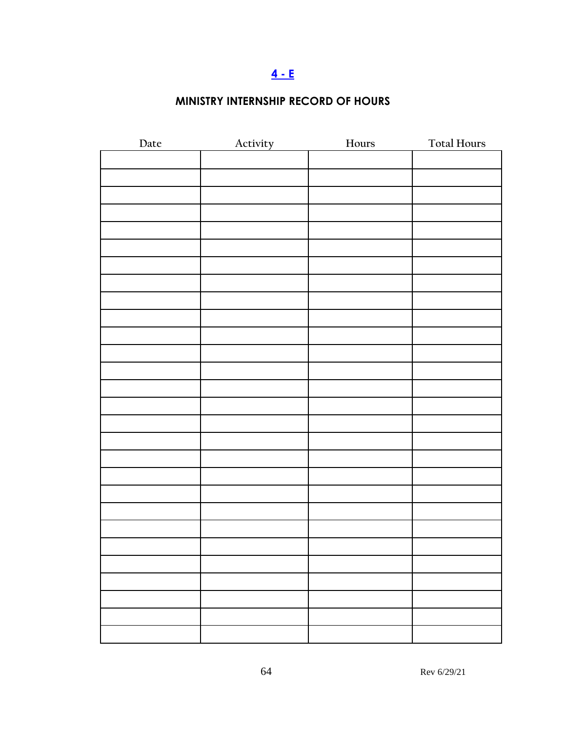# **[4 -](#page-3-0) E**

# **MINISTRY INTERNSHIP RECORD OF HOURS**

| Date | Activity | Hours | <b>Total Hours</b> |
|------|----------|-------|--------------------|
|      |          |       |                    |
|      |          |       |                    |
|      |          |       |                    |
|      |          |       |                    |
|      |          |       |                    |
|      |          |       |                    |
|      |          |       |                    |
|      |          |       |                    |
|      |          |       |                    |
|      |          |       |                    |
|      |          |       |                    |
|      |          |       |                    |
|      |          |       |                    |
|      |          |       |                    |
|      |          |       |                    |
|      |          |       |                    |
|      |          |       |                    |
|      |          |       |                    |
|      |          |       |                    |
|      |          |       |                    |
|      |          |       |                    |
|      |          |       |                    |
|      |          |       |                    |
|      |          |       |                    |
|      |          |       |                    |
|      |          |       |                    |
|      |          |       |                    |
|      |          |       |                    |
|      |          |       |                    |
|      |          |       |                    |
|      |          |       |                    |
|      |          |       |                    |
|      |          |       |                    |
|      |          |       |                    |
|      |          |       |                    |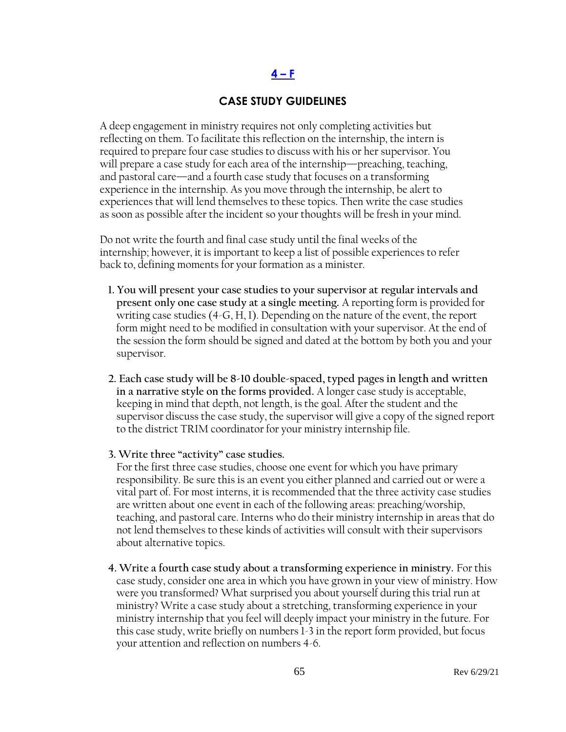#### $4 - F$  $4 - F$

#### **CASE STUDY GUIDELINES**

A deep engagement in ministry requires not only completing activities but reflecting on them. To facilitate this reflection on the internship, the intern is required to prepare four case studies to discuss with his or her supervisor. You will prepare a case study for each area of the internship—preaching, teaching, and pastoral care—and a fourth case study that focuses on a transforming experience in the internship. As you move through the internship, be alert to experiences that will lend themselves to these topics. Then write the case studies as soon as possible after the incident so your thoughts will be fresh in your mind.

Do not write the fourth and final case study until the final weeks of the internship; however, it is important to keep a list of possible experiences to refer back to, defining moments for your formation as a minister.

- **1. You will present your case studies to your supervisor at regular intervals and present only one case study at a single meeting.** A reporting form is provided for writing case studies (4-G, H, I). Depending on the nature of the event, the report form might need to be modified in consultation with your supervisor. At the end of the session the form should be signed and dated at the bottom by both you and your supervisor.
- **2. Each case study will be 8-10 double-spaced, typed pages in length and written in a narrative style on the forms provided.** A longer case study is acceptable, keeping in mind that depth, not length, is the goal. After the student and the supervisor discuss the case study, the supervisor will give a copy of the signed report to the district TRIM coordinator for your ministry internship file.
- **3. Write three "activity" case studies.**

For the first three case studies, choose one event for which you have primary responsibility. Be sure this is an event you either planned and carried out or were a vital part of. For most interns, it is recommended that the three activity case studies are written about one event in each of the following areas: preaching/worship, teaching, and pastoral care. Interns who do their ministry internship in areas that do not lend themselves to these kinds of activities will consult with their supervisors about alternative topics.

**4. Write a fourth case study about a transforming experience in ministry.** For this case study, consider one area in which you have grown in your view of ministry. How were you transformed? What surprised you about yourself during this trial run at ministry? Write a case study about a stretching, transforming experience in your ministry internship that you feel will deeply impact your ministry in the future. For this case study, write briefly on numbers 1-3 in the report form provided, but focus your attention and reflection on numbers 4-6.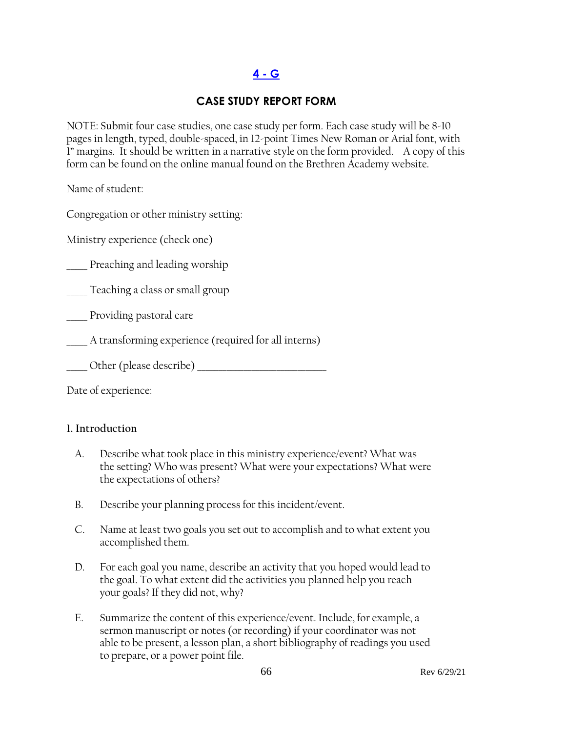# **[4 -](#page-3-0) G**

## **CASE STUDY REPORT FORM**

NOTE: Submit four case studies, one case study per form. Each case study will be 8-10 pages in length, typed, double-spaced, in 12-point Times New Roman or Arial font, with 1" margins. It should be written in a narrative style on the form provided. A copy of this form can be found on the online manual found on the Brethren Academy website.

Name of student:

Congregation or other ministry setting:

Ministry experience (check one)

Preaching and leading worship

\_\_\_\_\_ Teaching a class or small group

\_\_\_\_\_ Providing pastoral care

A transforming experience (required for all interns)

Other (please describe)  $\Box$ 

Date of experience:

#### **1. Introduction**

- A. Describe what took place in this ministry experience/event? What was the setting? Who was present? What were your expectations? What were the expectations of others?
- B. Describe your planning process for this incident/event.
- C. Name at least two goals you set out to accomplish and to what extent you accomplished them.
- D. For each goal you name, describe an activity that you hoped would lead to the goal. To what extent did the activities you planned help you reach your goals? If they did not, why?
- E. Summarize the content of this experience/event. Include, for example, a sermon manuscript or notes (or recording) if your coordinator was not able to be present, a lesson plan, a short bibliography of readings you used to prepare, or a power point file.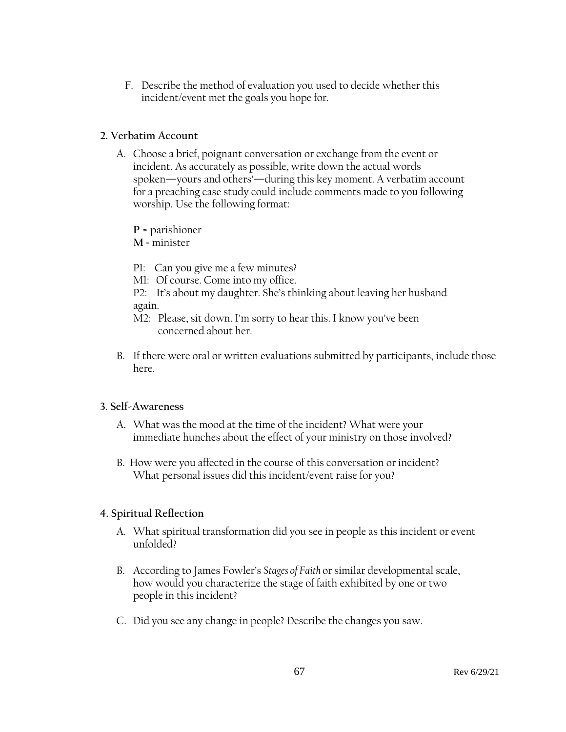F. Describe the method of evaluation you used to decide whether this incident/event met the goals you hope for.

#### **2. Verbatim Account**

A. Choose a brief, poignant conversation or exchange from the event or incident. As accurately as possible, write down the actual words spoken—yours and others'—during this key moment. A verbatim account for a preaching case study could include comments made to you following worship. Use the following format:

**P =** parishioner

**M** = minister

- P1: Can you give me a few minutes?
- M1: Of course. Come into my office.
- P2: It's about my daughter. She's thinking about leaving her husband again.
- M2: Please, sit down. I'm sorry to hear this. I know you've been concerned about her.
- B. If there were oral or written evaluations submitted by participants, include those here.

### **3. Self-Awareness**

- A. What was the mood at the time of the incident? What were your immediate hunches about the effect of your ministry on those involved?
- B. How were you affected in the course of this conversation or incident? What personal issues did this incident/event raise for you?

### **4. Spiritual Reflection**

- A. What spiritual transformation did you see in people as this incident or event unfolded?
- B. According to James Fowler's *Stages of Faith* or similar developmental scale, how would you characterize the stage of faith exhibited by one or two people in this incident?
- C. Did you see any change in people? Describe the changes you saw.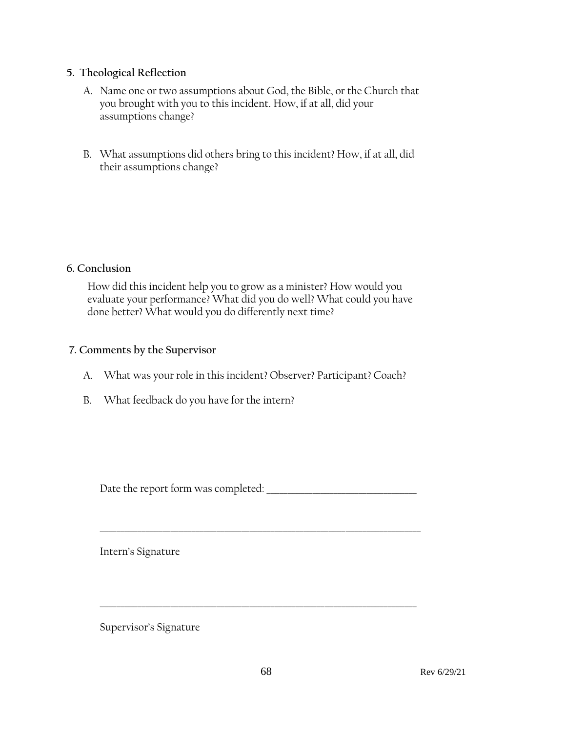#### **5. Theological Reflection**

- A. Name one or two assumptions about God, the Bible, or the Church that you brought with you to this incident. How, if at all, did your assumptions change?
- B. What assumptions did others bring to this incident? How, if at all, did their assumptions change?

#### **6. Conclusion**

How did this incident help you to grow as a minister? How would you evaluate your performance? What did you do well? What could you have done better? What would you do differently next time?

#### **7. Comments by the Supervisor**

- A. What was your role in this incident? Observer? Participant? Coach?
- B. What feedback do you have for the intern?

Date the report form was completed:

\_\_\_\_\_\_\_\_\_\_\_\_\_\_\_\_\_\_\_\_\_\_\_\_\_\_\_\_\_\_\_\_\_\_\_\_\_\_\_\_\_\_\_\_\_\_\_\_\_\_\_\_\_\_\_\_\_\_\_\_\_\_\_\_\_\_\_\_\_\_\_\_\_\_\_\_\_

\_\_\_\_\_\_\_\_\_\_\_\_\_\_\_\_\_\_\_\_\_\_\_\_\_\_\_\_\_\_\_\_\_\_\_\_\_\_\_\_\_\_\_\_\_\_\_\_\_\_\_\_\_\_\_\_\_\_\_\_\_\_\_\_\_\_\_\_\_\_\_\_\_\_\_\_

Intern's Signature

Supervisor's Signature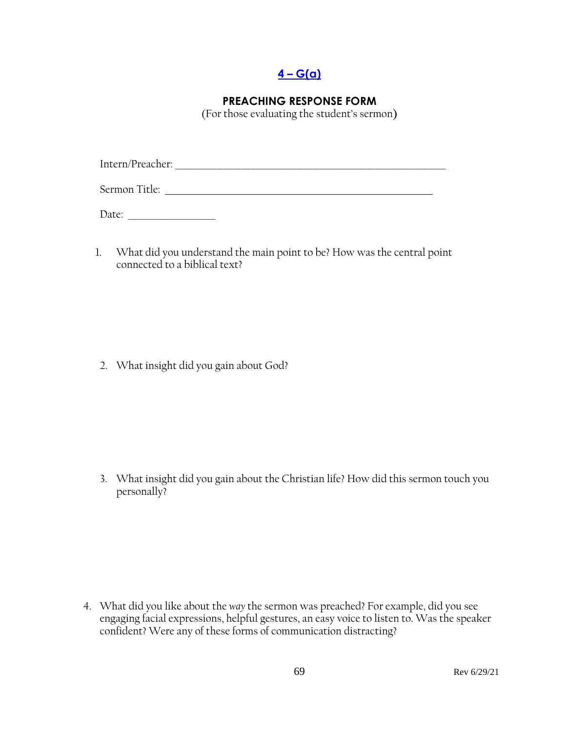**4 – [G\(a\)](#page-3-0)**

### **PREACHING RESPONSE FORM**

(For those evaluating the student's sermon**)**

Intern/Preacher: \_\_\_\_\_\_\_\_\_\_\_\_\_\_\_\_\_\_\_\_\_\_\_\_\_\_\_\_\_\_\_\_\_\_\_\_\_\_\_\_\_\_\_\_\_\_\_\_\_\_\_\_\_\_\_\_\_\_\_\_\_\_\_\_\_

Sermon Title:

Date: \_\_\_\_\_\_\_\_\_\_\_\_\_\_\_\_\_\_\_\_\_

1. What did you understand the main point to be? How was the central point connected to a biblical text?

2. What insight did you gain about God?

3. What insight did you gain about the Christian life? How did this sermon touch you personally?

4. What did you like about the *way* the sermon was preached? For example, did you see engaging facial expressions, helpful gestures, an easy voice to listen to. Was the speaker confident? Were any of these forms of communication distracting?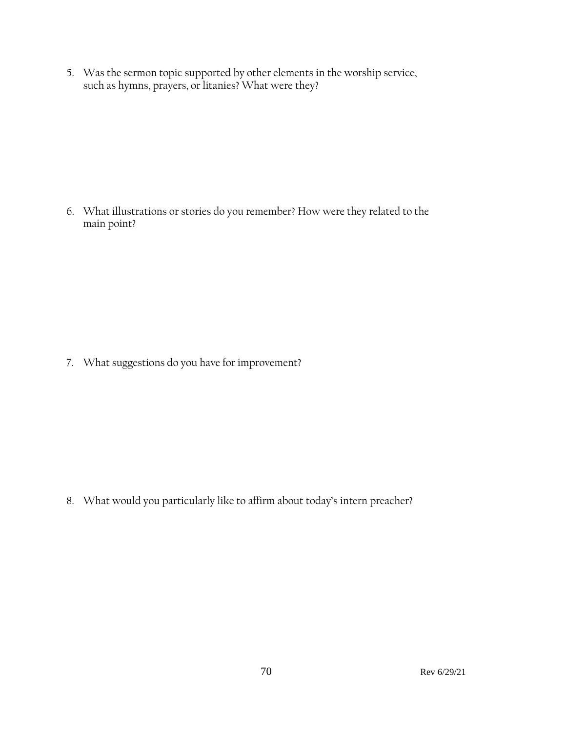5. Was the sermon topic supported by other elements in the worship service, such as hymns, prayers, or litanies? What were they?

6. What illustrations or stories do you remember? How were they related to the main point?

7. What suggestions do you have for improvement?

8. What would you particularly like to affirm about today's intern preacher?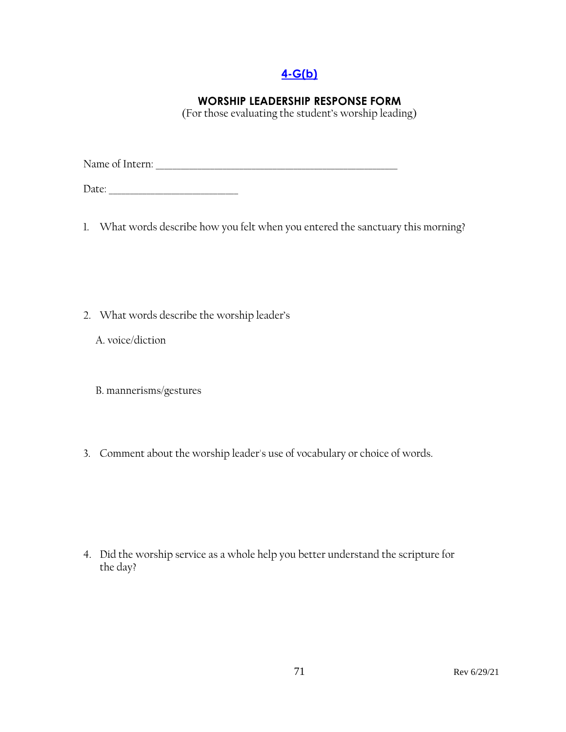## **[4-G\(b\)](#page-3-0)**

## **WORSHIP LEADERSHIP RESPONSE FORM**

(For those evaluating the student's worship leading)

Name of Intern: \_\_\_\_\_\_\_\_\_\_\_\_\_\_\_\_\_\_\_\_\_\_\_\_\_\_\_\_\_\_\_\_\_\_\_\_\_\_\_\_\_\_\_\_\_\_\_\_\_\_\_\_\_\_\_\_\_\_

Date: \_\_\_\_\_\_\_\_\_\_\_\_\_\_\_\_\_\_\_\_\_\_\_\_\_\_\_\_\_\_\_

1. What words describe how you felt when you entered the sanctuary this morning?

2. What words describe the worship leader's

A. voice/diction

B. mannerisms/gestures

3. Comment about the worship leader's use of vocabulary or choice of words.

4. Did the worship service as a whole help you better understand the scripture for the day?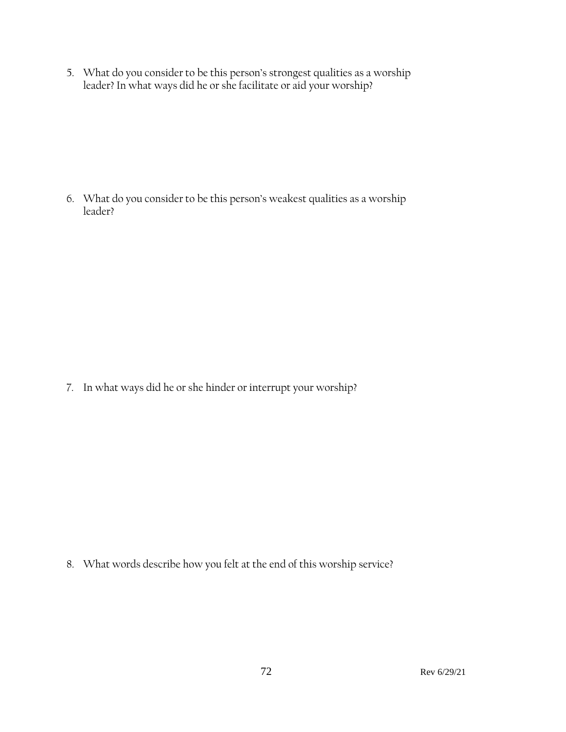5. What do you consider to be this person's strongest qualities as a worship leader? In what ways did he or she facilitate or aid your worship?

6. What do you consider to be this person's weakest qualities as a worship leader?

7. In what ways did he or she hinder or interrupt your worship?

8. What words describe how you felt at the end of this worship service?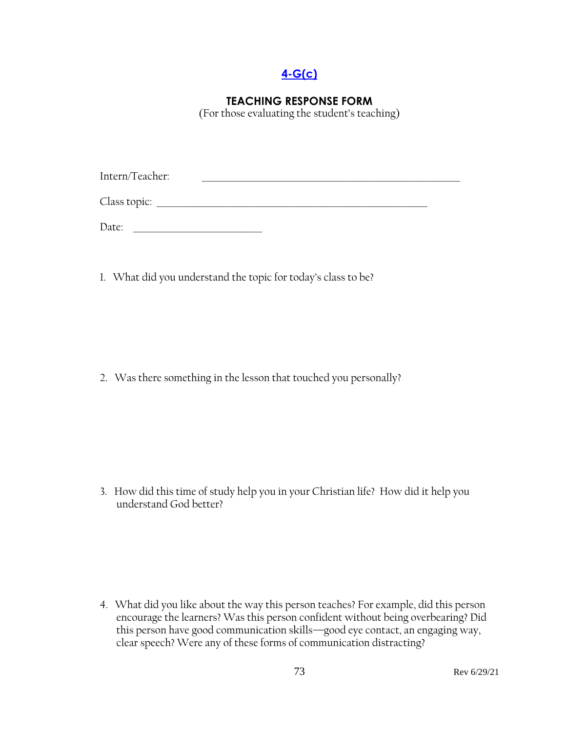## **[4-G\(c\)](#page-3-0)**

## **TEACHING RESPONSE FORM**

(For those evaluating the student's teaching)

| Intern/Teacher: |  |  |
|-----------------|--|--|
|                 |  |  |
| Class topic:    |  |  |
|                 |  |  |

Date: \_\_\_\_\_\_\_\_\_\_\_\_\_\_\_\_\_\_\_\_\_\_\_\_\_\_\_\_\_\_\_

1. What did you understand the topic for today's class to be?

2. Was there something in the lesson that touched you personally?

3. How did this time of study help you in your Christian life? How did it help you understand God better?

4. What did you like about the way this person teaches? For example, did this person encourage the learners? Was this person confident without being overbearing? Did this person have good communication skills—good eye contact, an engaging way, clear speech? Were any of these forms of communication distracting?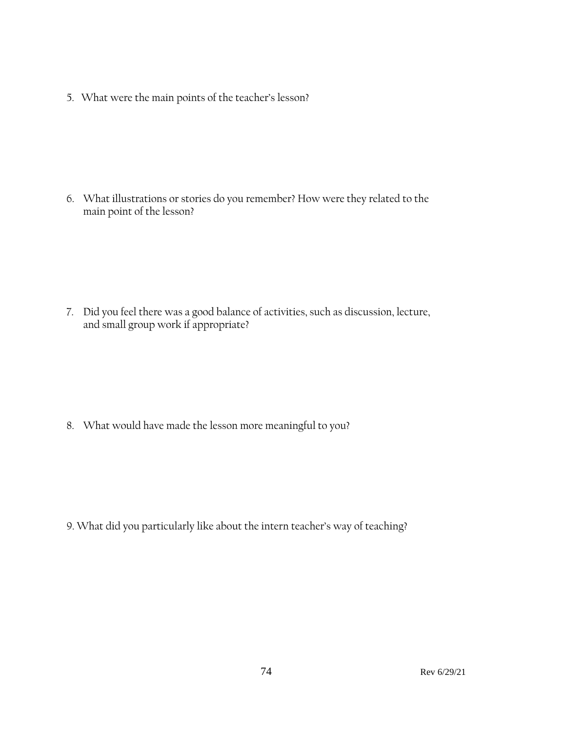5. What were the main points of the teacher's lesson?

6. What illustrations or stories do you remember? How were they related to the main point of the lesson?

7. Did you feel there was a good balance of activities, such as discussion, lecture, and small group work if appropriate?

8. What would have made the lesson more meaningful to you?

9. What did you particularly like about the intern teacher's way of teaching?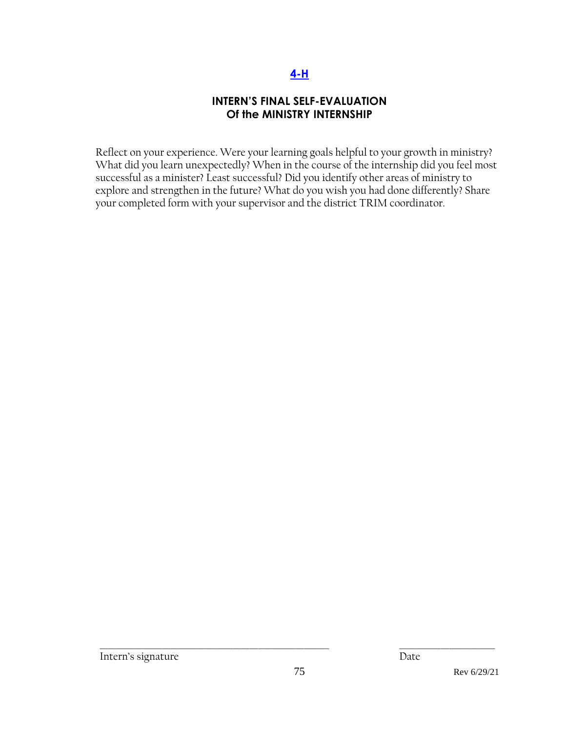## **[4-H](#page-3-0)**

## **INTERN'S FINAL SELF-EVALUATION Of the MINISTRY INTERNSHIP**

Reflect on your experience. Were your learning goals helpful to your growth in ministry? What did you learn unexpectedly? When in the course of the internship did you feel most successful as a minister? Least successful? Did you identify other areas of ministry to explore and strengthen in the future? What do you wish you had done differently? Share your completed form with your supervisor and the district TRIM coordinator.

\_\_\_\_\_\_\_\_\_\_\_\_\_\_\_\_\_\_\_\_\_\_\_\_\_\_\_\_\_\_\_\_\_\_\_\_\_\_\_\_\_\_\_\_\_\_\_\_\_\_\_\_\_\_\_ \_\_\_\_\_\_\_\_\_\_\_\_\_\_\_\_\_\_\_\_\_\_\_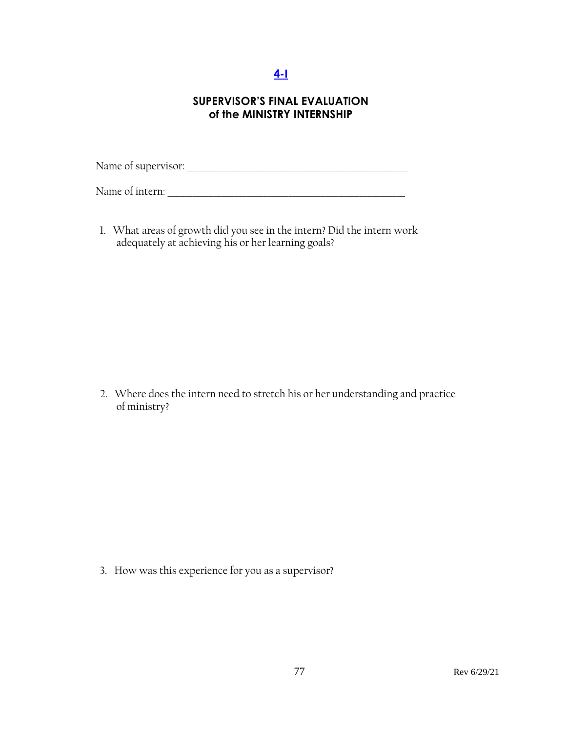# **[4-I](#page-3-0)**

## **SUPERVISOR'S FINAL EVALUATION of the MINISTRY INTERNSHIP**

Name of supervisor: \_\_\_\_\_\_\_\_\_\_\_\_\_\_\_\_\_\_\_\_\_\_\_\_\_\_\_\_\_\_\_\_\_\_\_\_\_\_\_\_\_\_\_\_\_\_\_\_\_\_\_\_\_

Name of intern:

1. What areas of growth did you see in the intern? Did the intern work adequately at achieving his or her learning goals?

2. Where does the intern need to stretch his or her understanding and practice of ministry?

3. How was this experience for you as a supervisor?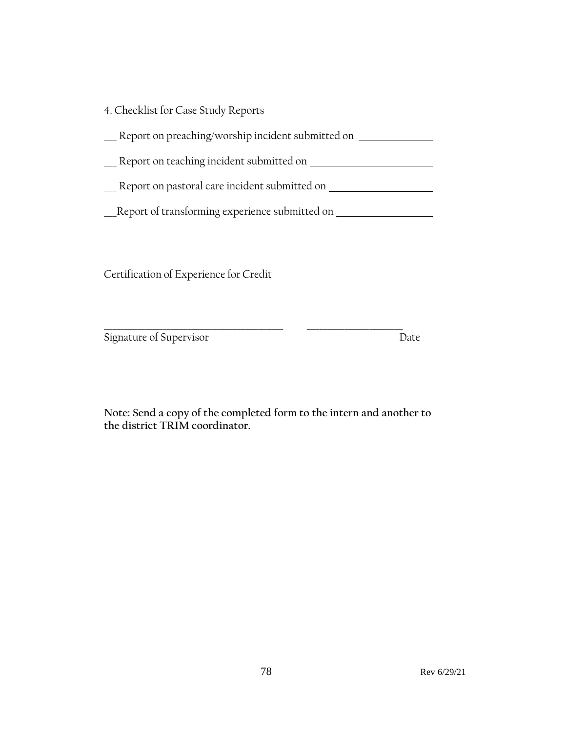4. Checklist for Case Study Reports

\_\_\_ Report on preaching/worship incident submitted on

Leport on teaching incident submitted on Leponden Mercedon

Lackenburn pastoral care incident submitted on Lackenburn Lackenburn and Report on pastoral care incident submitted on

\_\_\_Report of transforming experience submitted on

Certification of Experience for Credit

Signature of Supervisor Date

**Note: Send a copy of the completed form to the intern and another to the district TRIM coordinator.** 

\_\_\_\_\_\_\_\_\_\_\_\_\_\_\_\_\_\_\_\_\_\_\_\_\_\_\_\_\_\_\_\_\_\_\_\_\_\_\_\_\_\_\_ \_\_\_\_\_\_\_\_\_\_\_\_\_\_\_\_\_\_\_\_\_\_\_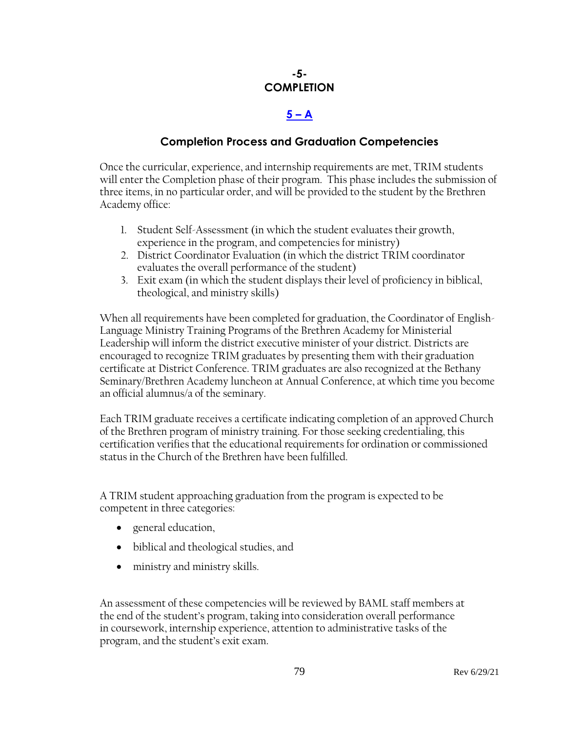## **-5- COMPLETION**

# $5 - A$  $5 - A$

## **Completion Process and Graduation Competencies**

Once the curricular, experience, and internship requirements are met, TRIM students will enter the Completion phase of their program. This phase includes the submission of three items, in no particular order, and will be provided to the student by the Brethren Academy office:

- 1. Student Self-Assessment (in which the student evaluates their growth, experience in the program, and competencies for ministry)
- 2. District Coordinator Evaluation (in which the district TRIM coordinator evaluates the overall performance of the student)
- 3. Exit exam (in which the student displays their level of proficiency in biblical, theological, and ministry skills)

When all requirements have been completed for graduation, the Coordinator of English-Language Ministry Training Programs of the Brethren Academy for Ministerial Leadership will inform the district executive minister of your district. Districts are encouraged to recognize TRIM graduates by presenting them with their graduation certificate at District Conference. TRIM graduates are also recognized at the Bethany Seminary/Brethren Academy luncheon at Annual Conference, at which time you become an official alumnus/a of the seminary.

Each TRIM graduate receives a certificate indicating completion of an approved Church of the Brethren program of ministry training. For those seeking credentialing, this certification verifies that the educational requirements for ordination or commissioned status in the Church of the Brethren have been fulfilled.

A TRIM student approaching graduation from the program is expected to be competent in three categories:

- general education,
- biblical and theological studies, and
- ministry and ministry skills.

An assessment of these competencies will be reviewed by BAML staff members at the end of the student's program, taking into consideration overall performance in coursework, internship experience, attention to administrative tasks of the program, and the student's exit exam.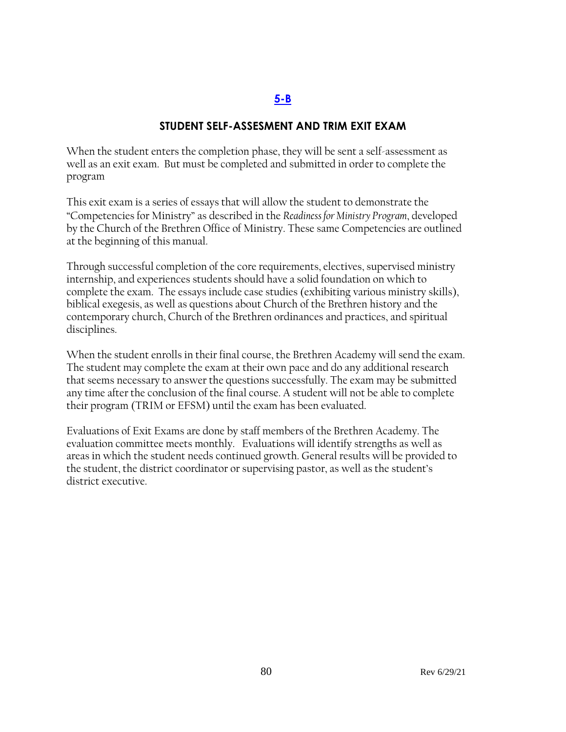#### **[5-B](#page-3-0)**

### **STUDENT SELF-ASSESMENT AND TRIM EXIT EXAM**

When the student enters the completion phase, they will be sent a self-assessment as well as an exit exam. But must be completed and submitted in order to complete the program

This exit exam is a series of essays that will allow the student to demonstrate the "Competencies for Ministry" as described in the *Readiness for Ministry Program*, developed by the Church of the Brethren Office of Ministry. These same Competencies are outlined at the beginning of this manual.

Through successful completion of the core requirements, electives, supervised ministry internship, and experiences students should have a solid foundation on which to complete the exam. The essays include case studies (exhibiting various ministry skills), biblical exegesis, as well as questions about Church of the Brethren history and the contemporary church, Church of the Brethren ordinances and practices, and spiritual disciplines.

When the student enrolls in their final course, the Brethren Academy will send the exam. The student may complete the exam at their own pace and do any additional research that seems necessary to answer the questions successfully. The exam may be submitted any time after the conclusion of the final course. A student will not be able to complete their program (TRIM or EFSM) until the exam has been evaluated.

Evaluations of Exit Exams are done by staff members of the Brethren Academy. The evaluation committee meets monthly. Evaluations will identify strengths as well as areas in which the student needs continued growth. General results will be provided to the student, the district coordinator or supervising pastor, as well as the student's district executive.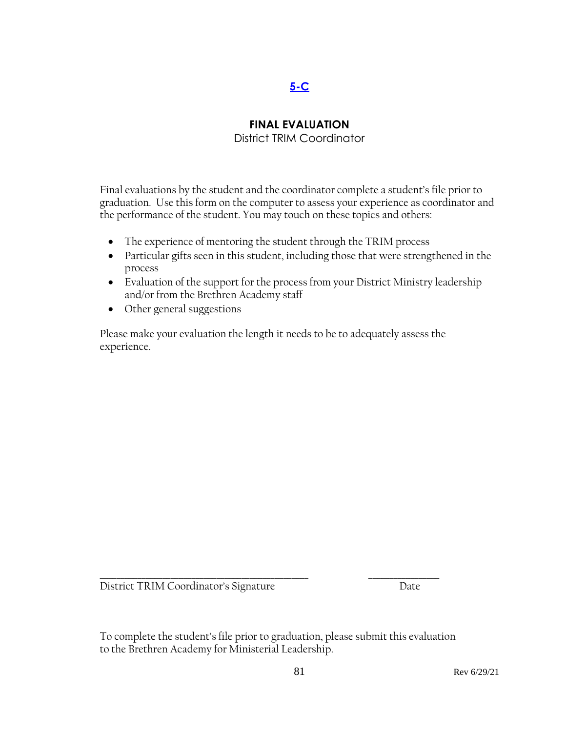# **[5-C](#page-3-0)**

## **FINAL EVALUATION**

District TRIM Coordinator

Final evaluations by the student and the coordinator complete a student's file prior to graduation. Use this form on the computer to assess your experience as coordinator and the performance of the student. You may touch on these topics and others:

- The experience of mentoring the student through the TRIM process
- Particular gifts seen in this student, including those that were strengthened in the process
- Evaluation of the support for the process from your District Ministry leadership and/or from the Brethren Academy staff
- Other general suggestions

Please make your evaluation the length it needs to be to adequately assess the experience.

District TRIM Coordinator's Signature Date

To complete the student's file prior to graduation, please submit this evaluation to the Brethren Academy for Ministerial Leadership.

\_\_\_\_\_\_\_\_\_\_\_\_\_\_\_\_\_\_\_\_\_\_\_\_\_\_\_\_\_\_\_\_\_\_\_\_\_\_\_\_\_\_\_\_\_\_\_\_\_\_ \_\_\_\_\_\_\_\_\_\_\_\_\_\_\_\_\_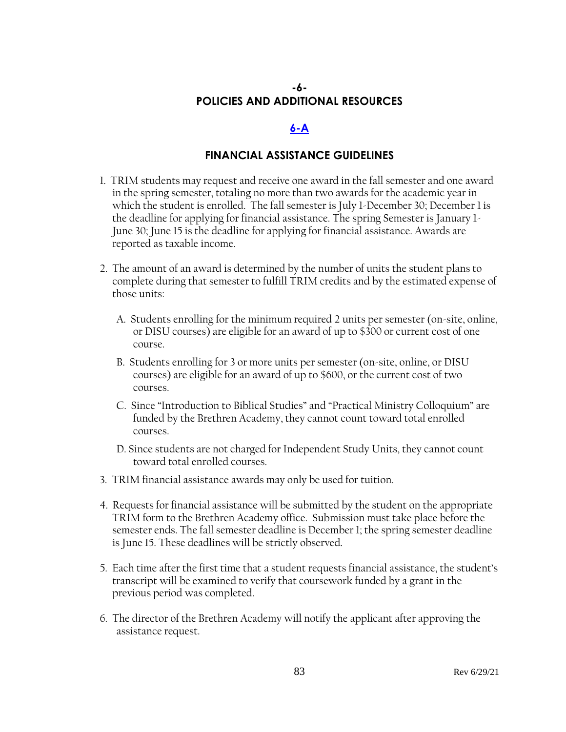## **-6- POLICIES AND ADDITIONAL RESOURCES**

### **[6-A](#page-3-0)**

#### **FINANCIAL ASSISTANCE GUIDELINES**

- 1. TRIM students may request and receive one award in the fall semester and one award in the spring semester, totaling no more than two awards for the academic year in which the student is enrolled. The fall semester is July 1-December 30; December 1 is the deadline for applying for financial assistance. The spring Semester is January 1- June 30; June 15 is the deadline for applying for financial assistance. Awards are reported as taxable income.
- 2. The amount of an award is determined by the number of units the student plans to complete during that semester to fulfill TRIM credits and by the estimated expense of those units:
	- A. Students enrolling for the minimum required 2 units per semester (on-site, online, or DISU courses) are eligible for an award of up to \$300 or current cost of one course.
	- B. Students enrolling for 3 or more units per semester (on-site, online, or DISU courses) are eligible for an award of up to \$600, or the current cost of two courses.
	- C. Since "Introduction to Biblical Studies" and "Practical Ministry Colloquium" are funded by the Brethren Academy, they cannot count toward total enrolled courses.
	- D. Since students are not charged for Independent Study Units, they cannot count toward total enrolled courses.
- 3. TRIM financial assistance awards may only be used for tuition.
- 4. Requests for financial assistance will be submitted by the student on the appropriate TRIM form to the Brethren Academy office. Submission must take place before the semester ends. The fall semester deadline is December 1; the spring semester deadline is June 15. These deadlines will be strictly observed.
- 5. Each time after the first time that a student requests financial assistance, the student's transcript will be examined to verify that coursework funded by a grant in the previous period was completed.
- 6. The director of the Brethren Academy will notify the applicant after approving the assistance request.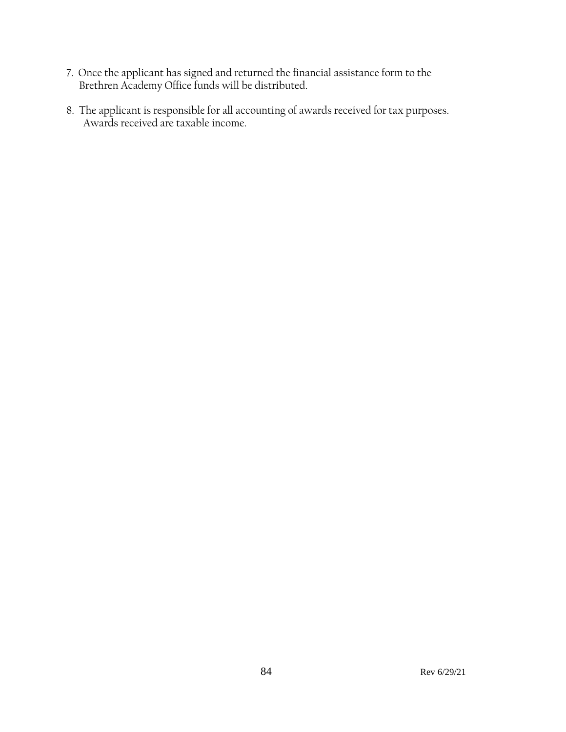- 7. Once the applicant has signed and returned the financial assistance form to the Brethren Academy Office funds will be distributed.
- 8. The applicant is responsible for all accounting of awards received for tax purposes. Awards received are taxable income.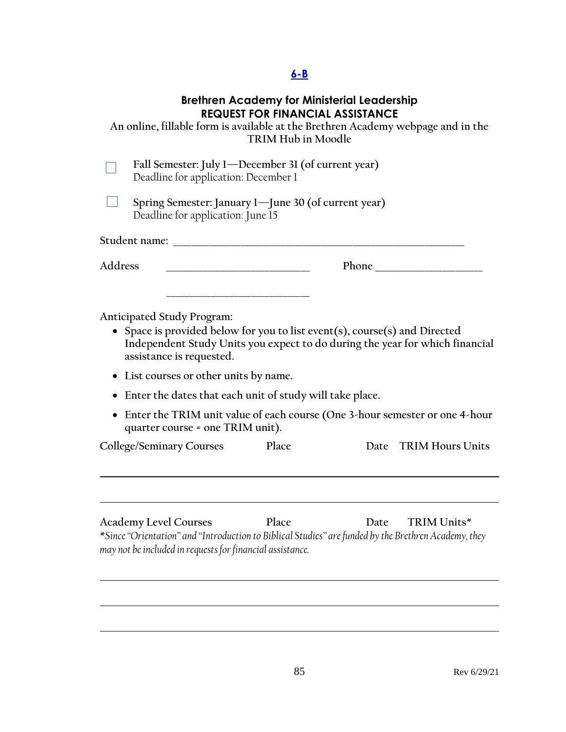# **[6-B](#page-3-0)**

## **Brethren Academy for Ministerial Leadership REQUEST FOR FINANCIAL ASSISTANCE**

|                                                                                                                                                                                           |                                   | <b>TRIM Hub in Moodle</b>                                | KEQUESI FUK FINANCIAL ASSISIANCE | An online, fillable form is available at the Brethren Academy webpage and in the                                    |  |
|-------------------------------------------------------------------------------------------------------------------------------------------------------------------------------------------|-----------------------------------|----------------------------------------------------------|----------------------------------|---------------------------------------------------------------------------------------------------------------------|--|
| Fall Semester: July 1—December 31 (of current year)<br>Deadline for application: December 1                                                                                               |                                   |                                                          |                                  |                                                                                                                     |  |
|                                                                                                                                                                                           | Deadline for application: June 15 | Spring Semester: January 1-June 30 (of current year)     |                                  |                                                                                                                     |  |
| Student name: The Student name:                                                                                                                                                           |                                   |                                                          |                                  |                                                                                                                     |  |
| Address                                                                                                                                                                                   |                                   |                                                          | <b>Phone</b>                     |                                                                                                                     |  |
| Anticipated Study Program:<br>• Space is provided below for you to list event(s), course(s) and Directed<br>assistance is requested.<br>List courses or other units by name.<br>$\bullet$ |                                   |                                                          |                                  | Independent Study Units you expect to do during the year for which financial                                        |  |
|                                                                                                                                                                                           |                                   | Enter the dates that each unit of study will take place. |                                  |                                                                                                                     |  |
|                                                                                                                                                                                           | quarter course = one TRIM unit).  |                                                          |                                  | • Enter the TRIM unit value of each course (One 3-hour semester or one 4-hour                                       |  |
| College/Seminary Courses                                                                                                                                                                  |                                   | Place                                                    |                                  | Date TRIM Hours Units                                                                                               |  |
|                                                                                                                                                                                           |                                   |                                                          |                                  |                                                                                                                     |  |
| <b>Academy Level Courses</b><br>may not be included in requests for financial assistance.                                                                                                 |                                   | Place                                                    | Date                             | TRIM Units*<br>*Since "Orientation" and "Introduction to Biblical Studies" are funded by the Brethren Academy, they |  |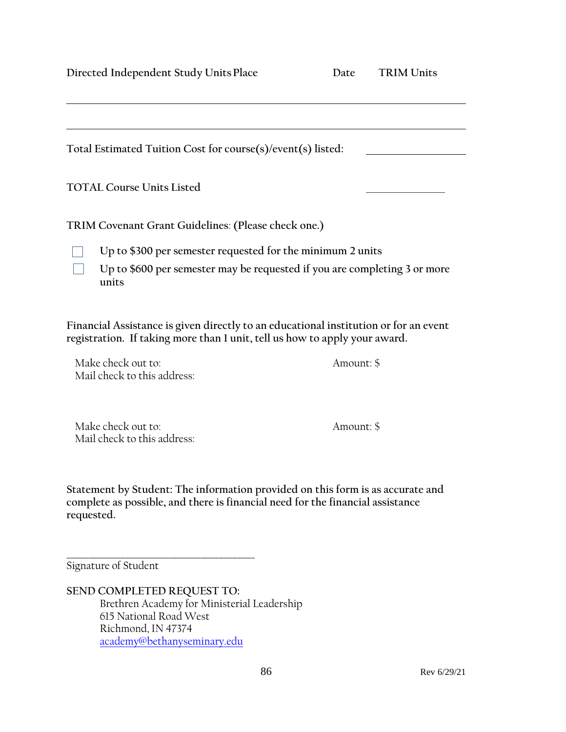**Directed Independent Study Units Place Da** 

| ıte | <b>TRIM Units</b> |  |
|-----|-------------------|--|
|     |                   |  |

| Total Estimated Tuition Cost for course(s)/event(s) listed:                                                                                                        |            |  |  |  |
|--------------------------------------------------------------------------------------------------------------------------------------------------------------------|------------|--|--|--|
| <b>TOTAL Course Units Listed</b>                                                                                                                                   |            |  |  |  |
| TRIM Covenant Grant Guidelines: (Please check one.)                                                                                                                |            |  |  |  |
| Up to \$300 per semester requested for the minimum 2 units                                                                                                         |            |  |  |  |
| Up to \$600 per semester may be requested if you are completing 3 or more<br>units                                                                                 |            |  |  |  |
| Financial Assistance is given directly to an educational institution or for an event<br>registration. If taking more than I unit, tell us how to apply your award. |            |  |  |  |
| Make check out to:<br>Mail check to this address:                                                                                                                  | Amount: \$ |  |  |  |

Make check out to: Amount: \$ Mail check to this address:

**Statement by Student: The information provided on this form is as accurate and complete as possible, and there is financial need for the financial assistance requested.**

**\_\_\_\_\_\_\_\_\_\_\_\_\_\_\_\_\_\_\_\_\_\_\_\_\_\_\_\_\_\_\_\_\_\_\_\_\_\_\_\_\_\_** Signature of Student

**SEND COMPLETED REQUEST TO:** Brethren Academy for Ministerial Leadership 615 National Road West Richmond, IN 47374 [academy@bethanyseminary.edu](mailto:academy@bethanyseminary.edu)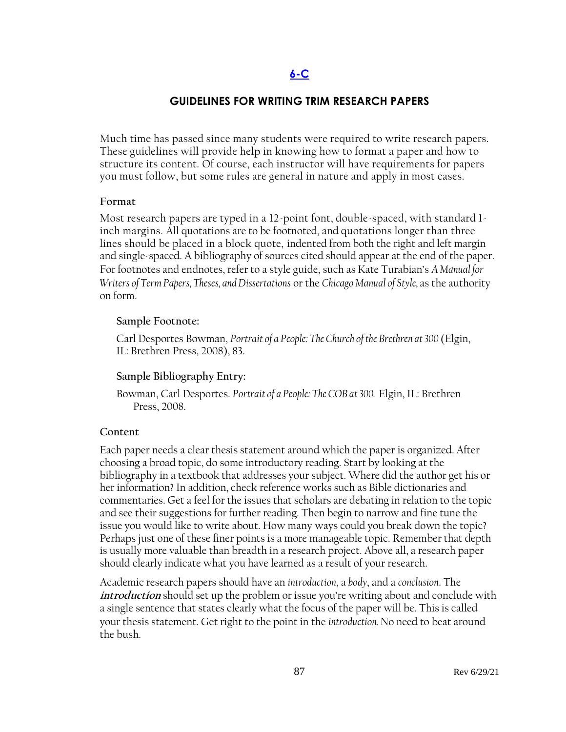### **[6-C](#page-3-0)**

## **GUIDELINES FOR WRITING TRIM RESEARCH PAPERS**

Much time has passed since many students were required to write research papers. These guidelines will provide help in knowing how to format a paper and how to structure its content. Of course, each instructor will have requirements for papers you must follow, but some rules are general in nature and apply in most cases.

#### **Format**

Most research papers are typed in a 12-point font, double-spaced, with standard 1 inch margins. All quotations are to be footnoted, and quotations longer than three lines should be placed in a block quote, indented from both the right and left margin and single-spaced. A bibliography of sources cited should appear at the end of the paper. For footnotes and endnotes, refer to a style guide, such as Kate Turabian's *A Manual for Writers of Term Papers, Theses, and Dissertations* or the *Chicago Manual of Style,* as the authority on form.

#### **Sample Footnote:**

Carl Desportes Bowman, *Portrait of a People: The Church of the Brethren at 300* (Elgin, IL: Brethren Press, 2008), 83.

### **Sample Bibliography Entry:**

Bowman, Carl Desportes. *Portrait of a People: The COB at 300.* Elgin, IL: Brethren Press, 2008.

#### **Content**

Each paper needs a clear thesis statement around which the paper is organized. After choosing a broad topic, do some introductory reading. Start by looking at the bibliography in a textbook that addresses your subject. Where did the author get his or her information? In addition, check reference works such as Bible dictionaries and commentaries. Get a feel for the issues that scholars are debating in relation to the topic and see their suggestions for further reading. Then begin to narrow and fine tune the issue you would like to write about. How many ways could you break down the topic? Perhaps just one of these finer points is a more manageable topic. Remember that depth is usually more valuable than breadth in a research project. Above all, a research paper should clearly indicate what you have learned as a result of your research.

Academic research papers should have an *introduction*, a *body*, and a *conclusion*. The **introduction** should set up the problem or issue you're writing about and conclude with a single sentence that states clearly what the focus of the paper will be. This is called your thesis statement. Get right to the point in the *introduction.* No need to beat around the bush.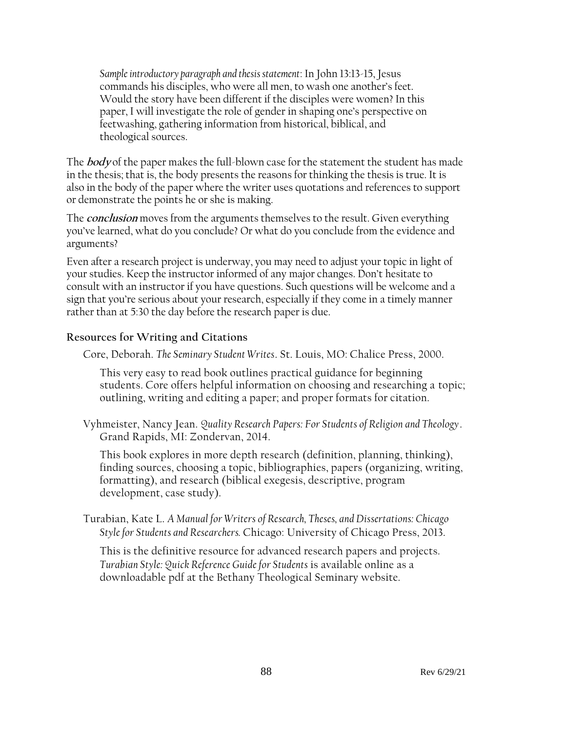*Sample introductory paragraph and thesis statement*: In John 13:13-15, Jesus commands his disciples, who were all men, to wash one another's feet. Would the story have been different if the disciples were women? In this paper, I will investigate the role of gender in shaping one's perspective on feetwashing, gathering information from historical, biblical, and theological sources.

The **body** of the paper makes the full-blown case for the statement the student has made in the thesis; that is, the body presents the reasons for thinking the thesis is true. It is also in the body of the paper where the writer uses quotations and references to support or demonstrate the points he or she is making.

The **conclusion** moves from the arguments themselves to the result. Given everything you've learned, what do you conclude? Or what do you conclude from the evidence and arguments?

Even after a research project is underway, you may need to adjust your topic in light of your studies. Keep the instructor informed of any major changes. Don't hesitate to consult with an instructor if you have questions. Such questions will be welcome and a sign that you're serious about your research, especially if they come in a timely manner rather than at 5:30 the day before the research paper is due.

### **Resources for Writing and Citations**

Core, Deborah. *The Seminary Student Writes*. St. Louis, MO: Chalice Press, 2000.

This very easy to read book outlines practical guidance for beginning students. Core offers helpful information on choosing and researching a topic; outlining, writing and editing a paper; and proper formats for citation.

Vyhmeister, Nancy Jean. *Quality Research Papers: For Students of Religion and Theology*. Grand Rapids, MI: Zondervan, 2014.

This book explores in more depth research (definition, planning, thinking), finding sources, choosing a topic, bibliographies, papers (organizing, writing, formatting), and research (biblical exegesis, descriptive, program development, case study).

Turabian, Kate L. *A Manual for Writers of Research, Theses, and Dissertations: Chicago Style for Students and Researchers.* Chicago: University of Chicago Press, 2013.

This is the definitive resource for advanced research papers and projects. *Turabian Style: Quick Reference Guide for Students* is available online as a downloadable pdf at the Bethany Theological Seminary website.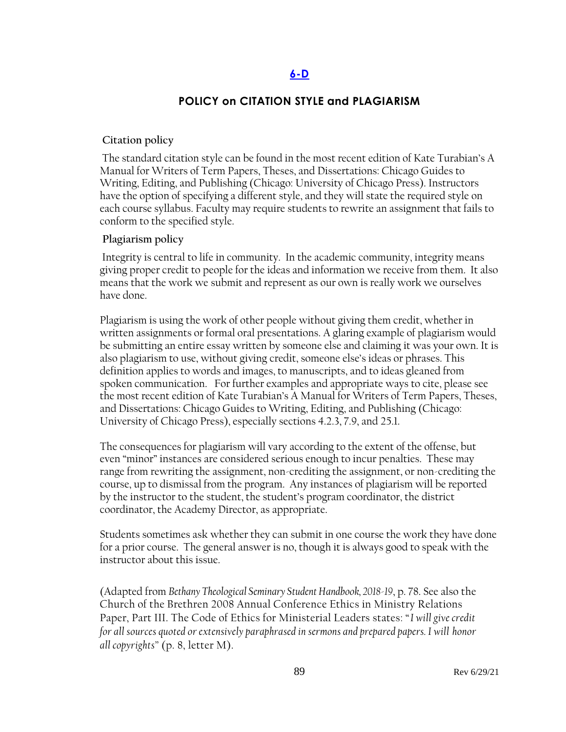#### **[6-D](#page-2-0)**

### **POLICY on CITATION STYLE and PLAGIARISM**

#### **Citation policy**

The standard citation style can be found in the most recent edition of Kate Turabian's A Manual for Writers of Term Papers, Theses, and Dissertations: Chicago Guides to Writing, Editing, and Publishing (Chicago: University of Chicago Press). Instructors have the option of specifying a different style, and they will state the required style on each course syllabus. Faculty may require students to rewrite an assignment that fails to conform to the specified style.

#### **Plagiarism policy**

Integrity is central to life in community. In the academic community, integrity means giving proper credit to people for the ideas and information we receive from them. It also means that the work we submit and represent as our own is really work we ourselves have done.

Plagiarism is using the work of other people without giving them credit, whether in written assignments or formal oral presentations. A glaring example of plagiarism would be submitting an entire essay written by someone else and claiming it was your own. It is also plagiarism to use, without giving credit, someone else's ideas or phrases. This definition applies to words and images, to manuscripts, and to ideas gleaned from spoken communication. For further examples and appropriate ways to cite, please see the most recent edition of Kate Turabian's A Manual for Writers of Term Papers, Theses, and Dissertations: Chicago Guides to Writing, Editing, and Publishing (Chicago: University of Chicago Press), especially sections 4.2.3, 7.9, and 25.1.

The consequences for plagiarism will vary according to the extent of the offense, but even "minor" instances are considered serious enough to incur penalties. These may range from rewriting the assignment, non-crediting the assignment, or non-crediting the course, up to dismissal from the program. Any instances of plagiarism will be reported by the instructor to the student, the student's program coordinator, the district coordinator, the Academy Director, as appropriate.

Students sometimes ask whether they can submit in one course the work they have done for a prior course. The general answer is no, though it is always good to speak with the instructor about this issue.

(Adapted from *Bethany Theological Seminary Student Handbook, 2018-19*, p. 78. See also the Church of the Brethren 2008 Annual Conference Ethics in Ministry Relations Paper, Part III. The Code of Ethics for Ministerial Leaders states: "*I will give credit for all sources quoted or extensively paraphrased in sermons and prepared papers. I will honor all copyrights"* (p. 8, letter M).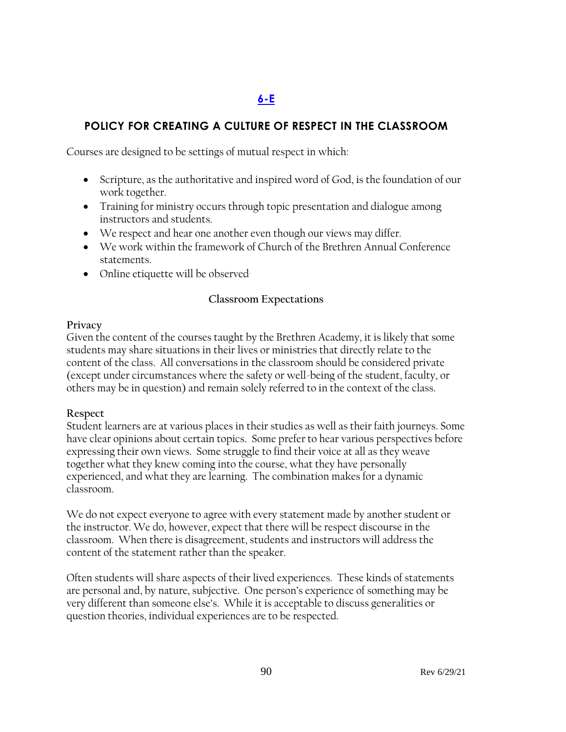# **[6-E](#page-3-0)**

## **POLICY FOR CREATING A CULTURE OF RESPECT IN THE CLASSROOM**

Courses are designed to be settings of mutual respect in which:

- Scripture, as the authoritative and inspired word of God, is the foundation of our work together.
- Training for ministry occurs through topic presentation and dialogue among instructors and students.
- We respect and hear one another even though our views may differ.
- We work within the framework of Church of the Brethren Annual Conference statements.
- Online etiquette will be observed

## **Classroom Expectations**

#### **Privacy**

Given the content of the courses taught by the Brethren Academy, it is likely that some students may share situations in their lives or ministries that directly relate to the content of the class. All conversations in the classroom should be considered private (except under circumstances where the safety or well-being of the student, faculty, or others may be in question) and remain solely referred to in the context of the class.

### **Respect**

Student learners are at various places in their studies as well as their faith journeys. Some have clear opinions about certain topics. Some prefer to hear various perspectives before expressing their own views. Some struggle to find their voice at all as they weave together what they knew coming into the course, what they have personally experienced, and what they are learning. The combination makes for a dynamic classroom.

We do not expect everyone to agree with every statement made by another student or the instructor. We do, however, expect that there will be respect discourse in the classroom. When there is disagreement, students and instructors will address the content of the statement rather than the speaker.

Often students will share aspects of their lived experiences. These kinds of statements are personal and, by nature, subjective. One person's experience of something may be very different than someone else's. While it is acceptable to discuss generalities or question theories, individual experiences are to be respected.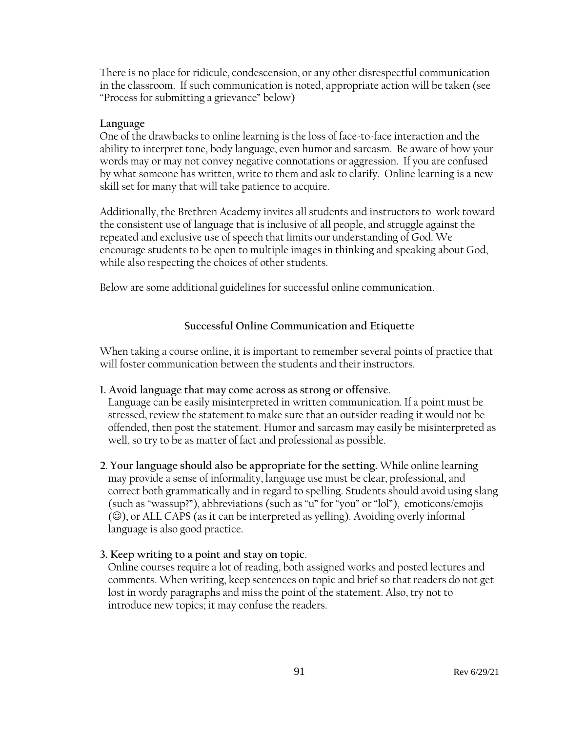There is no place for ridicule, condescension, or any other disrespectful communication in the classroom. If such communication is noted, appropriate action will be taken (see "Process for submitting a grievance" below)

#### **Language**

One of the drawbacks to online learning is the loss of face-to-face interaction and the ability to interpret tone, body language, even humor and sarcasm. Be aware of how your words may or may not convey negative connotations or aggression. If you are confused by what someone has written, write to them and ask to clarify. Online learning is a new skill set for many that will take patience to acquire.

Additionally, the Brethren Academy invites all students and instructors to work toward the consistent use of language that is inclusive of all people, and struggle against the repeated and exclusive use of speech that limits our understanding of God. We encourage students to be open to multiple images in thinking and speaking about God, while also respecting the choices of other students.

Below are some additional guidelines for successful online communication.

## **Successful Online Communication and Etiquette**

When taking a course online, it is important to remember several points of practice that will foster communication between the students and their instructors.

### **1. Avoid language that may come across as strong or offensive**.

Language can be easily misinterpreted in written communication. If a point must be stressed, review the statement to make sure that an outsider reading it would not be offended, then post the statement. Humor and sarcasm may easily be misinterpreted as well, so try to be as matter of fact and professional as possible.

**2**. **Your language should also be appropriate for the setting.** While online learning may provide a sense of informality, language use must be clear, professional, and correct both grammatically and in regard to spelling. Students should avoid using slang (such as "wassup?"), abbreviations (such as "u" for "you" or "lol"), emoticons/emojis (☺), or ALL CAPS (as it can be interpreted as yelling). Avoiding overly informal language is also good practice.

### **3. Keep writing to a point and stay on topic**.

Online courses require a lot of reading, both assigned works and posted lectures and comments. When writing, keep sentences on topic and brief so that readers do not get lost in wordy paragraphs and miss the point of the statement. Also, try not to introduce new topics; it may confuse the readers.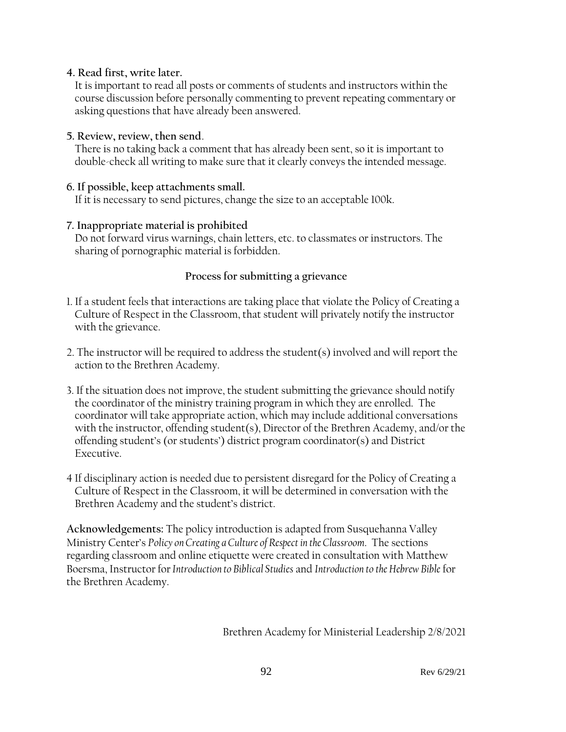#### **4. Read first, write later.**

It is important to read all posts or comments of students and instructors within the course discussion before personally commenting to prevent repeating commentary or asking questions that have already been answered.

### **5. Review, review, then send**.

There is no taking back a comment that has already been sent, so it is important to double-check all writing to make sure that it clearly conveys the intended message.

### **6. If possible, keep attachments small.**

If it is necessary to send pictures, change the size to an acceptable 100k.

## **7. Inappropriate material is prohibited**

Do not forward virus warnings, chain letters, etc. to classmates or instructors. The sharing of pornographic material is forbidden.

## **Process for submitting a grievance**

- 1. If a student feels that interactions are taking place that violate the Policy of Creating a Culture of Respect in the Classroom, that student will privately notify the instructor with the grievance.
- 2. The instructor will be required to address the student(s) involved and will report the action to the Brethren Academy.
- 3. If the situation does not improve, the student submitting the grievance should notify the coordinator of the ministry training program in which they are enrolled. The coordinator will take appropriate action, which may include additional conversations with the instructor, offending student(s), Director of the Brethren Academy, and/or the offending student's (or students') district program coordinator(s) and District Executive.
- 4 If disciplinary action is needed due to persistent disregard for the Policy of Creating a Culture of Respect in the Classroom, it will be determined in conversation with the Brethren Academy and the student's district.

**Acknowledgements:** The policy introduction is adapted from Susquehanna Valley Ministry Center's *Policy on Creating a Culture of Respect in the Classroom*. The sections regarding classroom and online etiquette were created in consultation with Matthew Boersma, Instructor for*Introduction to Biblical Studies* and *Introduction to the Hebrew Bible* for the Brethren Academy.

Brethren Academy for Ministerial Leadership 2/8/2021